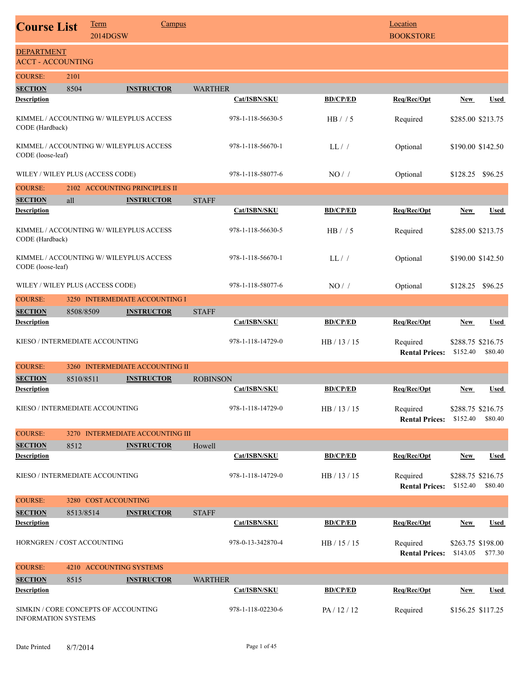| <b>Course List</b>                                                 |           | <b>Term</b><br>2014DGSW | <b>Campus</b>                     |                 |                   |                 | Location<br><b>BOOKSTORE</b>      |                               |                              |
|--------------------------------------------------------------------|-----------|-------------------------|-----------------------------------|-----------------|-------------------|-----------------|-----------------------------------|-------------------------------|------------------------------|
| <b>DEPARTMENT</b><br><b>ACCT - ACCOUNTING</b>                      |           |                         |                                   |                 |                   |                 |                                   |                               |                              |
| <b>COURSE:</b>                                                     | 2101      |                         |                                   |                 |                   |                 |                                   |                               |                              |
| <b>SECTION</b>                                                     | 8504      |                         | <b>INSTRUCTOR</b>                 | <b>WARTHER</b>  |                   |                 |                                   |                               |                              |
| <b>Description</b>                                                 |           |                         |                                   |                 | Cat/ISBN/SKU      | <b>BD/CP/ED</b> | Req/Rec/Opt                       | New                           | Used                         |
| KIMMEL / ACCOUNTING W/ WILEYPLUS ACCESS<br>CODE (Hardback)         |           |                         |                                   |                 | 978-1-118-56630-5 | HB / / 5        | Required                          | \$285.00 \$213.75             |                              |
| KIMMEL / ACCOUNTING W/ WILEYPLUS ACCESS<br>CODE (loose-leaf)       |           |                         |                                   |                 | 978-1-118-56670-1 | LL/             | Optional                          |                               | \$190.00 \$142.50            |
| WILEY / WILEY PLUS (ACCESS CODE)                                   |           |                         |                                   |                 | 978-1-118-58077-6 | NO/             | Optional                          | \$128.25 \$96.25              |                              |
| <b>COURSE:</b>                                                     |           |                         | 2102 ACCOUNTING PRINCIPLES II     |                 |                   |                 |                                   |                               |                              |
| <b>SECTION</b><br><b>Description</b>                               | all       |                         | <b>INSTRUCTOR</b>                 | <b>STAFF</b>    | Cat/ISBN/SKU      | <b>BD/CP/ED</b> | Req/Rec/Opt                       | <b>New</b>                    | Used                         |
| KIMMEL / ACCOUNTING W/ WILEYPLUS ACCESS<br>CODE (Hardback)         |           |                         |                                   |                 | 978-1-118-56630-5 | HB / / 5        | Required                          |                               | \$285.00 \$213.75            |
| KIMMEL / ACCOUNTING W/ WILEYPLUS ACCESS<br>CODE (loose-leaf)       |           |                         |                                   |                 | 978-1-118-56670-1 | LL/             | Optional                          |                               | \$190.00 \$142.50            |
| WILEY / WILEY PLUS (ACCESS CODE)                                   |           |                         |                                   |                 | 978-1-118-58077-6 | $NO/$ /         | Optional                          | \$128.25 \$96.25              |                              |
| <b>COURSE:</b>                                                     |           |                         | 3250 INTERMEDIATE ACCOUNTING I    |                 |                   |                 |                                   |                               |                              |
| <b>SECTION</b>                                                     | 8508/8509 |                         | <b>INSTRUCTOR</b>                 | <b>STAFF</b>    |                   |                 |                                   |                               |                              |
| <b>Description</b>                                                 |           |                         |                                   |                 | Cat/ISBN/SKU      | <b>BD/CP/ED</b> | Req/Rec/Opt                       | New                           | Used                         |
| KIESO / INTERMEDIATE ACCOUNTING                                    |           |                         |                                   |                 | 978-1-118-14729-0 | HB / 13 / 15    | Required<br><b>Rental Prices:</b> | \$288.75 \$216.75<br>\$152.40 | \$80.40                      |
| <b>COURSE:</b>                                                     | 3260      |                         | <b>INTERMEDIATE ACCOUNTING II</b> |                 |                   |                 |                                   |                               |                              |
| <b>SECTION</b>                                                     | 8510/8511 |                         | <b>INSTRUCTOR</b>                 | <b>ROBINSON</b> |                   |                 |                                   |                               |                              |
| <b>Description</b>                                                 |           |                         |                                   |                 | Cat/ISBN/SKU      | <b>BD/CP/ED</b> | Req/Rec/Opt                       | New                           | <b>Used</b>                  |
| KIESO / INTERMEDIATE ACCOUNTING                                    |           |                         |                                   |                 | 978-1-118-14729-0 | HB / 13 / 15    | Required<br><b>Rental Prices:</b> | \$288.75 \$216.75<br>\$152.40 | \$80.40                      |
| <b>COURSE:</b>                                                     |           |                         | 3270 INTERMEDIATE ACCOUNTING III  |                 |                   |                 |                                   |                               |                              |
| <b>SECTION</b>                                                     | 8512      |                         | <b>INSTRUCTOR</b>                 | Howell          |                   |                 |                                   |                               |                              |
| <b>Description</b>                                                 |           |                         |                                   |                 | Cat/ISBN/SKU      | <b>BD/CP/ED</b> | Req/Rec/Opt                       | New                           | Used                         |
| KIESO / INTERMEDIATE ACCOUNTING                                    |           |                         |                                   |                 | 978-1-118-14729-0 | HB / 13 / 15    | Required<br><b>Rental Prices:</b> | \$152.40                      | \$288.75 \$216.75<br>\$80.40 |
| <b>COURSE:</b>                                                     |           | 3280 COST ACCOUNTING    |                                   |                 |                   |                 |                                   |                               |                              |
| <b>SECTION</b>                                                     | 8513/8514 |                         | <b>INSTRUCTOR</b>                 | <b>STAFF</b>    |                   |                 |                                   |                               |                              |
| <b>Description</b>                                                 |           |                         |                                   |                 | Cat/ISBN/SKU      | <b>BD/CP/ED</b> | Req/Rec/Opt                       | <b>New</b>                    | <b>Used</b>                  |
| HORNGREN / COST ACCOUNTING                                         |           |                         |                                   |                 | 978-0-13-342870-4 | HB / 15 / 15    | Required<br><b>Rental Prices:</b> | \$143.05                      | \$263.75 \$198.00<br>\$77.30 |
| <b>COURSE:</b>                                                     |           |                         | 4210 ACCOUNTING SYSTEMS           |                 |                   |                 |                                   |                               |                              |
| <b>SECTION</b>                                                     | 8515      |                         | <b>INSTRUCTOR</b>                 | <b>WARTHER</b>  |                   |                 |                                   |                               |                              |
| <b>Description</b>                                                 |           |                         |                                   |                 | Cat/ISBN/SKU      | <b>BD/CP/ED</b> | Req/Rec/Opt                       | New                           | Used                         |
| SIMKIN / CORE CONCEPTS OF ACCOUNTING<br><b>INFORMATION SYSTEMS</b> |           |                         |                                   |                 | 978-1-118-02230-6 | PA / 12 / 12    | Required                          | \$156.25 \$117.25             |                              |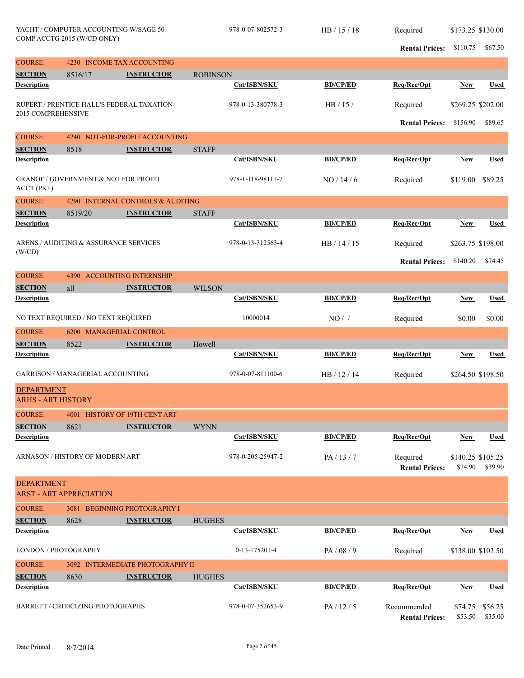**Rental Prices:** \$110.75 \$67.50

| <b>COURSE:</b>                       | 4230 INCOME TAX ACCOUNTING                      |                                   |                 |                   |                 |                                      |                              |                    |
|--------------------------------------|-------------------------------------------------|-----------------------------------|-----------------|-------------------|-----------------|--------------------------------------|------------------------------|--------------------|
| <b>SECTION</b>                       | 8516/17                                         | <b>INSTRUCTOR</b>                 | <b>ROBINSON</b> |                   |                 |                                      |                              |                    |
| <b>Description</b>                   |                                                 |                                   |                 | Cat/ISBN/SKU      | <b>BD/CP/ED</b> | Req/Rec/Opt                          | <b>New</b>                   | <b>Used</b>        |
| 2015 COMPREHENSIVE                   | RUPERT / PRENTICE HALL'S FEDERAL TAXATION       |                                   |                 | 978-0-13-380778-3 | HB/15/          | Required                             | \$269.25 \$202.00            |                    |
|                                      |                                                 |                                   |                 |                   |                 | <b>Rental Prices:</b>                | \$156.90                     | \$89.65            |
| <b>COURSE:</b>                       |                                                 | 4240 NOT-FOR-PROFIT ACCOUNTING    |                 |                   |                 |                                      |                              |                    |
| <b>SECTION</b>                       | 8518                                            | <b>INSTRUCTOR</b>                 | <b>STAFF</b>    |                   |                 |                                      |                              |                    |
| <b>Description</b>                   |                                                 |                                   |                 | Cat/ISBN/SKU      | <b>BD/CP/ED</b> | Req/Rec/Opt                          | <b>New</b>                   | <b>Used</b>        |
| <b>ACCT (PKT)</b>                    | <b>GRANOF / GOVERNMENT &amp; NOT FOR PROFIT</b> |                                   |                 | 978-1-118-98117-7 | NO/14/6         | Required                             | \$119.00                     | \$89.25            |
| <b>COURSE:</b>                       |                                                 | 4290 INTERNAL CONTROLS & AUDITING |                 |                   |                 |                                      |                              |                    |
| <b>SECTION</b>                       | 8519/20                                         | <b>INSTRUCTOR</b>                 | <b>STAFF</b>    |                   |                 |                                      |                              |                    |
| <b>Description</b>                   |                                                 |                                   |                 | Cat/ISBN/SKU      | <b>BD/CP/ED</b> | Req/Rec/Opt                          | <b>New</b>                   | <b>Used</b>        |
|                                      | ARENS / AUDITING & ASSURANCE SERVICES           |                                   |                 | 978-0-13-312563-4 | HB / 14 / 15    | Required                             | \$263.75 \$198.00            |                    |
| (W/CD)                               |                                                 |                                   |                 |                   |                 | <b>Rental Prices:</b>                | \$140.20                     | \$74.45            |
| <b>COURSE:</b>                       | <b>4390 ACCOUNTING INTERNSHIP</b>               |                                   |                 |                   |                 |                                      |                              |                    |
| <b>SECTION</b>                       | all                                             | <b>INSTRUCTOR</b>                 | <b>WILSON</b>   |                   |                 |                                      |                              |                    |
| <b>Description</b>                   |                                                 |                                   |                 | Cat/ISBN/SKU      | <b>BD/CP/ED</b> | Req/Rec/Opt                          | <b>New</b>                   | <b>Used</b>        |
|                                      | NO TEXT REQUIRED / NO TEXT REQUIRED             |                                   |                 | 10000014          | NO/             | Required                             | \$0.00                       | \$0.00             |
| <b>COURSE:</b>                       | 6200 MANAGERIAL CONTROL                         |                                   |                 |                   |                 |                                      |                              |                    |
| <b>SECTION</b>                       | 8522                                            | <b>INSTRUCTOR</b>                 | Howell          |                   |                 |                                      |                              |                    |
| <b>Description</b>                   |                                                 |                                   |                 | Cat/ISBN/SKU      | <b>BD/CP/ED</b> | Req/Rec/Opt                          | <b>New</b>                   | Used               |
|                                      | <b>GARRISON / MANAGERIAL ACCOUNTING</b>         |                                   |                 | 978-0-07-811100-6 | HB / 12 / 14    | Required                             | \$264.50 \$198.50            |                    |
| <b>DEPARTMENT</b>                    |                                                 |                                   |                 |                   |                 |                                      |                              |                    |
| <b>ARHS - ART HISTORY</b>            |                                                 |                                   |                 |                   |                 |                                      |                              |                    |
| <b>COURSE:</b>                       | 4001 HISTORY OF 19TH CENT ART                   |                                   |                 |                   |                 |                                      |                              |                    |
| <b>SECTION</b><br><b>Description</b> | 8621                                            | <b>INSTRUCTOR</b>                 | <b>WYNN</b>     |                   |                 |                                      |                              |                    |
|                                      |                                                 |                                   |                 | Cat/ISBN/SKU      | <b>BD/CP/ED</b> | Req/Rec/Opt                          | <b>New</b>                   | <b>Used</b>        |
|                                      | ARNASON / HISTORY OF MODERN ART                 |                                   |                 | 978-0-205-25947-2 | PA/13/7         | Required<br><b>Rental Prices:</b>    | \$140.25 \$105.25<br>\$74.90 | \$39.90            |
| <b>DEPARTMENT</b>                    | <b>ARST - ART APPRECIATION</b>                  |                                   |                 |                   |                 |                                      |                              |                    |
| <b>COURSE:</b>                       |                                                 | 3081 BEGINNING PHOTOGRAPHY I      |                 |                   |                 |                                      |                              |                    |
| <b>SECTION</b>                       | 8628                                            | <b>INSTRUCTOR</b>                 | <b>HUGHES</b>   |                   |                 |                                      |                              |                    |
| <b>Description</b>                   |                                                 |                                   |                 | Cat/ISBN/SKU      | <b>BD/CP/ED</b> | Req/Rec/Opt                          | <b>New</b>                   | <b>Used</b>        |
| LONDON / PHOTOGRAPHY                 |                                                 |                                   |                 | 0-13-175201-4     | PA/08/9         | Required                             | \$138.00 \$103.50            |                    |
| <b>COURSE:</b>                       |                                                 | 3092 INTERMEDIATE PHOTOGRAPHY II  |                 |                   |                 |                                      |                              |                    |
| <b>SECTION</b>                       | 8630                                            | <b>INSTRUCTOR</b>                 | <b>HUGHES</b>   |                   |                 |                                      |                              |                    |
| <b>Description</b>                   |                                                 |                                   |                 | Cat/ISBN/SKU      | <b>BD/CP/ED</b> | Req/Rec/Opt                          | <b>New</b>                   | <b>Used</b>        |
|                                      | BARRETT / CRITICIZING PHOTOGRAPHS               |                                   |                 | 978-0-07-352653-9 | PA/12/5         | Recommended<br><b>Rental Prices:</b> | \$74.75<br>\$53.50           | \$56.25<br>\$35.00 |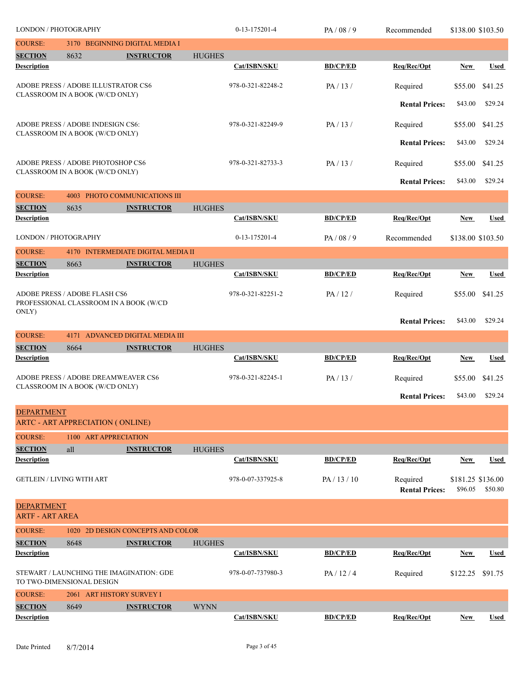| <b>LONDON / PHOTOGRAPHY</b>                 |      |                                                                        |               | 0-13-175201-4     | PA/08/9         | Recommended                       | \$138.00 \$103.50            |             |
|---------------------------------------------|------|------------------------------------------------------------------------|---------------|-------------------|-----------------|-----------------------------------|------------------------------|-------------|
| <b>COURSE:</b>                              |      | 3170 BEGINNING DIGITAL MEDIA I                                         |               |                   |                 |                                   |                              |             |
| <b>SECTION</b>                              | 8632 | <b>INSTRUCTOR</b>                                                      | <b>HUGHES</b> |                   |                 |                                   |                              |             |
| <b>Description</b>                          |      |                                                                        |               | Cat/ISBN/SKU      | <b>BD/CP/ED</b> | Req/Rec/Opt                       | New                          | <b>Used</b> |
|                                             |      | ADOBE PRESS / ADOBE ILLUSTRATOR CS6<br>CLASSROOM IN A BOOK (W/CD ONLY) |               | 978-0-321-82248-2 | PA/13/          | Required                          | \$55.00                      | \$41.25     |
|                                             |      |                                                                        |               |                   |                 | <b>Rental Prices:</b>             | \$43.00                      | \$29.24     |
|                                             |      | ADOBE PRESS / ADOBE INDESIGN CS6:<br>CLASSROOM IN A BOOK (W/CD ONLY)   |               | 978-0-321-82249-9 | PA/13/          | Required                          | \$55.00                      | \$41.25     |
|                                             |      |                                                                        |               |                   |                 | <b>Rental Prices:</b>             | \$43.00                      | \$29.24     |
|                                             |      | ADOBE PRESS / ADOBE PHOTOSHOP CS6<br>CLASSROOM IN A BOOK (W/CD ONLY)   |               | 978-0-321-82733-3 | PA/13/          | Required                          | \$55.00                      | \$41.25     |
|                                             |      |                                                                        |               |                   |                 | <b>Rental Prices:</b>             | \$43.00                      | \$29.24     |
| <b>COURSE:</b>                              | 4003 | PHOTO COMMUNICATIONS III                                               |               |                   |                 |                                   |                              |             |
| <b>SECTION</b><br><b>Description</b>        | 8635 | <b>INSTRUCTOR</b>                                                      | <b>HUGHES</b> | Cat/ISBN/SKU      | <b>BD/CP/ED</b> | Req/Rec/Opt                       | New                          | <b>Used</b> |
|                                             |      |                                                                        |               |                   |                 |                                   |                              |             |
| LONDON / PHOTOGRAPHY                        |      |                                                                        |               | 0-13-175201-4     | PA/08/9         | Recommended                       | \$138.00 \$103.50            |             |
| <b>COURSE:</b>                              | 4170 | <b>INTERMEDIATE DIGITAL MEDIA II</b>                                   |               |                   |                 |                                   |                              |             |
| <b>SECTION</b>                              | 8663 | <b>INSTRUCTOR</b>                                                      | <b>HUGHES</b> |                   |                 |                                   |                              |             |
| <b>Description</b>                          |      |                                                                        |               | Cat/ISBN/SKU      | <b>BD/CP/ED</b> | Req/Rec/Opt                       | <b>New</b>                   | <b>Used</b> |
| ADOBE PRESS / ADOBE FLASH CS6               |      | PROFESSIONAL CLASSROOM IN A BOOK (W/CD                                 |               | 978-0-321-82251-2 | PA/12/          | Required                          | \$55.00                      | \$41.25     |
| ONLY)                                       |      |                                                                        |               |                   |                 | <b>Rental Prices:</b>             | \$43.00                      | \$29.24     |
| <b>COURSE:</b>                              |      | 4171 ADVANCED DIGITAL MEDIA III                                        |               |                   |                 |                                   |                              |             |
| <b>SECTION</b>                              | 8664 | <b>INSTRUCTOR</b>                                                      | <b>HUGHES</b> |                   |                 |                                   |                              |             |
| <b>Description</b>                          |      |                                                                        |               | Cat/ISBN/SKU      | <b>BD/CP/ED</b> | Req/Rec/Opt                       | <b>New</b>                   | <b>Used</b> |
|                                             |      | ADOBE PRESS / ADOBE DREAMWEAVER CS6                                    |               | 978-0-321-82245-1 | PA/13/          | Required                          | \$55.00                      | \$41.25     |
|                                             |      | CLASSROOM IN A BOOK (W/CD ONLY)                                        |               |                   |                 | <b>Rental Prices:</b>             | \$43.00                      | \$29.24     |
| <b>DEPARTMENT</b>                           |      |                                                                        |               |                   |                 |                                   |                              |             |
|                                             |      | <b>ARTC - ART APPRECIATION (ONLINE)</b>                                |               |                   |                 |                                   |                              |             |
| <b>COURSE:</b>                              |      | 1100 ART APPRECIATION                                                  |               |                   |                 |                                   |                              |             |
| <b>SECTION</b><br><b>Description</b>        | all  | <b>INSTRUCTOR</b>                                                      | <b>HUGHES</b> | Cat/ISBN/SKU      |                 |                                   |                              |             |
|                                             |      |                                                                        |               |                   | <b>BD/CP/ED</b> | Req/Rec/Opt                       | <b>New</b>                   | Used        |
| <b>GETLEIN / LIVING WITH ART</b>            |      |                                                                        |               | 978-0-07-337925-8 | PA / 13 / 10    | Required<br><b>Rental Prices:</b> | \$181.25 \$136.00<br>\$96.05 | \$50.80     |
| <b>DEPARTMENT</b><br><b>ARTF - ART AREA</b> |      |                                                                        |               |                   |                 |                                   |                              |             |
| <b>COURSE:</b>                              | 1020 | 2D DESIGN CONCEPTS AND COLOR                                           |               |                   |                 |                                   |                              |             |
| <b>SECTION</b>                              | 8648 | <b>INSTRUCTOR</b>                                                      | <b>HUGHES</b> |                   |                 |                                   |                              |             |
| <b>Description</b>                          |      |                                                                        |               | Cat/ISBN/SKU      | <b>BD/CP/ED</b> | Req/Rec/Opt                       | <b>New</b>                   | Used        |
| TO TWO-DIMENSIONAL DESIGN                   |      | STEWART / LAUNCHING THE IMAGINATION: GDE                               |               | 978-0-07-737980-3 | PA/12/4         | Required                          | \$122.25                     | \$91.75     |
| <b>COURSE:</b>                              |      | 2061 ART HISTORY SURVEY I                                              |               |                   |                 |                                   |                              |             |
| <b>SECTION</b><br><b>Description</b>        | 8649 | <b>INSTRUCTOR</b>                                                      | <b>WYNN</b>   | Cat/ISBN/SKU      | <b>BD/CP/ED</b> | Req/Rec/Opt                       | <b>New</b>                   | <b>Used</b> |
|                                             |      |                                                                        |               |                   |                 |                                   |                              |             |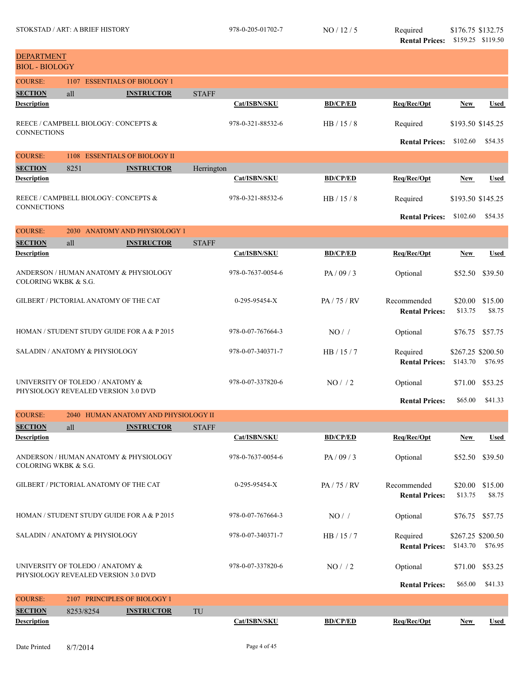| <b>DEPARTMENT</b><br><b>BIOL - BIOLOGY</b> |                                                                         |                                            |              |                   |                 |                                      |                               |                   |
|--------------------------------------------|-------------------------------------------------------------------------|--------------------------------------------|--------------|-------------------|-----------------|--------------------------------------|-------------------------------|-------------------|
| <b>COURSE:</b>                             | 1107                                                                    | <b>ESSENTIALS OF BIOLOGY 1</b>             |              |                   |                 |                                      |                               |                   |
| <b>SECTION</b>                             | all                                                                     | <b>INSTRUCTOR</b>                          | <b>STAFF</b> |                   |                 |                                      |                               |                   |
| <b>Description</b>                         |                                                                         |                                            |              | Cat/ISBN/SKU      | <b>BD/CP/ED</b> | Req/Rec/Opt                          | New                           | <b>Used</b>       |
| <b>CONNECTIONS</b>                         | REECE / CAMPBELL BIOLOGY: CONCEPTS &                                    |                                            |              | 978-0-321-88532-6 | HB/15/8         | Required                             | \$193.50 \$145.25             |                   |
|                                            |                                                                         |                                            |              |                   |                 | <b>Rental Prices:</b>                | \$102.60                      | \$54.35           |
| <b>COURSE:</b>                             | 1108                                                                    | <b>ESSENTIALS OF BIOLOGY II</b>            |              |                   |                 |                                      |                               |                   |
| <b>SECTION</b>                             | 8251                                                                    | <b>INSTRUCTOR</b>                          | Herrington   |                   |                 |                                      |                               |                   |
| <b>Description</b>                         |                                                                         |                                            |              | Cat/ISBN/SKU      | <b>BD/CP/ED</b> | Req/Rec/Opt                          | New                           | <b>Used</b>       |
| <b>CONNECTIONS</b>                         | REECE / CAMPBELL BIOLOGY: CONCEPTS &                                    |                                            |              | 978-0-321-88532-6 | HB/15/8         | Required                             | \$193.50 \$145.25             |                   |
|                                            |                                                                         |                                            |              |                   |                 | <b>Rental Prices:</b>                | \$102.60                      | \$54.35           |
| <b>COURSE:</b>                             |                                                                         | 2030 ANATOMY AND PHYSIOLOGY 1              |              |                   |                 |                                      |                               |                   |
| <b>SECTION</b>                             | all                                                                     | <b>INSTRUCTOR</b>                          | <b>STAFF</b> |                   |                 |                                      |                               |                   |
| <b>Description</b>                         |                                                                         |                                            |              | Cat/ISBN/SKU      | <b>BD/CP/ED</b> | Req/Rec/Opt                          | <b>New</b>                    | <b>Used</b>       |
| <b>COLORING WKBK &amp; S.G.</b>            | ANDERSON / HUMAN ANATOMY & PHYSIOLOGY                                   |                                            |              | 978-0-7637-0054-6 | PA / 09 / 3     | Optional                             | \$52.50                       | \$39.50           |
|                                            | <b>GILBERT / PICTORIAL ANATOMY OF THE CAT</b>                           |                                            |              | 0-295-95454-X     | PA/75/RV        | Recommended<br><b>Rental Prices:</b> | \$20.00<br>\$13.75            | \$15.00<br>\$8.75 |
|                                            |                                                                         | HOMAN / STUDENT STUDY GUIDE FOR A & P 2015 |              | 978-0-07-767664-3 | NO/             | Optional                             | \$76.75                       | \$57.75           |
|                                            | SALADIN / ANATOMY & PHYSIOLOGY                                          |                                            |              | 978-0-07-340371-7 | HB/15/7         | Required<br><b>Rental Prices:</b>    | \$267.25 \$200.50<br>\$143.70 | \$76.95           |
|                                            | UNIVERSITY OF TOLEDO / ANATOMY &<br>PHYSIOLOGY REVEALED VERSION 3.0 DVD |                                            |              | 978-0-07-337820-6 | NO/12           | Optional                             | \$71.00                       | \$53.25           |
|                                            |                                                                         |                                            |              |                   |                 | <b>Rental Prices:</b>                | \$65.00                       | \$41.33           |
| <b>COURSE:</b>                             |                                                                         | 2040 HUMAN ANATOMY AND PHYSIOLOGY II       |              |                   |                 |                                      |                               |                   |
| <b>SECTION</b>                             | all                                                                     | <b>INSTRUCTOR</b>                          | <b>STAFF</b> |                   |                 |                                      |                               |                   |
| <b>Description</b>                         |                                                                         |                                            |              | Cat/ISBN/SKU      | <b>BD/CP/ED</b> | Req/Rec/Opt                          | <b>New</b>                    | <b>Used</b>       |
| <b>COLORING WKBK &amp; S.G.</b>            | ANDERSON / HUMAN ANATOMY & PHYSIOLOGY                                   |                                            |              | 978-0-7637-0054-6 | PA / 09 / 3     | Optional                             |                               | \$52.50 \$39.50   |
|                                            | <b>GILBERT / PICTORIAL ANATOMY OF THE CAT</b>                           |                                            |              | 0-295-95454-X     | PA / 75 / RV    | Recommended<br><b>Rental Prices:</b> | \$20.00<br>\$13.75            | \$15.00<br>\$8.75 |
|                                            |                                                                         | HOMAN / STUDENT STUDY GUIDE FOR A & P 2015 |              | 978-0-07-767664-3 | NO/             | Optional                             |                               | \$76.75 \$57.75   |
|                                            | SALADIN / ANATOMY & PHYSIOLOGY                                          |                                            |              | 978-0-07-340371-7 | HB/15/7         | Required<br><b>Rental Prices:</b>    | \$267.25 \$200.50<br>\$143.70 | \$76.95           |
|                                            | UNIVERSITY OF TOLEDO / ANATOMY &<br>PHYSIOLOGY REVEALED VERSION 3.0 DVD |                                            |              | 978-0-07-337820-6 | $NO/$ / 2       | Optional                             | \$71.00                       | \$53.25           |
|                                            |                                                                         |                                            |              |                   |                 | <b>Rental Prices:</b>                | \$65.00                       | \$41.33           |
| <b>COURSE:</b>                             |                                                                         | 2107 PRINCIPLES OF BIOLOGY 1               |              |                   |                 |                                      |                               |                   |
| <b>SECTION</b>                             | 8253/8254                                                               | <b>INSTRUCTOR</b>                          | TU           |                   |                 |                                      |                               |                   |
| <b>Description</b>                         |                                                                         |                                            |              | Cat/ISBN/SKU      | <b>BD/CP/ED</b> | Req/Rec/Opt                          | New                           | <b>Used</b>       |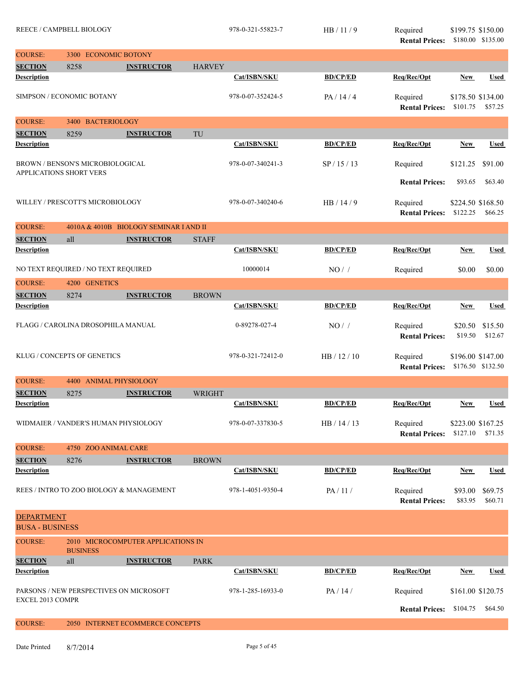|                                             | <b>REECE / CAMPBELL BIOLOGY</b><br>3300 ECONOMIC BOTONY |                                        |               | 978-0-321-55823-7 | HB/11/9         | Required<br><b>Rental Prices:</b>   | \$199.75 \$150.00             | \$180.00 \$135.00  |
|---------------------------------------------|---------------------------------------------------------|----------------------------------------|---------------|-------------------|-----------------|-------------------------------------|-------------------------------|--------------------|
| <b>COURSE:</b>                              |                                                         |                                        |               |                   |                 |                                     |                               |                    |
| <b>SECTION</b>                              | 8258                                                    | <b>INSTRUCTOR</b>                      | <b>HARVEY</b> |                   |                 |                                     |                               |                    |
| <b>Description</b>                          |                                                         |                                        |               | Cat/ISBN/SKU      | <b>BD/CP/ED</b> | Req/Rec/Opt                         | <b>New</b>                    | <b>Used</b>        |
|                                             | SIMPSON / ECONOMIC BOTANY                               |                                        |               | 978-0-07-352424-5 | PA / 14 / 4     | Required<br><b>Rental Prices:</b>   | \$178.50 \$134.00<br>\$101.75 | \$57.25            |
| <b>COURSE:</b>                              | 3400 BACTERIOLOGY                                       |                                        |               |                   |                 |                                     |                               |                    |
| <b>SECTION</b>                              | 8259                                                    | <b>INSTRUCTOR</b>                      | TU            |                   |                 |                                     |                               |                    |
| <b>Description</b>                          |                                                         |                                        |               | Cat/ISBN/SKU      | <b>BD/CP/ED</b> | Req/Rec/Opt                         | New                           | <b>Used</b>        |
| APPLICATIONS SHORT VERS                     | BROWN / BENSON'S MICROBIOLOGICAL                        |                                        |               | 978-0-07-340241-3 | SP / 15 / 13    | Required                            | \$121.25                      | \$91.00            |
|                                             |                                                         |                                        |               |                   |                 | <b>Rental Prices:</b>               | \$93.65                       | \$63.40            |
|                                             | WILLEY / PRESCOTT'S MICROBIOLOGY                        |                                        |               | 978-0-07-340240-6 | HB / 14 / 9     | Required<br><b>Rental Prices:</b>   | \$224.50 \$168.50<br>\$122.25 | \$66.25            |
| <b>COURSE:</b>                              |                                                         | 4010A & 4010B BIOLOGY SEMINAR I AND II |               |                   |                 |                                     |                               |                    |
| <b>SECTION</b>                              | all                                                     | <b>INSTRUCTOR</b>                      | <b>STAFF</b>  |                   |                 |                                     |                               |                    |
| <b>Description</b>                          |                                                         |                                        |               | Cat/ISBN/SKU      | <b>BD/CP/ED</b> | Req/Rec/Opt                         | New                           | <b>Used</b>        |
|                                             | NO TEXT REQUIRED / NO TEXT REQUIRED                     |                                        |               | 10000014          | $NO/$ /         | Required                            | \$0.00                        | \$0.00             |
| <b>COURSE:</b>                              | 4200 GENETICS                                           |                                        |               |                   |                 |                                     |                               |                    |
| <b>SECTION</b><br><b>Description</b>        | 8274                                                    | <b>INSTRUCTOR</b>                      | <b>BROWN</b>  | Cat/ISBN/SKU      | <b>BD/CP/ED</b> | Req/Rec/Opt                         |                               | <b>Used</b>        |
|                                             |                                                         |                                        |               |                   |                 |                                     | <b>New</b>                    |                    |
|                                             | FLAGG / CAROLINA DROSOPHILA MANUAL                      |                                        |               | 0-89278-027-4     | NO/             | Required<br><b>Rental Prices:</b>   | \$20.50<br>\$19.50            | \$15.50<br>\$12.67 |
|                                             | KLUG / CONCEPTS OF GENETICS                             |                                        |               | 978-0-321-72412-0 | HB / 12 / 10    | Required<br><b>Rental Prices:</b>   | \$196.00 \$147.00             | \$176.50 \$132.50  |
| <b>COURSE:</b>                              | <b>ANIMAL PHYSIOLOGY</b><br>4400                        |                                        |               |                   |                 |                                     |                               |                    |
| <b>SECTION</b>                              | 8275                                                    | <b>INSTRUCTOR</b>                      | WRIGHT        |                   |                 |                                     |                               |                    |
| Description                                 |                                                         |                                        |               | Cat/ISBN/SKU      | <b>BD/CP/ED</b> | Req/Rec/Opt                         | <b>New</b>                    | <b>Used</b>        |
|                                             | WIDMAIER / VANDER'S HUMAN PHYSIOLOGY                    |                                        |               | 978-0-07-337830-5 | HB/14/13        | Required<br>Rental Prices: \$127.10 | \$223.00 \$167.25             | \$71.35            |
| <b>COURSE:</b>                              | 4750 ZOO ANIMAL CARE                                    |                                        |               |                   |                 |                                     |                               |                    |
| <b>SECTION</b>                              | 8276                                                    | <b>INSTRUCTOR</b>                      | <b>BROWN</b>  |                   |                 |                                     |                               |                    |
| <b>Description</b>                          |                                                         |                                        |               | Cat/ISBN/SKU      | <b>BD/CP/ED</b> | Req/Rec/Opt                         | New                           | Used               |
|                                             | REES / INTRO TO ZOO BIOLOGY & MANAGEMENT                |                                        |               | 978-1-4051-9350-4 | PA/11/          | Required<br><b>Rental Prices:</b>   | \$93.00<br>\$83.95            | \$69.75<br>\$60.71 |
| <b>DEPARTMENT</b><br><b>BUSA - BUSINESS</b> |                                                         |                                        |               |                   |                 |                                     |                               |                    |
| <b>COURSE:</b>                              | <b>BUSINESS</b>                                         | 2010 MICROCOMPUTER APPLICATIONS IN     |               |                   |                 |                                     |                               |                    |
| <b>SECTION</b>                              | all                                                     | <b>INSTRUCTOR</b>                      | <b>PARK</b>   |                   |                 |                                     |                               |                    |
| <b>Description</b>                          |                                                         |                                        |               | Cat/ISBN/SKU      | <b>BD/CP/ED</b> | Req/Rec/Opt                         | <b>New</b>                    | Used               |
| <b>EXCEL 2013 COMPR</b>                     | PARSONS / NEW PERSPECTIVES ON MICROSOFT                 |                                        |               | 978-1-285-16933-0 | PA / 14 /       | Required                            | \$161.00 \$120.75             |                    |
|                                             |                                                         |                                        |               |                   |                 | <b>Rental Prices:</b>               | \$104.75                      | \$64.50            |
| <b>COURSE:</b>                              |                                                         | 2050 INTERNET ECOMMERCE CONCEPTS       |               |                   |                 |                                     |                               |                    |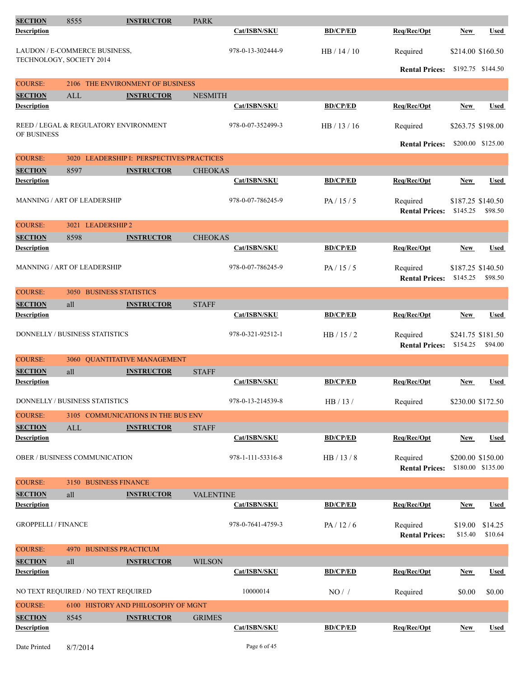| <b>SECTION</b>                       | 8555                                  | <b>INSTRUCTOR</b>                         | <b>PARK</b>      |                   |                 |                                            |                               |                    |
|--------------------------------------|---------------------------------------|-------------------------------------------|------------------|-------------------|-----------------|--------------------------------------------|-------------------------------|--------------------|
| <b>Description</b>                   |                                       |                                           |                  | Cat/ISBN/SKU      | <b>BD/CP/ED</b> | Req/Rec/Opt                                | <b>New</b>                    | <b>Used</b>        |
|                                      | LAUDON / E-COMMERCE BUSINESS,         |                                           |                  | 978-0-13-302444-9 | HB / 14 / 10    | Required                                   | \$214.00 \$160.50             |                    |
| TECHNOLOGY, SOCIETY 2014             |                                       |                                           |                  |                   |                 | <b>Rental Prices:</b>                      | \$192.75 \$144.50             |                    |
| <b>COURSE:</b>                       | 2106                                  | THE ENVIRONMENT OF BUSINESS               |                  |                   |                 |                                            |                               |                    |
| <b>SECTION</b>                       | ALL                                   | <b>INSTRUCTOR</b>                         | <b>NESMITH</b>   |                   |                 |                                            |                               |                    |
| <b>Description</b>                   |                                       |                                           |                  | Cat/ISBN/SKU      | <b>BD/CP/ED</b> | Reg/Rec/Opt                                | <b>New</b>                    | <b>Used</b>        |
| OF BUSINESS                          | REED / LEGAL & REGULATORY ENVIRONMENT |                                           |                  | 978-0-07-352499-3 | HB/13/16        | Required                                   | \$263.75 \$198.00             |                    |
|                                      |                                       |                                           |                  |                   |                 | <b>Rental Prices:</b>                      |                               | \$200.00 \$125.00  |
| <b>COURSE:</b>                       |                                       | 3020 LEADERSHIP I: PERSPECTIVES/PRACTICES |                  |                   |                 |                                            |                               |                    |
| <b>SECTION</b>                       | 8597                                  | <b>INSTRUCTOR</b>                         | <b>CHEOKAS</b>   |                   |                 |                                            |                               |                    |
| <b>Description</b>                   |                                       |                                           |                  | Cat/ISBN/SKU      | <b>BD/CP/ED</b> | Req/Rec/Opt                                | <b>New</b>                    | <b>Used</b>        |
|                                      | <b>MANNING / ART OF LEADERSHIP</b>    |                                           |                  | 978-0-07-786245-9 | PA/15/5         | Required<br><b>Rental Prices:</b>          | \$187.25 \$140.50<br>\$145.25 | \$98.50            |
| <b>COURSE:</b>                       | 3021 LEADERSHIP 2                     |                                           |                  |                   |                 |                                            |                               |                    |
| <b>SECTION</b>                       | 8598                                  | <b>INSTRUCTOR</b>                         | <b>CHEOKAS</b>   |                   |                 |                                            |                               |                    |
| <b>Description</b>                   |                                       |                                           |                  | Cat/ISBN/SKU      | <b>BD/CP/ED</b> | Req/Rec/Opt                                | New                           | <b>Used</b>        |
|                                      | MANNING / ART OF LEADERSHIP           |                                           |                  | 978-0-07-786245-9 | PA/15/5         | Required<br><b>Rental Prices:</b>          | \$187.25 \$140.50<br>\$145.25 | \$98.50            |
| <b>COURSE:</b>                       | 3050 BUSINESS STATISTICS              |                                           |                  |                   |                 |                                            |                               |                    |
|                                      |                                       |                                           |                  |                   |                 |                                            |                               |                    |
| <b>SECTION</b><br><b>Description</b> | all                                   | <b>INSTRUCTOR</b>                         | <b>STAFF</b>     | Cat/ISBN/SKU      | <b>BD/CP/ED</b> | Req/Rec/Opt                                | New                           | Used               |
|                                      | DONNELLY / BUSINESS STATISTICS        |                                           |                  | 978-0-321-92512-1 | HB/15/2         | Required<br><b>Rental Prices: \$154.25</b> | \$241.75 \$181.50             | \$94.00            |
| <b>COURSE:</b>                       | 3060                                  | <b>OUANTITATIVE MANAGEMENT</b>            |                  |                   |                 |                                            |                               |                    |
| <b>SECTION</b>                       | all                                   | <b>INSTRUCTOR</b>                         | <b>STAFF</b>     |                   |                 |                                            |                               |                    |
| <b>Description</b>                   |                                       |                                           |                  | Cat/ISBN/SKU      | <b>BD/CP/ED</b> | Req/Rec/Opt                                | <b>New</b>                    | Used               |
|                                      | DONNELLY / BUSINESS STATISTICS        |                                           |                  | 978-0-13-214539-8 | HB / 13 /       | Required                                   | \$230.00 \$172.50             |                    |
| <b>COURSE:</b>                       |                                       | 3105 COMMUNICATIONS IN THE BUS ENV        |                  |                   |                 |                                            |                               |                    |
| <b>SECTION</b>                       | $\mbox{ALL}$                          | <b>INSTRUCTOR</b>                         | <b>STAFF</b>     |                   |                 |                                            |                               |                    |
| <b>Description</b>                   |                                       |                                           |                  | Cat/ISBN/SKU      | <b>BD/CP/ED</b> | Req/Rec/Opt                                | New                           | Used               |
|                                      | <b>OBER / BUSINESS COMMUNICATION</b>  |                                           |                  | 978-1-111-53316-8 | HB / 13 / 8     | Required<br><b>Rental Prices:</b>          | \$200.00 \$150.00             | \$180.00 \$135.00  |
| <b>COURSE:</b>                       | 3150 BUSINESS FINANCE                 |                                           |                  |                   |                 |                                            |                               |                    |
| <b>SECTION</b>                       | all                                   | <b>INSTRUCTOR</b>                         | <b>VALENTINE</b> |                   |                 |                                            |                               |                    |
| <b>Description</b>                   |                                       |                                           |                  | Cat/ISBN/SKU      | <b>BD/CP/ED</b> | Req/Rec/Opt                                | New                           | <b>Used</b>        |
| <b>GROPPELLI / FINANCE</b>           |                                       |                                           |                  | 978-0-7641-4759-3 | PA/12/6         | Required<br><b>Rental Prices:</b>          | \$19.00<br>\$15.40            | \$14.25<br>\$10.64 |
| <b>COURSE:</b>                       | 4970                                  | <b>BUSINESS PRACTICUM</b>                 |                  |                   |                 |                                            |                               |                    |
| <b>SECTION</b>                       | all                                   | <b>INSTRUCTOR</b>                         | <b>WILSON</b>    |                   |                 |                                            |                               |                    |
| <b>Description</b>                   |                                       |                                           |                  | Cat/ISBN/SKU      | <b>BD/CP/ED</b> | Req/Rec/Opt                                | <b>New</b>                    | <b>Used</b>        |
|                                      | NO TEXT REQUIRED / NO TEXT REQUIRED   |                                           |                  | 10000014          | NO/             | Required                                   | \$0.00                        | \$0.00             |
| <b>COURSE:</b>                       |                                       | 6100 HISTORY AND PHILOSOPHY OF MGNT       |                  |                   |                 |                                            |                               |                    |
| <b>SECTION</b>                       | 8545                                  | <b>INSTRUCTOR</b>                         | <b>GRIMES</b>    |                   |                 |                                            |                               |                    |
| <b>Description</b>                   |                                       |                                           |                  | Cat/ISBN/SKU      | <b>BD/CP/ED</b> | Req/Rec/Opt                                | <b>New</b>                    | <b>Used</b>        |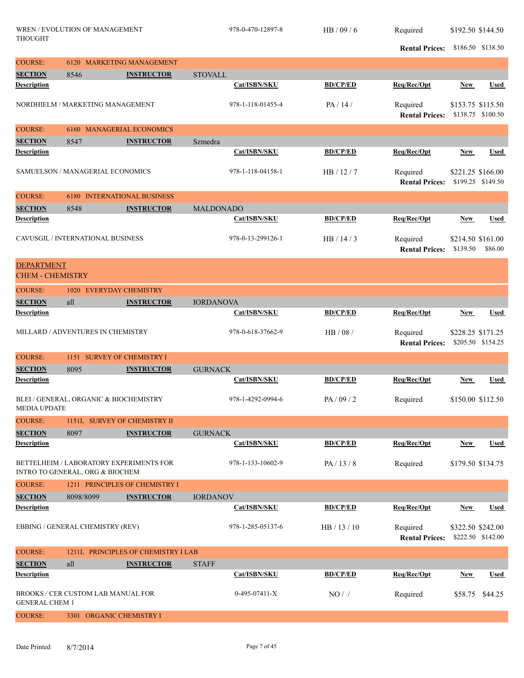|                         | WREN / EVOLUTION OF MANAGEMENT<br><b>THOUGHT</b>                           |                                     |                  | 978-0-470-12897-8 | HB / 09 / 6     | Required                          |            | \$192.50 \$144.50                      |
|-------------------------|----------------------------------------------------------------------------|-------------------------------------|------------------|-------------------|-----------------|-----------------------------------|------------|----------------------------------------|
|                         |                                                                            |                                     |                  |                   |                 | <b>Rental Prices:</b>             |            | \$186.50 \$138.50                      |
| <b>COURSE:</b>          |                                                                            | 6120 MARKETING MANAGEMENT           |                  |                   |                 |                                   |            |                                        |
| <b>SECTION</b>          | 8546                                                                       | <b>INSTRUCTOR</b>                   | <b>STOVALL</b>   |                   |                 |                                   |            |                                        |
| <b>Description</b>      |                                                                            |                                     |                  | Cat/ISBN/SKU      | <b>BD/CP/ED</b> | Req/Rec/Opt                       | <b>New</b> | Used                                   |
|                         | NORDHIELM / MARKETING MANAGEMENT                                           |                                     |                  | 978-1-118-01455-4 | PA/14/          | Required<br><b>Rental Prices:</b> |            | \$153.75 \$115.50<br>\$138.75 \$100.50 |
| <b>COURSE:</b>          |                                                                            | 6160 MANAGERIAL ECONOMICS           |                  |                   |                 |                                   |            |                                        |
| <b>SECTION</b>          | 8547                                                                       | <b>INSTRUCTOR</b>                   | Szmedra          |                   |                 |                                   |            |                                        |
| <b>Description</b>      |                                                                            |                                     |                  | Cat/ISBN/SKU      | <b>BD/CP/ED</b> | Req/Rec/Opt                       | <b>New</b> | Used                                   |
|                         | <b>SAMUELSON / MANAGERIAL ECONOMICS</b>                                    |                                     |                  | 978-1-118-04158-1 | HB / 12 / 7     | Required<br><b>Rental Prices:</b> |            | \$221.25 \$166.00<br>\$199.25 \$149.50 |
| <b>COURSE:</b>          |                                                                            | <b>6180 INTERNATIONAL BUSINESS</b>  |                  |                   |                 |                                   |            |                                        |
| <b>SECTION</b>          | 8548                                                                       | <b>INSTRUCTOR</b>                   | <b>MALDONADO</b> |                   |                 |                                   |            |                                        |
| <b>Description</b>      |                                                                            |                                     |                  | Cat/ISBN/SKU      | <b>BD/CP/ED</b> | Req/Rec/Opt                       | <b>New</b> | Used                                   |
|                         | CAVUSGIL / INTERNATIONAL BUSINESS                                          |                                     |                  | 978-0-13-299126-1 | HB / 14 / 3     | Required<br><b>Rental Prices:</b> | \$139.50   | \$214.50 \$161.00<br>\$86.00           |
| <b>DEPARTMENT</b>       |                                                                            |                                     |                  |                   |                 |                                   |            |                                        |
| <b>CHEM - CHEMISTRY</b> |                                                                            |                                     |                  |                   |                 |                                   |            |                                        |
| <b>COURSE:</b>          | 1020 EVERYDAY CHEMISTRY                                                    |                                     |                  |                   |                 |                                   |            |                                        |
| <b>SECTION</b>          | all                                                                        | <b>INSTRUCTOR</b>                   | <b>IORDANOVA</b> |                   |                 |                                   |            |                                        |
| <b>Description</b>      |                                                                            |                                     |                  | Cat/ISBN/SKU      | <b>BD/CP/ED</b> | Req/Rec/Opt                       | New        | <b>Used</b>                            |
|                         | MILLARD / ADVENTURES IN CHEMISTRY                                          |                                     |                  | 978-0-618-37662-9 | HB / 08 /       | Required<br><b>Rental Prices:</b> |            | \$228.25 \$171.25<br>\$205.50 \$154.25 |
| <b>COURSE:</b>          | 1151 SURVEY OF CHEMISTRY I                                                 |                                     |                  |                   |                 |                                   |            |                                        |
| <b>SECTION</b>          | 8095                                                                       | <b>INSTRUCTOR</b>                   | <b>GURNACK</b>   |                   |                 |                                   |            |                                        |
| <b>Description</b>      |                                                                            |                                     |                  | Cat/ISBN/SKU      | <b>BD/CP/ED</b> | Req/Rec/Opt                       | <b>New</b> | Used                                   |
| <b>MEDIA UPDATE</b>     | BLEI / GENERAL, ORGANIC & BIOCHEMISTRY                                     |                                     |                  | 978-1-4292-0994-6 | PA/09/2         | Required                          |            | \$150.00 \$112.50                      |
| <b>COURSE:</b>          |                                                                            | 1151L SURVEY OF CHEMISTRY II        |                  |                   |                 |                                   |            |                                        |
| <b>SECTION</b>          | 8097                                                                       | <b>INSTRUCTOR</b>                   | <b>GURNACK</b>   |                   |                 |                                   |            |                                        |
| <b>Description</b>      |                                                                            |                                     |                  | Cat/ISBN/SKU      | <b>BD/CP/ED</b> | Req/Rec/Opt                       | <b>New</b> | <b>Used</b>                            |
|                         | BETTELHEIM / LABORATORY EXPERIMENTS FOR<br>INTRO TO GENERAL, ORG & BIOCHEM |                                     |                  | 978-1-133-10602-9 | PA/13/8         | Required                          |            | \$179.50 \$134.75                      |
| <b>COURSE:</b>          |                                                                            | 1211 PRINCIPLES OF CHEMISTRY I      |                  |                   |                 |                                   |            |                                        |
| <b>SECTION</b>          | 8098/8099                                                                  | <b>INSTRUCTOR</b>                   | <b>IORDANOV</b>  |                   |                 |                                   |            |                                        |
| <b>Description</b>      |                                                                            |                                     |                  | Cat/ISBN/SKU      | <b>BD/CP/ED</b> | Req/Rec/Opt                       | <b>New</b> | <b>Used</b>                            |
|                         | EBBING / GENERAL CHEMISTRY (REV)                                           |                                     |                  | 978-1-285-05137-6 | HB / 13 / 10    | Required<br><b>Rental Prices:</b> |            | \$322.50 \$242.00<br>\$222.50 \$142.00 |
| <b>COURSE:</b>          |                                                                            | 1211L PRINCIPLES OF CHEMISTRY I LAB |                  |                   |                 |                                   |            |                                        |
| <b>SECTION</b>          | all                                                                        | <b>INSTRUCTOR</b>                   | <b>STAFF</b>     |                   |                 |                                   |            |                                        |
| <b>Description</b>      |                                                                            |                                     |                  | Cat/ISBN/SKU      | <b>BD/CP/ED</b> | Req/Rec/Opt                       | <b>New</b> | <b>Used</b>                            |
| <b>GENERAL CHEM 1</b>   | BROOKS / CER CUSTOM LAB MANUAL FOR                                         |                                     |                  | $0-495-07411-X$   | $NO/$ /         | Required                          | \$58.75    | \$44.25                                |
| <b>COURSE:</b>          | 3301 ORGANIC CHEMISTRY I                                                   |                                     |                  |                   |                 |                                   |            |                                        |
|                         |                                                                            |                                     |                  |                   |                 |                                   |            |                                        |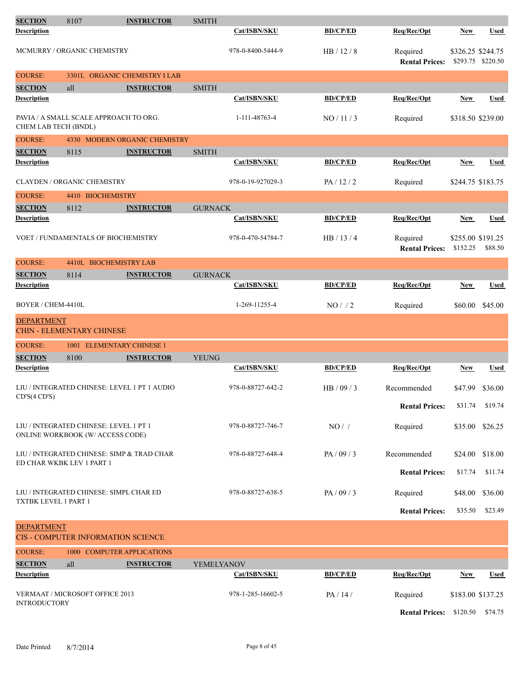| <b>SECTION</b>       | 8107                                                                       | <b>INSTRUCTOR</b>                            | <b>SMITH</b>   |                     |                 |                                   |                               |                   |
|----------------------|----------------------------------------------------------------------------|----------------------------------------------|----------------|---------------------|-----------------|-----------------------------------|-------------------------------|-------------------|
| <b>Description</b>   |                                                                            |                                              |                | <b>Cat/ISBN/SKU</b> | <b>BD/CP/ED</b> | Req/Rec/Opt                       | <b>New</b>                    | <b>Used</b>       |
|                      | MCMURRY / ORGANIC CHEMISTRY                                                |                                              |                | 978-0-8400-5444-9   | HB/12/8         | Required<br><b>Rental Prices:</b> | \$326.25 \$244.75             | \$293.75 \$220.50 |
| <b>COURSE:</b>       |                                                                            | 3301L ORGANIC CHEMISTRY I LAB                |                |                     |                 |                                   |                               |                   |
| <b>SECTION</b>       | all                                                                        | <b>INSTRUCTOR</b>                            | <b>SMITH</b>   |                     |                 |                                   |                               |                   |
| <b>Description</b>   |                                                                            |                                              |                | Cat/ISBN/SKU        | <b>BD/CP/ED</b> | Req/Rec/Opt                       | <b>New</b>                    | <b>Used</b>       |
| CHEM LAB TECH (BNDL) |                                                                            | PAVIA / A SMALL SCALE APPROACH TO ORG.       |                | 1-111-48763-4       | NO / 11 / 3     | Required                          | \$318.50 \$239.00             |                   |
| <b>COURSE:</b>       |                                                                            | 4330 MODERN ORGANIC CHEMISTRY                |                |                     |                 |                                   |                               |                   |
| <b>SECTION</b>       | 8115                                                                       | <b>INSTRUCTOR</b>                            | <b>SMITH</b>   |                     |                 |                                   |                               |                   |
| <b>Description</b>   |                                                                            |                                              |                | Cat/ISBN/SKU        | <b>BD/CP/ED</b> | Req/Rec/Opt                       | <b>New</b>                    | <b>Used</b>       |
|                      | <b>CLAYDEN / ORGANIC CHEMISTRY</b>                                         |                                              |                | 978-0-19-927029-3   | PA/12/2         | Required                          | \$244.75 \$183.75             |                   |
| <b>COURSE:</b>       | 4410 BIOCHEMISTRY                                                          |                                              |                |                     |                 |                                   |                               |                   |
| <b>SECTION</b>       | 8112                                                                       | <b>INSTRUCTOR</b>                            | <b>GURNACK</b> |                     |                 |                                   |                               |                   |
| <b>Description</b>   |                                                                            |                                              |                | Cat/ISBN/SKU        | <b>BD/CP/ED</b> | Req/Rec/Opt                       | New                           | <b>Used</b>       |
|                      |                                                                            | <b>VOET / FUNDAMENTALS OF BIOCHEMISTRY</b>   |                | 978-0-470-54784-7   | HB/13/4         | Required<br><b>Rental Prices:</b> | \$255.00 \$191.25<br>\$152.25 | \$88.50           |
| <b>COURSE:</b>       |                                                                            | 4410L BIOCHEMISTRY LAB                       |                |                     |                 |                                   |                               |                   |
| <b>SECTION</b>       | 8114                                                                       | <b>INSTRUCTOR</b>                            | <b>GURNACK</b> |                     |                 |                                   |                               |                   |
| <b>Description</b>   |                                                                            |                                              |                | Cat/ISBN/SKU        | <b>BD/CP/ED</b> | Req/Rec/Opt                       | <b>New</b>                    | <b>Used</b>       |
| BOYER / CHEM-4410L   |                                                                            |                                              |                | 1-269-11255-4       | $NO/$ / 2       | Required                          | \$60.00                       | \$45.00           |
| <b>DEPARTMENT</b>    | <b>CHIN - ELEMENTARY CHINESE</b>                                           |                                              |                |                     |                 |                                   |                               |                   |
| <b>COURSE:</b>       |                                                                            | 1001 ELEMENTARY CHINESE 1                    |                |                     |                 |                                   |                               |                   |
| <b>SECTION</b>       | 8100                                                                       | <b>INSTRUCTOR</b>                            | <b>YEUNG</b>   |                     |                 |                                   |                               |                   |
| <b>Description</b>   |                                                                            |                                              |                | Cat/ISBN/SKU        | <b>BD/CP/ED</b> | Req/Rec/Opt                       | <b>New</b>                    | <b>Used</b>       |
| $CD'S$ (4 $CD'S$ )   |                                                                            | LIU / INTEGRATED CHINESE: LEVEL 1 PT 1 AUDIO |                | 978-0-88727-642-2   | HB / 09 / 3     | Recommended                       | \$47.99                       | \$36.00           |
|                      |                                                                            |                                              |                |                     |                 | <b>Rental Prices:</b>             | \$31.74                       | \$19.74           |
|                      | LIU / INTEGRATED CHINESE: LEVEL 1 PT 1<br>ONLINE WORKBOOK (W/ ACCESS CODE) |                                              |                | 978-0-88727-746-7   | $NO/$ /         | Required                          | \$35.00                       | \$26.25           |
|                      | ED CHAR WKBK LEV 1 PART 1                                                  | LIU / INTEGRATED CHINESE: SIMP & TRAD CHAR   |                | 978-0-88727-648-4   | PA / 09 / 3     | Recommended                       | \$24.00                       | \$18.00           |
|                      |                                                                            |                                              |                |                     |                 | <b>Rental Prices:</b>             | \$17.74                       | \$11.74           |
| TXTBK LEVEL 1 PART 1 |                                                                            | LIU / INTEGRATED CHINESE: SIMPL CHAR ED      |                | 978-0-88727-638-5   | PA / 09 / 3     | Required                          | \$48.00                       | \$36.00           |
|                      |                                                                            |                                              |                |                     |                 | <b>Rental Prices:</b>             | \$35.50                       | \$23.49           |
| <b>DEPARTMENT</b>    |                                                                            | <b>CIS - COMPUTER INFORMATION SCIENCE</b>    |                |                     |                 |                                   |                               |                   |
| <b>COURSE:</b>       |                                                                            | 1000 COMPUTER APPLICATIONS                   |                |                     |                 |                                   |                               |                   |
| <b>SECTION</b>       | all                                                                        | <b>INSTRUCTOR</b>                            | YEMELYANOV     |                     |                 |                                   |                               |                   |
| <b>Description</b>   |                                                                            |                                              |                | Cat/ISBN/SKU        | <b>BD/CP/ED</b> | Req/Rec/Opt                       | <b>New</b>                    | <b>Used</b>       |
| <b>INTRODUCTORY</b>  | VERMAAT / MICROSOFT OFFICE 2013                                            |                                              |                | 978-1-285-16602-5   | PA/14/          | Required                          | \$183.00 \$137.25             |                   |
|                      |                                                                            |                                              |                |                     |                 | <b>Rental Prices:</b> \$120.50    |                               | \$74.75           |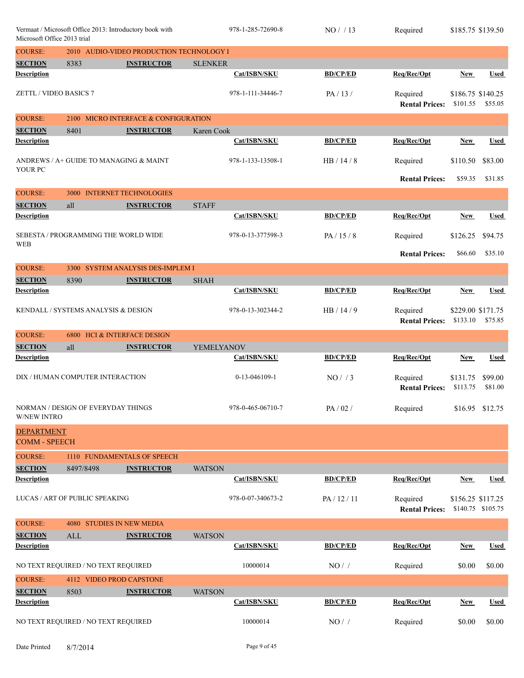| Vermaat / Microsoft Office 2013: Introductory book with<br>Microsoft Office 2013 trial |                                        |                                          | 978-1-285-72690-8 | NO/13             | Required        | \$185.75 \$139.50                          |                               |                    |
|----------------------------------------------------------------------------------------|----------------------------------------|------------------------------------------|-------------------|-------------------|-----------------|--------------------------------------------|-------------------------------|--------------------|
| <b>COURSE:</b>                                                                         |                                        | 2010 AUDIO-VIDEO PRODUCTION TECHNOLOGY I |                   |                   |                 |                                            |                               |                    |
| <b>SECTION</b>                                                                         | 8383                                   | <b>INSTRUCTOR</b>                        | <b>SLENKER</b>    |                   |                 |                                            |                               |                    |
| <b>Description</b>                                                                     |                                        |                                          |                   | Cat/ISBN/SKU      | <b>BD/CP/ED</b> | Req/Rec/Opt                                | <b>New</b>                    | <b>Used</b>        |
| ZETTL / VIDEO BASICS 7                                                                 |                                        |                                          |                   | 978-1-111-34446-7 | PA/13/          | Required<br><b>Rental Prices:</b>          | \$186.75 \$140.25<br>\$101.55 | \$55.05            |
| <b>COURSE:</b>                                                                         |                                        | 2100 MICRO INTERFACE & CONFIGURATION     |                   |                   |                 |                                            |                               |                    |
| <b>SECTION</b>                                                                         | 8401                                   | <b>INSTRUCTOR</b>                        | Karen Cook        |                   |                 |                                            |                               |                    |
| <b>Description</b>                                                                     |                                        |                                          |                   | Cat/ISBN/SKU      | <b>BD/CP/ED</b> | Req/Rec/Opt                                | <b>New</b>                    | <b>Used</b>        |
| YOUR PC                                                                                | ANDREWS / A+ GUIDE TO MANAGING & MAINT |                                          |                   | 978-1-133-13508-1 | HB/14/8         | Required                                   | \$110.50                      | \$83.00            |
|                                                                                        |                                        |                                          |                   |                   |                 | <b>Rental Prices:</b>                      | \$59.35                       | \$31.85            |
| <b>COURSE:</b>                                                                         | 3000                                   | <b>INTERNET TECHNOLOGIES</b>             |                   |                   |                 |                                            |                               |                    |
| <b>SECTION</b>                                                                         | all                                    | <b>INSTRUCTOR</b>                        | <b>STAFF</b>      |                   |                 |                                            |                               |                    |
| <b>Description</b>                                                                     |                                        |                                          |                   | Cat/ISBN/SKU      | <b>BD/CP/ED</b> | Req/Rec/Opt                                | <b>New</b>                    | <b>Used</b>        |
| <b>WEB</b>                                                                             | SEBESTA / PROGRAMMING THE WORLD WIDE   |                                          |                   | 978-0-13-377598-3 | PA/15/8         | Required                                   | \$126.25                      | \$94.75            |
|                                                                                        |                                        |                                          |                   |                   |                 | <b>Rental Prices:</b>                      | \$66.60                       | \$35.10            |
| <b>COURSE:</b>                                                                         |                                        | 3300 SYSTEM ANALYSIS DES-IMPLEM I        |                   |                   |                 |                                            |                               |                    |
| <b>SECTION</b>                                                                         | 8390                                   | <b>INSTRUCTOR</b>                        | <b>SHAH</b>       |                   |                 |                                            |                               |                    |
| <b>Description</b>                                                                     |                                        |                                          |                   | Cat/ISBN/SKU      | <b>BD/CP/ED</b> | Req/Rec/Opt                                | <b>New</b>                    | <b>Used</b>        |
|                                                                                        | KENDALL / SYSTEMS ANALYSIS & DESIGN    |                                          |                   | 978-0-13-302344-2 | HB/14/9         | Required<br><b>Rental Prices: \$133.10</b> | \$229.00 \$171.75             | \$75.85            |
|                                                                                        |                                        |                                          |                   |                   |                 |                                            |                               |                    |
| <b>COURSE:</b>                                                                         | 6800 HCI & INTERFACE DESIGN            |                                          |                   |                   |                 |                                            |                               |                    |
| <b>SECTION</b>                                                                         | all                                    | <b>INSTRUCTOR</b>                        | YEMELYANOV        |                   |                 |                                            |                               |                    |
| Description                                                                            |                                        |                                          |                   | Cat/ISBN/SKU      | <b>BD/CP/ED</b> | Req/Rec/Opt                                | New                           | <b>Used</b>        |
|                                                                                        | DIX / HUMAN COMPUTER INTERACTION       |                                          |                   | $0-13-046109-1$   | NO/ / 3         | Required<br><b>Rental Prices:</b>          | \$131.75<br>\$113.75          | \$99.00<br>\$81.00 |
| <b>W/NEW INTRO</b>                                                                     | NORMAN / DESIGN OF EVERYDAY THINGS     |                                          |                   | 978-0-465-06710-7 | PA/02/          | Required                                   |                               | \$16.95 \$12.75    |
| <b>DEPARTMENT</b><br><b>COMM - SPEECH</b>                                              |                                        |                                          |                   |                   |                 |                                            |                               |                    |
| <b>COURSE:</b>                                                                         |                                        | 1110 FUNDAMENTALS OF SPEECH              |                   |                   |                 |                                            |                               |                    |
| <b>SECTION</b>                                                                         | 8497/8498                              | <b>INSTRUCTOR</b>                        | <b>WATSON</b>     |                   |                 |                                            |                               |                    |
| <b>Description</b>                                                                     |                                        |                                          |                   | Cat/ISBN/SKU      | <b>BD/CP/ED</b> | Req/Rec/Opt                                | <b>New</b>                    | <b>Used</b>        |
|                                                                                        | LUCAS / ART OF PUBLIC SPEAKING         |                                          |                   | 978-0-07-340673-2 | PA/12/11        | Required<br><b>Rental Prices:</b>          | \$156.25 \$117.25             | \$140.75 \$105.75  |
| <b>COURSE:</b>                                                                         | 4080 STUDIES IN NEW MEDIA              |                                          |                   |                   |                 |                                            |                               |                    |
| <b>SECTION</b>                                                                         | ALL                                    | <b>INSTRUCTOR</b>                        | <b>WATSON</b>     |                   |                 |                                            |                               |                    |
| <b>Description</b>                                                                     |                                        |                                          |                   | Cat/ISBN/SKU      | <b>BD/CP/ED</b> | Req/Rec/Opt                                | <b>New</b>                    | <b>Used</b>        |
|                                                                                        | NO TEXT REQUIRED / NO TEXT REQUIRED    |                                          |                   | 10000014          | $NO/$ /         | Required                                   | \$0.00                        | \$0.00             |
| <b>COURSE:</b>                                                                         | 4112 VIDEO PROD CAPSTONE               |                                          |                   |                   |                 |                                            |                               |                    |
| <b>SECTION</b>                                                                         | 8503                                   | <b>INSTRUCTOR</b>                        | <b>WATSON</b>     |                   |                 |                                            |                               |                    |
| <b>Description</b>                                                                     |                                        |                                          |                   | Cat/ISBN/SKU      | <b>BD/CP/ED</b> | Req/Rec/Opt                                | <b>New</b>                    | <b>Used</b>        |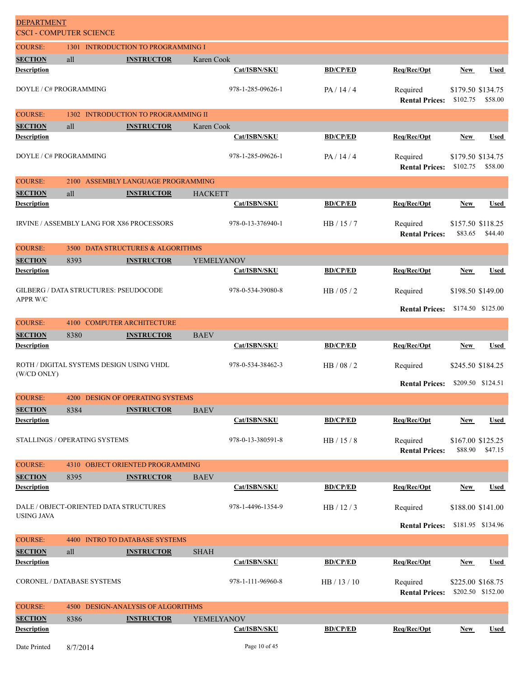| <b>DEPARTMENT</b><br><b>CSCI - COMPUTER SCIENCE</b> |          |                                              |                   |                 |                                   |            |                                        |
|-----------------------------------------------------|----------|----------------------------------------------|-------------------|-----------------|-----------------------------------|------------|----------------------------------------|
| <b>COURSE:</b>                                      |          | 1301 INTRODUCTION TO PROGRAMMING I           |                   |                 |                                   |            |                                        |
| <b>SECTION</b>                                      | all      | <b>INSTRUCTOR</b>                            | Karen Cook        |                 |                                   |            |                                        |
| <b>Description</b>                                  |          |                                              | Cat/ISBN/SKU      | <b>BD/CP/ED</b> | Req/Rec/Opt                       | New        | <b>Used</b>                            |
| DOYLE / C# PROGRAMMING                              |          |                                              | 978-1-285-09626-1 | PA/14/4         | Required<br><b>Rental Prices:</b> | \$102.75   | \$179.50 \$134.75<br>\$58.00           |
| <b>COURSE:</b>                                      |          | 1302 INTRODUCTION TO PROGRAMMING II          |                   |                 |                                   |            |                                        |
| <b>SECTION</b>                                      | all      | <b>INSTRUCTOR</b>                            | Karen Cook        |                 |                                   |            |                                        |
| <b>Description</b>                                  |          |                                              | Cat/ISBN/SKU      | <b>BD/CP/ED</b> | Req/Rec/Opt                       | <b>New</b> | <b>Used</b>                            |
| DOYLE / C# PROGRAMMING                              |          |                                              | 978-1-285-09626-1 | PA / 14 / 4     | Required<br><b>Rental Prices:</b> | \$102.75   | \$179.50 \$134.75<br>\$58.00           |
| <b>COURSE:</b>                                      | 2100     | ASSEMBLY LANGUAGE PROGRAMMING                |                   |                 |                                   |            |                                        |
| <b>SECTION</b>                                      | all      | <b>INSTRUCTOR</b>                            | <b>HACKETT</b>    |                 |                                   |            |                                        |
| <b>Description</b>                                  |          |                                              | Cat/ISBN/SKU      | <b>BD/CP/ED</b> | Req/Rec/Opt                       | New        | <b>Used</b>                            |
|                                                     |          | IRVINE / ASSEMBLY LANG FOR X86 PROCESSORS    | 978-0-13-376940-1 | HB/15/7         | Required<br><b>Rental Prices:</b> | \$83.65    | \$157.50 \$118.25<br>\$44.40           |
| <b>COURSE:</b>                                      |          | 3500 DATA STRUCTURES & ALGORITHMS            |                   |                 |                                   |            |                                        |
| <b>SECTION</b>                                      | 8393     | <b>INSTRUCTOR</b>                            | YEMELYANOV        |                 |                                   |            |                                        |
| <b>Description</b>                                  |          |                                              | Cat/ISBN/SKU      | <b>BD/CP/ED</b> | Req/Rec/Opt                       | New        | <b>Used</b>                            |
| APPR W/C                                            |          | <b>GILBERG / DATA STRUCTURES: PSEUDOCODE</b> | 978-0-534-39080-8 | HB / 05 / 2     | Required                          |            | \$198.50 \$149.00                      |
|                                                     |          |                                              |                   |                 | <b>Rental Prices:</b>             |            | \$174.50 \$125.00                      |
| <b>COURSE:</b>                                      | 4100     | <b>COMPUTER ARCHITECTURE</b>                 |                   |                 |                                   |            |                                        |
| <b>SECTION</b>                                      | 8380     | <b>INSTRUCTOR</b>                            | <b>BAEV</b>       |                 |                                   |            |                                        |
| <b>Description</b>                                  |          |                                              | Cat/ISBN/SKU      | <b>BD/CP/ED</b> | Req/Rec/Opt                       | New        | <b>Used</b>                            |
|                                                     |          | ROTH / DIGITAL SYSTEMS DESIGN USING VHDL     | 978-0-534-38462-3 | HB / 08 / 2     | Required                          |            | \$245.50 \$184.25                      |
| (W/CD ONLY)                                         |          |                                              |                   |                 | <b>Rental Prices:</b>             |            | \$209.50 \$124.51                      |
| <b>COURSE:</b>                                      |          | 4200 DESIGN OF OPERATING SYSTEMS             |                   |                 |                                   |            |                                        |
| <b>SECTION</b>                                      | 8384     | <b>INSTRUCTOR</b>                            | <b>BAEV</b>       |                 |                                   |            |                                        |
| <b>Description</b>                                  |          |                                              | Cat/ISBN/SKU      | <b>BD/CP/ED</b> | Req/Rec/Opt                       | <b>New</b> | <b>Used</b>                            |
| STALLINGS / OPERATING SYSTEMS                       |          |                                              | 978-0-13-380591-8 | HB / 15 / 8     | Required<br><b>Rental Prices:</b> | \$88.90    | \$167.00 \$125.25<br>\$47.15           |
| <b>COURSE:</b>                                      |          | 4310 OBJECT ORIENTED PROGRAMMING             |                   |                 |                                   |            |                                        |
| <b>SECTION</b>                                      | 8395     | <b>INSTRUCTOR</b>                            | <b>BAEV</b>       |                 |                                   |            |                                        |
| <b>Description</b>                                  |          |                                              | Cat/ISBN/SKU      | <b>BD/CP/ED</b> | Req/Rec/Opt                       | <b>New</b> | <b>Used</b>                            |
| <b>USING JAVA</b>                                   |          | DALE / OBJECT-ORIENTED DATA STRUCTURES       | 978-1-4496-1354-9 | HB/12/3         | Required                          |            | \$188.00 \$141.00                      |
|                                                     |          |                                              |                   |                 | <b>Rental Prices:</b>             |            | \$181.95 \$134.96                      |
| <b>COURSE:</b>                                      |          | 4400 INTRO TO DATABASE SYSTEMS               |                   |                 |                                   |            |                                        |
| <b>SECTION</b>                                      | all      | <b>INSTRUCTOR</b>                            | <b>SHAH</b>       |                 |                                   |            |                                        |
| <b>Description</b>                                  |          |                                              | Cat/ISBN/SKU      | <b>BD/CP/ED</b> | Req/Rec/Opt                       | <b>New</b> | <b>Used</b>                            |
| CORONEL / DATABASE SYSTEMS                          |          |                                              | 978-1-111-96960-8 | HB / 13 / 10    | Required<br><b>Rental Prices:</b> |            | \$225.00 \$168.75<br>\$202.50 \$152.00 |
| <b>COURSE:</b>                                      |          | 4500 DESIGN-ANALYSIS OF ALGORITHMS           |                   |                 |                                   |            |                                        |
| <b>SECTION</b>                                      | 8386     | <b>INSTRUCTOR</b>                            | YEMELYANOV        |                 |                                   |            |                                        |
| <b>Description</b>                                  |          |                                              | Cat/ISBN/SKU      | <b>BD/CP/ED</b> | Req/Rec/Opt                       | New        | <b>Used</b>                            |
| Date Printed                                        | 8/7/2014 |                                              | Page 10 of 45     |                 |                                   |            |                                        |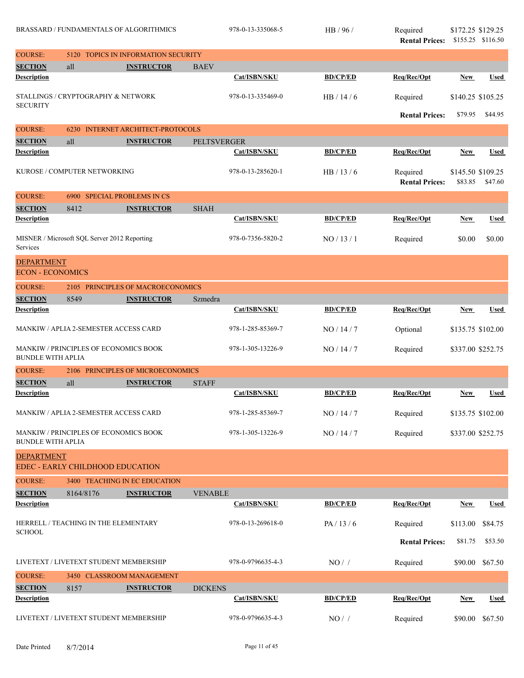|                          | BRASSARD / FUNDAMENTALS OF ALGORITHMICS<br><b>TOPICS IN INFORMATION SECURITY</b><br>5120 |                                      |                    | 978-0-13-335068-5 | HB / 96 /       | Required<br><b>Rental Prices:</b> | \$172.25 \$129.25            | \$155.25 \$116.50 |
|--------------------------|------------------------------------------------------------------------------------------|--------------------------------------|--------------------|-------------------|-----------------|-----------------------------------|------------------------------|-------------------|
| <b>COURSE:</b>           |                                                                                          |                                      |                    |                   |                 |                                   |                              |                   |
| <b>SECTION</b>           | all                                                                                      | <b>INSTRUCTOR</b>                    | <b>BAEV</b>        |                   |                 |                                   |                              |                   |
| <b>Description</b>       |                                                                                          |                                      |                    | Cat/ISBN/SKU      | <b>BD/CP/ED</b> | Reg/Rec/Opt                       | New                          | <b>Used</b>       |
| <b>SECURITY</b>          | STALLINGS / CRYPTOGRAPHY & NETWORK                                                       |                                      |                    | 978-0-13-335469-0 | HB/14/6         | Required                          | \$140.25 \$105.25            |                   |
|                          |                                                                                          |                                      |                    |                   |                 | <b>Rental Prices:</b>             | \$79.95                      | \$44.95           |
| <b>COURSE:</b>           | 6230                                                                                     | <b>INTERNET ARCHITECT-PROTOCOLS</b>  |                    |                   |                 |                                   |                              |                   |
| <b>SECTION</b>           | all                                                                                      | <b>INSTRUCTOR</b>                    | <b>PELTSVERGER</b> |                   |                 |                                   |                              |                   |
| <b>Description</b>       |                                                                                          |                                      |                    | Cat/ISBN/SKU      | <b>BD/CP/ED</b> | Req/Rec/Opt                       | <b>New</b>                   | <b>Used</b>       |
|                          | KUROSE / COMPUTER NETWORKING                                                             |                                      |                    | 978-0-13-285620-1 | HB/13/6         | Required<br><b>Rental Prices:</b> | \$145.50 \$109.25<br>\$83.85 | \$47.60           |
| <b>COURSE:</b>           |                                                                                          | 6900 SPECIAL PROBLEMS IN CS          |                    |                   |                 |                                   |                              |                   |
| <b>SECTION</b>           | 8412                                                                                     | <b>INSTRUCTOR</b>                    | <b>SHAH</b>        |                   |                 |                                   |                              |                   |
| <b>Description</b>       |                                                                                          |                                      |                    | Cat/ISBN/SKU      | <b>BD/CP/ED</b> | Req/Rec/Opt                       | <b>New</b>                   | <b>Used</b>       |
| Services                 | MISNER / Microsoft SQL Server 2012 Reporting                                             |                                      |                    | 978-0-7356-5820-2 | NO/13/1         | Required                          | \$0.00                       | \$0.00            |
| <b>DEPARTMENT</b>        |                                                                                          |                                      |                    |                   |                 |                                   |                              |                   |
| <b>ECON - ECONOMICS</b>  |                                                                                          |                                      |                    |                   |                 |                                   |                              |                   |
| <b>COURSE:</b>           |                                                                                          | 2105 PRINCIPLES OF MACROECONOMICS    |                    |                   |                 |                                   |                              |                   |
| <b>SECTION</b>           | 8549                                                                                     | <b>INSTRUCTOR</b>                    | Szmedra            |                   |                 |                                   |                              |                   |
| <b>Description</b>       |                                                                                          |                                      |                    | Cat/ISBN/SKU      | <b>BD/CP/ED</b> | Reg/Rec/Opt                       | <b>New</b>                   | <b>Used</b>       |
|                          |                                                                                          |                                      |                    |                   |                 |                                   |                              |                   |
|                          | MANKIW / APLIA 2-SEMESTER ACCESS CARD                                                    |                                      |                    | 978-1-285-85369-7 | NO/14/7         | Optional                          | \$135.75 \$102.00            |                   |
| <b>BUNDLE WITH APLIA</b> | MANKIW / PRINCIPLES OF ECONOMICS BOOK                                                    |                                      |                    | 978-1-305-13226-9 | NO/14/7         | Required                          | \$337.00 \$252.75            |                   |
| <b>COURSE:</b>           |                                                                                          | 2106 PRINCIPLES OF MICROECONOMICS    |                    |                   |                 |                                   |                              |                   |
| <b>SECTION</b>           | all                                                                                      | <b>INSTRUCTOR</b>                    | <b>STAFF</b>       |                   |                 |                                   |                              |                   |
| <b>Description</b>       |                                                                                          |                                      |                    | Cat/ISBN/SKU      | <b>BD/CP/ED</b> | Req/Rec/Opt                       | <b>New</b>                   | <b>Used</b>       |
|                          | MANKIW / APLIA 2-SEMESTER ACCESS CARD                                                    |                                      |                    | 978-1-285-85369-7 | NO/14/7         | Required                          | \$135.75 \$102.00            |                   |
| <b>BUNDLE WITH APLIA</b> | MANKIW / PRINCIPLES OF ECONOMICS BOOK                                                    |                                      |                    | 978-1-305-13226-9 | NO/14/7         | Required                          | \$337.00 \$252.75            |                   |
| <b>DEPARTMENT</b>        |                                                                                          |                                      |                    |                   |                 |                                   |                              |                   |
|                          | EDEC - EARLY CHILDHOOD EDUCATION                                                         |                                      |                    |                   |                 |                                   |                              |                   |
| <b>COURSE:</b>           |                                                                                          | <b>3400 TEACHING IN EC EDUCATION</b> |                    |                   |                 |                                   |                              |                   |
| <b>SECTION</b>           | 8164/8176                                                                                | <b>INSTRUCTOR</b>                    | <b>VENABLE</b>     |                   |                 |                                   |                              |                   |
| <b>Description</b>       |                                                                                          |                                      |                    | Cat/ISBN/SKU      | <b>BD/CP/ED</b> | Req/Rec/Opt                       | <b>New</b>                   | <b>Used</b>       |
|                          | HERRELL / TEACHING IN THE ELEMENTARY                                                     |                                      |                    | 978-0-13-269618-0 |                 |                                   |                              |                   |
| <b>SCHOOL</b>            |                                                                                          |                                      |                    |                   | PA/13/6         | Required                          | \$113.00                     | \$84.75           |
|                          |                                                                                          |                                      |                    |                   |                 | <b>Rental Prices:</b>             | \$81.75                      | \$53.50           |
|                          | LIVETEXT / LIVETEXT STUDENT MEMBERSHIP                                                   |                                      |                    | 978-0-9796635-4-3 | $NO/$ /         | Required                          | \$90.00                      | \$67.50           |
| <b>COURSE:</b>           |                                                                                          | 3450 CLASSROOM MANAGEMENT            |                    |                   |                 |                                   |                              |                   |
| <b>SECTION</b>           | 8157                                                                                     | <b>INSTRUCTOR</b>                    | <b>DICKENS</b>     |                   |                 |                                   |                              |                   |
| <b>Description</b>       |                                                                                          |                                      |                    | Cat/ISBN/SKU      | <b>BD/CP/ED</b> | Req/Rec/Opt                       | <b>New</b>                   | <b>Used</b>       |
|                          | LIVETEXT / LIVETEXT STUDENT MEMBERSHIP                                                   |                                      |                    | 978-0-9796635-4-3 | $NO/$ /         | Required                          | \$90.00                      | \$67.50           |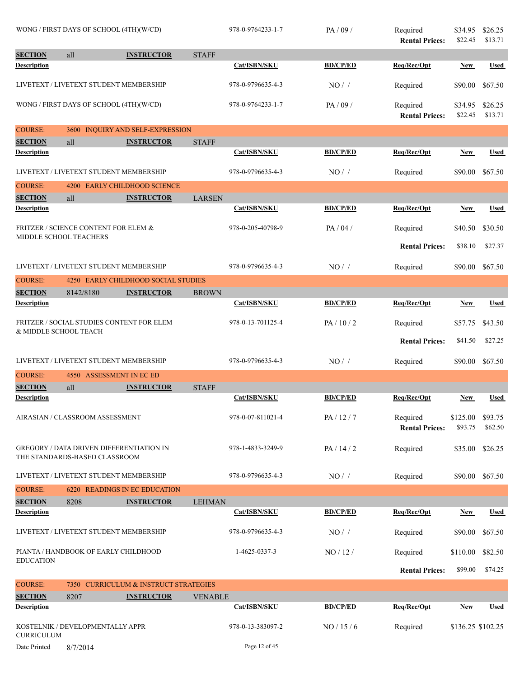|                    | WONG / FIRST DAYS OF SCHOOL (4TH)(W/CD)                                   |                                                 |                | 978-0-9764233-1-7 | PA/09/          | Required<br><b>Rental Prices:</b> | \$34.95<br>\$22.45  | \$26.25<br>\$13.71 |
|--------------------|---------------------------------------------------------------------------|-------------------------------------------------|----------------|-------------------|-----------------|-----------------------------------|---------------------|--------------------|
| <b>SECTION</b>     | all                                                                       | <b>INSTRUCTOR</b>                               | <b>STAFF</b>   |                   |                 |                                   |                     |                    |
| <b>Description</b> |                                                                           |                                                 |                | Cat/ISBN/SKU      | <b>BD/CP/ED</b> | Req/Rec/Opt                       | <b>New</b>          | <b>Used</b>        |
|                    |                                                                           | LIVETEXT / LIVETEXT STUDENT MEMBERSHIP          |                | 978-0-9796635-4-3 | NO/             | Required                          | \$90.00             | \$67.50            |
|                    | WONG / FIRST DAYS OF SCHOOL (4TH)(W/CD)                                   |                                                 |                | 978-0-9764233-1-7 | PA/09/          | Required<br><b>Rental Prices:</b> | \$34.95<br>\$22.45  | \$26.25<br>\$13.71 |
| <b>COURSE:</b>     | 3600                                                                      | <b>INQUIRY AND SELF-EXPRESSION</b>              |                |                   |                 |                                   |                     |                    |
| <b>SECTION</b>     | all                                                                       | <b>INSTRUCTOR</b>                               | <b>STAFF</b>   |                   |                 |                                   |                     |                    |
| <b>Description</b> |                                                                           |                                                 |                | Cat/ISBN/SKU      | <b>BD/CP/ED</b> | Req/Rec/Opt                       | New                 | <b>Used</b>        |
|                    |                                                                           | LIVETEXT / LIVETEXT STUDENT MEMBERSHIP          |                | 978-0-9796635-4-3 | NO/             | Required                          | \$90.00             | \$67.50            |
| <b>COURSE:</b>     | 4200                                                                      | <b>EARLY CHILDHOOD SCIENCE</b>                  |                |                   |                 |                                   |                     |                    |
| <b>SECTION</b>     | all                                                                       | <b>INSTRUCTOR</b>                               | <b>LARSEN</b>  |                   |                 |                                   |                     |                    |
| <b>Description</b> |                                                                           |                                                 |                | Cat/ISBN/SKU      | <b>BD/CP/ED</b> | Req/Rec/Opt                       | New                 | <b>Used</b>        |
|                    | <b>FRITZER / SCIENCE CONTENT FOR ELEM &amp;</b><br>MIDDLE SCHOOL TEACHERS |                                                 |                | 978-0-205-40798-9 | PA / 04 /       | Required                          | \$40.50             | \$30.50            |
|                    |                                                                           |                                                 |                |                   |                 | <b>Rental Prices:</b>             | \$38.10             | \$27.37            |
|                    |                                                                           | LIVETEXT / LIVETEXT STUDENT MEMBERSHIP          |                | 978-0-9796635-4-3 | NO/             | Required                          | \$90.00             | \$67.50            |
| <b>COURSE:</b>     |                                                                           | 4250 EARLY CHILDHOOD SOCIAL STUDIES             |                |                   |                 |                                   |                     |                    |
| <b>SECTION</b>     | 8142/8180                                                                 | <b>INSTRUCTOR</b>                               | <b>BROWN</b>   |                   |                 |                                   |                     |                    |
| <b>Description</b> |                                                                           |                                                 |                | Cat/ISBN/SKU      | <b>BD/CP/ED</b> | Req/Rec/Opt                       | New                 | <b>Used</b>        |
|                    | & MIDDLE SCHOOL TEACH                                                     | FRITZER / SOCIAL STUDIES CONTENT FOR ELEM       |                | 978-0-13-701125-4 | PA/10/2         | Required                          | \$57.75             | \$43.50            |
|                    |                                                                           |                                                 |                |                   |                 | <b>Rental Prices:</b>             | \$41.50             | \$27.25            |
|                    |                                                                           | LIVETEXT / LIVETEXT STUDENT MEMBERSHIP          |                | 978-0-9796635-4-3 | $NO/$ /         | Required                          | \$90.00             | \$67.50            |
| <b>COURSE:</b>     |                                                                           | 4550 ASSESSMENT IN EC ED                        |                |                   |                 |                                   |                     |                    |
| <b>SECTION</b>     | all                                                                       | <b>INSTRUCTOR</b>                               | <b>STAFF</b>   |                   |                 |                                   |                     |                    |
| <b>Description</b> |                                                                           |                                                 |                | Cat/ISBN/SKU      | <b>BD/CP/ED</b> | Req/Rec/Opt                       | New                 | <b>Used</b>        |
|                    | AIRASIAN / CLASSROOM ASSESSMENT                                           |                                                 |                | 978-0-07-811021-4 | PA/12/7         | Required<br><b>Rental Prices:</b> | \$125.00<br>\$93.75 | \$93.75<br>\$62.50 |
|                    | THE STANDARDS-BASED CLASSROOM                                             | <b>GREGORY / DATA DRIVEN DIFFERENTIATION IN</b> |                | 978-1-4833-3249-9 | PA/14/2         | Required                          | \$35.00             | \$26.25            |
|                    |                                                                           | LIVETEXT / LIVETEXT STUDENT MEMBERSHIP          |                | 978-0-9796635-4-3 | NO/             | Required                          | \$90.00             | \$67.50            |
| <b>COURSE:</b>     |                                                                           | <b>6220 READINGS IN EC EDUCATION</b>            |                |                   |                 |                                   |                     |                    |
| <b>SECTION</b>     | 8208                                                                      | <b>INSTRUCTOR</b>                               | <b>LEHMAN</b>  |                   |                 |                                   |                     |                    |
| <b>Description</b> |                                                                           |                                                 |                | Cat/ISBN/SKU      | <b>BD/CP/ED</b> | Req/Rec/Opt                       | New                 | Used               |
|                    |                                                                           | LIVETEXT / LIVETEXT STUDENT MEMBERSHIP          |                | 978-0-9796635-4-3 | NO/             | Required                          | \$90.00             | \$67.50            |
|                    | PIANTA / HANDBOOK OF EARLY CHILDHOOD                                      |                                                 |                | 1-4625-0337-3     | NO/12/          | Required                          | \$110.00            | \$82.50            |
| <b>EDUCATION</b>   |                                                                           |                                                 |                |                   |                 | <b>Rental Prices:</b>             | \$99.00             | \$74.25            |
| <b>COURSE:</b>     |                                                                           | 7350 CURRICULUM & INSTRUCT STRATEGIES           |                |                   |                 |                                   |                     |                    |
| <b>SECTION</b>     | 8207                                                                      | <b>INSTRUCTOR</b>                               | <b>VENABLE</b> |                   |                 |                                   |                     |                    |
| <b>Description</b> |                                                                           |                                                 |                | Cat/ISBN/SKU      | <b>BD/CP/ED</b> | Req/Rec/Opt                       | New                 | <b>Used</b>        |
| <b>CURRICULUM</b>  | KOSTELNIK / DEVELOPMENTALLY APPR                                          |                                                 |                | 978-0-13-383097-2 | NO / 15 / 6     | Required                          | \$136.25 \$102.25   |                    |
| Date Printed       | 8/7/2014                                                                  |                                                 |                | Page 12 of 45     |                 |                                   |                     |                    |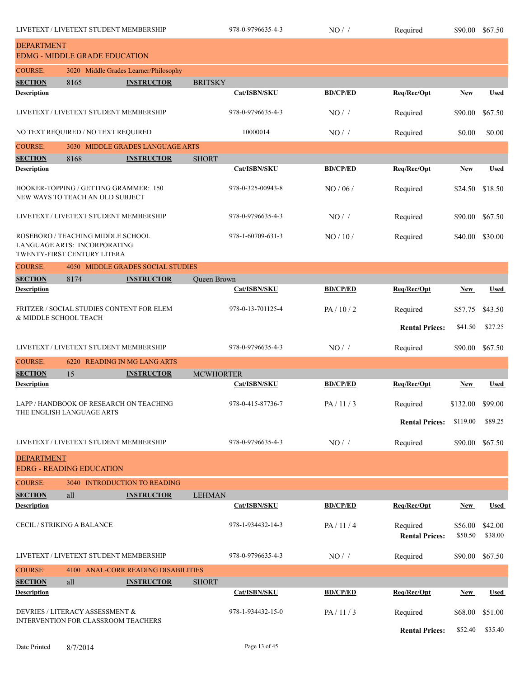|                                                                                                  | LIVETEXT / LIVETEXT STUDENT MEMBERSHIP |                                                            |                   | 978-0-9796635-4-3 | NO/             | Required              | \$90.00          | \$67.50         |
|--------------------------------------------------------------------------------------------------|----------------------------------------|------------------------------------------------------------|-------------------|-------------------|-----------------|-----------------------|------------------|-----------------|
| <b>DEPARTMENT</b>                                                                                |                                        |                                                            |                   |                   |                 |                       |                  |                 |
|                                                                                                  | <b>EDMG - MIDDLE GRADE EDUCATION</b>   |                                                            |                   |                   |                 |                       |                  |                 |
| <b>COURSE:</b><br><b>SECTION</b>                                                                 | 8165                                   | 3020 Middle Grades Learner/Philosophy<br><b>INSTRUCTOR</b> | <b>BRITSKY</b>    |                   |                 |                       |                  |                 |
| <b>Description</b>                                                                               |                                        |                                                            |                   | Cat/ISBN/SKU      | <b>BD/CP/ED</b> | Req/Rec/Opt           | <b>New</b>       | <b>Used</b>     |
|                                                                                                  |                                        | LIVETEXT / LIVETEXT STUDENT MEMBERSHIP                     |                   | 978-0-9796635-4-3 | NO/             | Required              | \$90.00          | \$67.50         |
|                                                                                                  | NO TEXT REQUIRED / NO TEXT REQUIRED    |                                                            |                   | 10000014          | NO/             | Required              | \$0.00           | \$0.00          |
| <b>COURSE:</b>                                                                                   |                                        | 3030 MIDDLE GRADES LANGUAGE ARTS                           |                   |                   |                 |                       |                  |                 |
| <b>SECTION</b>                                                                                   | 8168                                   | <b>INSTRUCTOR</b>                                          | <b>SHORT</b>      |                   |                 |                       |                  |                 |
| <b>Description</b>                                                                               |                                        |                                                            |                   | Cat/ISBN/SKU      | <b>BD/CP/ED</b> | Req/Rec/Opt           | <b>New</b>       | <b>Used</b>     |
|                                                                                                  | NEW WAYS TO TEACH AN OLD SUBJECT       | HOOKER-TOPPING / GETTING GRAMMER: 150                      |                   | 978-0-325-00943-8 | NO/06/          | Required              | \$24.50          | \$18.50         |
|                                                                                                  | LIVETEXT / LIVETEXT STUDENT MEMBERSHIP |                                                            |                   | 978-0-9796635-4-3 | NO/             | Required              | \$90.00          | \$67.50         |
| ROSEBORO / TEACHING MIDDLE SCHOOL<br>LANGUAGE ARTS: INCORPORATING<br>TWENTY-FIRST CENTURY LITERA |                                        |                                                            | 978-1-60709-631-3 | NO/10/            | Required        | \$40.00               | \$30.00          |                 |
| <b>COURSE:</b>                                                                                   |                                        | 4050 MIDDLE GRADES SOCIAL STUDIES                          |                   |                   |                 |                       |                  |                 |
| <b>SECTION</b>                                                                                   | 8174                                   | <b>INSTRUCTOR</b>                                          | Queen Brown       |                   |                 |                       |                  |                 |
| <b>Description</b>                                                                               |                                        |                                                            |                   | Cat/ISBN/SKU      | <b>BD/CP/ED</b> | Req/Rec/Opt           | <b>New</b>       | <b>Used</b>     |
| FRITZER / SOCIAL STUDIES CONTENT FOR ELEM<br>& MIDDLE SCHOOL TEACH                               |                                        |                                                            | 978-0-13-701125-4 | PA/10/2           | Required        | \$57.75               | \$43.50          |                 |
|                                                                                                  |                                        |                                                            |                   |                   |                 | <b>Rental Prices:</b> | \$41.50          | \$27.25         |
|                                                                                                  |                                        | LIVETEXT / LIVETEXT STUDENT MEMBERSHIP                     |                   | 978-0-9796635-4-3 | NO/             | Required              | \$90.00          | \$67.50         |
| <b>COURSE:</b>                                                                                   |                                        | 6220 READING IN MG LANG ARTS                               |                   |                   |                 |                       |                  |                 |
| <b>SECTION</b>                                                                                   | 15                                     | <b>INSTRUCTOR</b>                                          | <b>MCWHORTER</b>  | Cat/ISBN/SKU      |                 |                       |                  |                 |
| <b>Description</b>                                                                               |                                        |                                                            |                   |                   | <b>BD/CP/ED</b> | Req/Rec/Opt           | <b>New</b>       | Used            |
|                                                                                                  |                                        | LAPP / HANDBOOK OF RESEARCH ON TEACHING                    |                   | 978-0-415-87736-7 | PA/11/3         | Required              | \$132.00 \$99.00 |                 |
|                                                                                                  | THE ENGLISH LANGUAGE ARTS              |                                                            |                   |                   |                 | <b>Rental Prices:</b> | \$119.00         | \$89.25         |
|                                                                                                  |                                        | LIVETEXT / LIVETEXT STUDENT MEMBERSHIP                     |                   | 978-0-9796635-4-3 | NO/             | Required              |                  | \$90.00 \$67.50 |
| <b>DEPARTMENT</b>                                                                                |                                        |                                                            |                   |                   |                 |                       |                  |                 |
|                                                                                                  | <b>EDRG - READING EDUCATION</b>        |                                                            |                   |                   |                 |                       |                  |                 |
| <b>COURSE:</b><br><b>SECTION</b>                                                                 | all                                    | 3040 INTRODUCTION TO READING<br><b>INSTRUCTOR</b>          | <b>LEHMAN</b>     |                   |                 |                       |                  |                 |
| <b>Description</b>                                                                               |                                        |                                                            |                   | Cat/ISBN/SKU      | <b>BD/CP/ED</b> | Req/Rec/Opt           | New              | <b>Used</b>     |
|                                                                                                  | <b>CECIL / STRIKING A BALANCE</b>      |                                                            |                   | 978-1-934432-14-3 | PA/11/4         | Required              | \$56.00          | \$42.00         |
|                                                                                                  |                                        |                                                            |                   |                   |                 | <b>Rental Prices:</b> | \$50.50          | \$38.00         |
|                                                                                                  |                                        | LIVETEXT / LIVETEXT STUDENT MEMBERSHIP                     |                   | 978-0-9796635-4-3 | $NO/$ /         | Required              | \$90.00          | \$67.50         |
| <b>COURSE:</b>                                                                                   |                                        | 4100 ANAL-CORR READING DISABILITIES                        |                   |                   |                 |                       |                  |                 |
| <b>SECTION</b><br><b>Description</b>                                                             | all                                    | <b>INSTRUCTOR</b>                                          | <b>SHORT</b>      | Cat/ISBN/SKU      | <b>BD/CP/ED</b> | Req/Rec/Opt           | <b>New</b>       | <b>Used</b>     |
|                                                                                                  |                                        |                                                            |                   |                   |                 |                       |                  |                 |
|                                                                                                  | DEVRIES / LITERACY ASSESSMENT &        | INTERVENTION FOR CLASSROOM TEACHERS                        |                   | 978-1-934432-15-0 | PA/11/3         | Required              | \$68.00          | \$51.00         |
|                                                                                                  |                                        |                                                            |                   |                   |                 | <b>Rental Prices:</b> | \$52.40          | \$35.40         |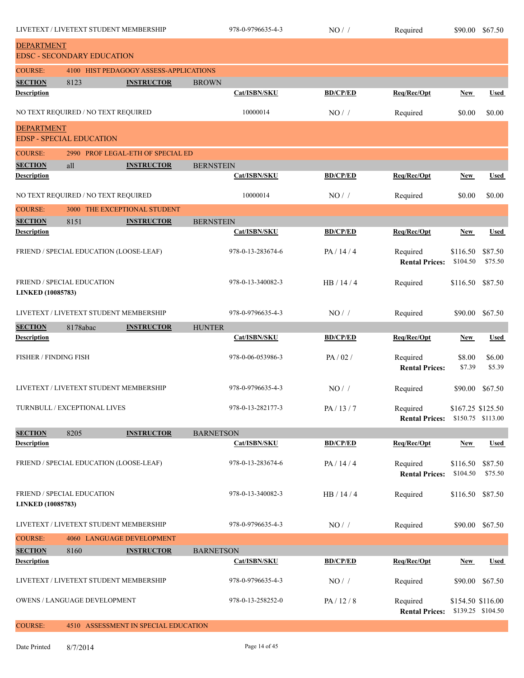| LIVETEXT / LIVETEXT STUDENT MEMBERSHIP                 |                                     |                                         | 978-0-9796635-4-3   | $NO/$ /         | Required                          | \$90.00                                | \$67.50            |
|--------------------------------------------------------|-------------------------------------|-----------------------------------------|---------------------|-----------------|-----------------------------------|----------------------------------------|--------------------|
| <b>DEPARTMENT</b>                                      | <b>EDSC - SECONDARY EDUCATION</b>   |                                         |                     |                 |                                   |                                        |                    |
| <b>COURSE:</b>                                         |                                     | 4100 HIST PEDAGOGY ASSESS-APPLICATIONS  |                     |                 |                                   |                                        |                    |
| <b>SECTION</b>                                         | 8123                                | <b>INSTRUCTOR</b>                       | <b>BROWN</b>        |                 |                                   |                                        |                    |
| <b>Description</b>                                     |                                     |                                         | Cat/ISBN/SKU        | <b>BD/CP/ED</b> | Req/Rec/Opt                       | <b>New</b>                             | <b>Used</b>        |
|                                                        | NO TEXT REQUIRED / NO TEXT REQUIRED |                                         | 10000014            | NO/             | Required                          | \$0.00                                 | \$0.00             |
| <b>DEPARTMENT</b>                                      | <b>EDSP - SPECIAL EDUCATION</b>     |                                         |                     |                 |                                   |                                        |                    |
| <b>COURSE:</b>                                         |                                     | 2990 PROF LEGAL-ETH OF SPECIAL ED       |                     |                 |                                   |                                        |                    |
| <b>SECTION</b>                                         | all                                 | <b>INSTRUCTOR</b>                       | <b>BERNSTEIN</b>    |                 |                                   |                                        |                    |
| <b>Description</b>                                     |                                     |                                         | <b>Cat/ISBN/SKU</b> | <b>BD/CP/ED</b> | Req/Rec/Opt                       | <b>New</b>                             | <b>Used</b>        |
|                                                        | NO TEXT REQUIRED / NO TEXT REQUIRED |                                         | 10000014            | NO/             | Required                          | \$0.00                                 | \$0.00             |
| <b>COURSE:</b><br>3000 THE EXCEPTIONAL STUDENT         |                                     |                                         |                     |                 |                                   |                                        |                    |
| <b>SECTION</b>                                         | 8151                                | <b>INSTRUCTOR</b>                       | <b>BERNSTEIN</b>    |                 |                                   |                                        |                    |
| <b>Description</b>                                     |                                     |                                         | Cat/ISBN/SKU        | <b>BD/CP/ED</b> | Req/Rec/Opt                       | <b>New</b>                             | <b>Used</b>        |
| FRIEND / SPECIAL EDUCATION (LOOSE-LEAF)                |                                     |                                         | 978-0-13-283674-6   | PA / 14 / 4     | Required<br><b>Rental Prices:</b> | \$116.50<br>\$104.50                   | \$87.50<br>\$75.50 |
| FRIEND / SPECIAL EDUCATION<br><b>LINKED</b> (10085783) |                                     |                                         | 978-0-13-340082-3   | HB/14/4         | Required                          | \$116.50                               | \$87.50            |
| LIVETEXT / LIVETEXT STUDENT MEMBERSHIP                 |                                     |                                         | 978-0-9796635-4-3   | $NO/$ /         | Required                          | \$90.00                                | \$67.50            |
| <b>SECTION</b>                                         | 8178abac<br><b>INSTRUCTOR</b>       |                                         | <b>HUNTER</b>       |                 |                                   |                                        |                    |
| <b>Description</b>                                     |                                     |                                         | Cat/ISBN/SKU        | <b>BD/CP/ED</b> | Req/Rec/Opt                       | <b>New</b>                             | Used               |
| FISHER / FINDING FISH                                  |                                     |                                         | 978-0-06-053986-3   | PA/02/          | Required<br><b>Rental Prices:</b> | \$8.00<br>\$7.39                       | \$6.00<br>\$5.39   |
|                                                        |                                     | LIVETEXT / LIVETEXT STUDENT MEMBERSHIP  | 978-0-9796635-4-3   | NO/             | Required                          | \$90.00                                | \$67.50            |
| ${\tt TURNBULL}$ / ${\tt EXCEPTIONAL}$ ${\tt LIVES}$   |                                     |                                         | 978-0-13-282177-3   | PA / 13 / 7     | Required<br><b>Rental Prices:</b> | \$167.25 \$125.50<br>\$150.75 \$113.00 |                    |
| <b>SECTION</b>                                         | 8205                                | <b>INSTRUCTOR</b>                       | <b>BARNETSON</b>    |                 |                                   |                                        |                    |
| <b>Description</b>                                     |                                     |                                         | Cat/ISBN/SKU        | <b>BD/CP/ED</b> | Req/Rec/Opt                       | New                                    | <b>Used</b>        |
|                                                        |                                     | FRIEND / SPECIAL EDUCATION (LOOSE-LEAF) | 978-0-13-283674-6   | PA/14/4         | Required<br><b>Rental Prices:</b> | \$116.50<br>\$104.50                   | \$87.50<br>\$75.50 |
| <b>LINKED</b> (10085783)                               | <b>FRIEND / SPECIAL EDUCATION</b>   |                                         | 978-0-13-340082-3   | HB/14/4         | Required                          | \$116.50                               | \$87.50            |
|                                                        |                                     | LIVETEXT / LIVETEXT STUDENT MEMBERSHIP  | 978-0-9796635-4-3   | NO/             | Required                          | \$90.00                                | \$67.50            |
| <b>COURSE:</b>                                         |                                     | 4060 LANGUAGE DEVELOPMENT               |                     |                 |                                   |                                        |                    |
| <b>SECTION</b>                                         | 8160                                | <b>INSTRUCTOR</b>                       | <b>BARNETSON</b>    |                 |                                   |                                        |                    |
| <b>Description</b>                                     |                                     |                                         | Cat/ISBN/SKU        | <b>BD/CP/ED</b> | Req/Rec/Opt                       | <b>New</b>                             | Used               |
|                                                        |                                     | LIVETEXT / LIVETEXT STUDENT MEMBERSHIP  | 978-0-9796635-4-3   | NO/             | Required                          | \$90.00                                | \$67.50            |
| <b>OWENS / LANGUAGE DEVELOPMENT</b>                    |                                     |                                         | 978-0-13-258252-0   | PA/12/8         | Required<br><b>Rental Prices:</b> | \$154.50 \$116.00<br>\$139.25 \$104.50 |                    |
| <b>COURSE:</b>                                         |                                     | 4510 ASSESSMENT IN SPECIAL EDUCATION    |                     |                 |                                   |                                        |                    |
|                                                        |                                     |                                         |                     |                 |                                   |                                        |                    |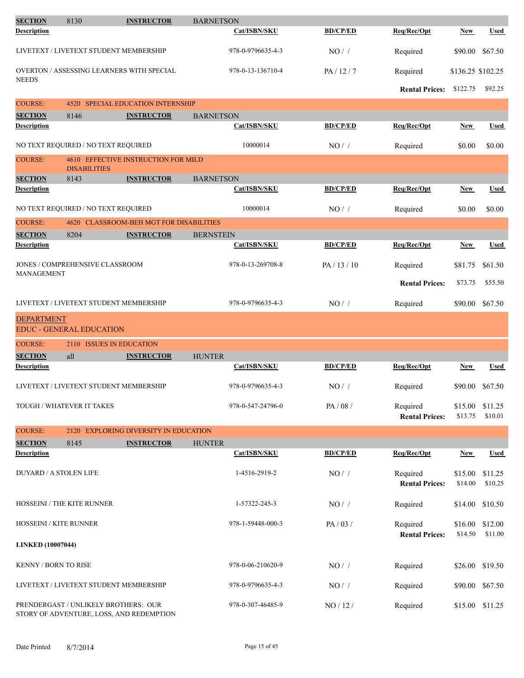| <b>SECTION</b>                         | 8130                                                                             | <b>INSTRUCTOR</b>                         | <b>BARNETSON</b>    |                       |                                   |                    |                    |
|----------------------------------------|----------------------------------------------------------------------------------|-------------------------------------------|---------------------|-----------------------|-----------------------------------|--------------------|--------------------|
| <b>Description</b>                     |                                                                                  |                                           | <b>Cat/ISBN/SKU</b> | <b>BD/CP/ED</b>       | Req/Rec/Opt                       | <b>New</b>         | <b>Used</b>        |
|                                        | LIVETEXT / LIVETEXT STUDENT MEMBERSHIP                                           |                                           | 978-0-9796635-4-3   | NO/                   | Required                          | \$90.00            | \$67.50            |
|                                        | <b>OVERTON / ASSESSING LEARNERS WITH SPECIAL</b>                                 |                                           | 978-0-13-136710-4   | PA/12/7               | Required                          | \$136.25 \$102.25  |                    |
| <b>NEEDS</b>                           |                                                                                  |                                           |                     |                       | <b>Rental Prices:</b>             | \$122.75           | \$92.25            |
| <b>COURSE:</b>                         | 4520                                                                             | <b>SPECIAL EDUCATION INTERNSHIP</b>       |                     |                       |                                   |                    |                    |
| <b>SECTION</b>                         | 8146                                                                             | <b>INSTRUCTOR</b>                         | <b>BARNETSON</b>    |                       |                                   |                    |                    |
| <b>Description</b>                     |                                                                                  |                                           | <b>Cat/ISBN/SKU</b> | <b>BD/CP/ED</b>       | Req/Rec/Opt                       | <b>New</b>         | <b>Used</b>        |
|                                        | NO TEXT REQUIRED / NO TEXT REQUIRED                                              |                                           | 10000014            | NO/                   | Required                          | \$0.00             | \$0.00             |
| <b>COURSE:</b>                         | <b>DISABILITIES</b>                                                              | 4610 EFFECTIVE INSTRUCTION FOR MILD       |                     |                       |                                   |                    |                    |
| <b>SECTION</b>                         | 8143                                                                             | <b>INSTRUCTOR</b>                         | <b>BARNETSON</b>    |                       |                                   |                    |                    |
| <b>Description</b>                     |                                                                                  |                                           | Cat/ISBN/SKU        | <b>BD/CP/ED</b>       | Req/Rec/Opt                       | New                | <b>Used</b>        |
|                                        | NO TEXT REQUIRED / NO TEXT REQUIRED                                              |                                           | 10000014            | NO/                   | Required                          | \$0.00             | \$0.00             |
| <b>COURSE:</b>                         | 4620                                                                             | <b>CLASSROOM-BEH MGT FOR DISABILITIES</b> |                     |                       |                                   |                    |                    |
| <b>SECTION</b>                         | 8204                                                                             | <b>INSTRUCTOR</b>                         | <b>BERNSTEIN</b>    |                       |                                   |                    |                    |
| <b>Description</b>                     |                                                                                  |                                           | Cat/ISBN/SKU        | <b>BD/CP/ED</b>       | Req/Rec/Opt                       | <b>New</b>         | <b>Used</b>        |
| <b>MANAGEMENT</b>                      | <b>JONES / COMPREHENSIVE CLASSROOM</b>                                           |                                           | 978-0-13-269708-8   | PA/13/10              | Required                          | \$81.75            | \$61.50            |
|                                        |                                                                                  |                                           |                     | <b>Rental Prices:</b> | \$73.75                           | \$55.50            |                    |
| LIVETEXT / LIVETEXT STUDENT MEMBERSHIP |                                                                                  | 978-0-9796635-4-3                         | $NO/$ /             | Required              | \$90.00                           | \$67.50            |                    |
| <b>DEPARTMENT</b>                      | <b>EDUC - GENERAL EDUCATION</b>                                                  |                                           |                     |                       |                                   |                    |                    |
| <b>COURSE:</b>                         | 2110 ISSUES IN EDUCATION                                                         |                                           |                     |                       |                                   |                    |                    |
| <b>SECTION</b>                         | all                                                                              | <b>INSTRUCTOR</b>                         | <b>HUNTER</b>       |                       |                                   |                    |                    |
| <b>Description</b>                     |                                                                                  |                                           | Cat/ISBN/SKU        | <b>BD/CP/ED</b>       | Req/Rec/Opt                       | New                | Used               |
|                                        | LIVETEXT / LIVETEXT STUDENT MEMBERSHIP                                           |                                           | 978-0-9796635-4-3   | NO/                   | Required                          | \$90.00            | \$67.50            |
|                                        | TOUGH / WHATEVER IT TAKES                                                        |                                           | 978-0-547-24796-0   | PA/08/                | Required<br><b>Rental Prices:</b> | \$15.00<br>\$13.75 | \$11.25<br>\$10.01 |
| <b>COURSE:</b>                         |                                                                                  | 2120 EXPLORING DIVERSITY IN EDUCATION     |                     |                       |                                   |                    |                    |
| <b>SECTION</b>                         | 8145                                                                             | <b>INSTRUCTOR</b>                         | <b>HUNTER</b>       |                       |                                   |                    |                    |
| <b>Description</b>                     |                                                                                  |                                           | Cat/ISBN/SKU        | <b>BD/CP/ED</b>       | Req/Rec/Opt                       | <b>New</b>         | <b>Used</b>        |
| <b>DUYARD / A STOLEN LIFE</b>          |                                                                                  |                                           | 1-4516-2919-2       | $NO/$ /               | Required<br><b>Rental Prices:</b> | \$15.00<br>\$14.00 | \$11.25<br>\$10.25 |
|                                        | HOSSEINI / THE KITE RUNNER                                                       |                                           | 1-57322-245-3       | $NO/$ /               | Required                          | \$14.00            | \$10.50            |
| HOSSEINI / KITE RUNNER                 |                                                                                  |                                           | 978-1-59448-000-3   | PA/03/                | Required                          | \$16.00            | \$12.00            |
| <b>LINKED (10007044)</b>               |                                                                                  |                                           |                     |                       | <b>Rental Prices:</b>             | \$14.50            | \$11.00            |
| <b>KENNY / BORN TO RISE</b>            |                                                                                  |                                           | 978-0-06-210620-9   | $NO/$ /               | Required                          | \$26.00            | \$19.50            |
|                                        | LIVETEXT / LIVETEXT STUDENT MEMBERSHIP                                           |                                           | 978-0-9796635-4-3   | NO/                   | Required                          | \$90.00            | \$67.50            |
|                                        | PRENDERGAST / UNLIKELY BROTHERS: OUR<br>STORY OF ADVENTURE, LOSS, AND REDEMPTION |                                           | 978-0-307-46485-9   | NO / 12 /             | Required                          | \$15.00            | \$11.25            |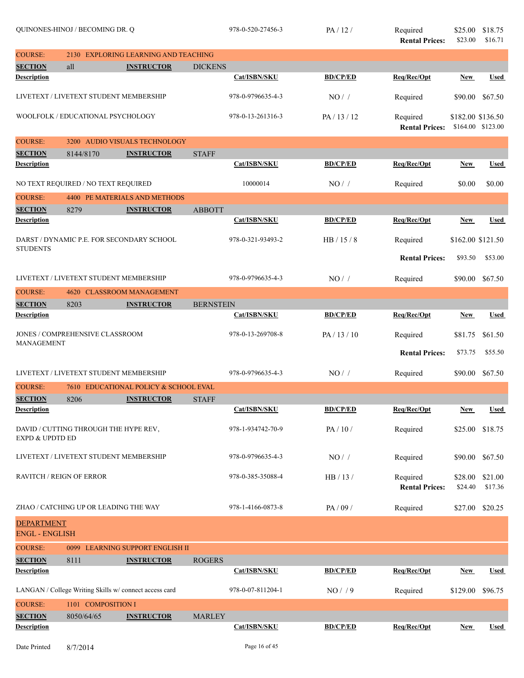|                                            | QUINONES-HINOJ / BECOMING DR. Q                        |                                        |                  | 978-0-520-27456-3 | PA/12/          | Required<br><b>Rental Prices:</b> | \$25.00<br>\$23.00 | \$18.75<br>\$16.71 |
|--------------------------------------------|--------------------------------------------------------|----------------------------------------|------------------|-------------------|-----------------|-----------------------------------|--------------------|--------------------|
| <b>COURSE:</b>                             | 2130                                                   | <b>EXPLORING LEARNING AND TEACHING</b> |                  |                   |                 |                                   |                    |                    |
| <b>SECTION</b>                             | all                                                    | <b>INSTRUCTOR</b>                      | <b>DICKENS</b>   |                   |                 |                                   |                    |                    |
| <b>Description</b>                         |                                                        |                                        |                  | Cat/ISBN/SKU      | <b>BD/CP/ED</b> | Req/Rec/Opt                       | New                | <b>Used</b>        |
|                                            | LIVETEXT / LIVETEXT STUDENT MEMBERSHIP                 |                                        |                  | 978-0-9796635-4-3 | NO/             | Required                          | \$90.00            | \$67.50            |
|                                            | WOOLFOLK / EDUCATIONAL PSYCHOLOGY                      |                                        |                  | 978-0-13-261316-3 | PA/13/12        | Required<br><b>Rental Prices:</b> | \$182.00 \$136.50  | \$164.00 \$123.00  |
| <b>COURSE:</b>                             |                                                        | 3200 AUDIO VISUALS TECHNOLOGY          |                  |                   |                 |                                   |                    |                    |
| <b>SECTION</b>                             | 8144/8170                                              | <b>INSTRUCTOR</b>                      | <b>STAFF</b>     |                   |                 |                                   |                    |                    |
| <b>Description</b>                         |                                                        |                                        |                  | Cat/ISBN/SKU      | <b>BD/CP/ED</b> | Req/Rec/Opt                       | New                | <b>Used</b>        |
|                                            | NO TEXT REQUIRED / NO TEXT REQUIRED                    |                                        |                  | 10000014          | NO/             | Required                          | \$0.00             | \$0.00             |
| <b>COURSE:</b>                             | 4400                                                   | PE MATERIALS AND METHODS               |                  |                   |                 |                                   |                    |                    |
| <b>SECTION</b>                             | 8279                                                   | <b>INSTRUCTOR</b>                      | <b>ABBOTT</b>    |                   |                 |                                   |                    |                    |
| <b>Description</b>                         |                                                        |                                        |                  | Cat/ISBN/SKU      | <b>BD/CP/ED</b> | Req/Rec/Opt                       | <b>New</b>         | <b>Used</b>        |
|                                            | DARST / DYNAMIC P.E. FOR SECONDARY SCHOOL              |                                        |                  | 978-0-321-93493-2 | HB/15/8         | Required                          | \$162.00 \$121.50  |                    |
| <b>STUDENTS</b>                            |                                                        |                                        |                  |                   |                 |                                   |                    |                    |
|                                            |                                                        |                                        |                  |                   |                 | <b>Rental Prices:</b>             | \$93.50            | \$53.00            |
|                                            | LIVETEXT / LIVETEXT STUDENT MEMBERSHIP                 |                                        |                  | 978-0-9796635-4-3 | NO/             | Required                          | \$90.00            | \$67.50            |
| <b>COURSE:</b>                             | 4620                                                   | <b>CLASSROOM MANAGEMENT</b>            |                  |                   |                 |                                   |                    |                    |
| <b>SECTION</b><br><b>Description</b>       | 8203                                                   | <b>INSTRUCTOR</b>                      | <b>BERNSTEIN</b> | Cat/ISBN/SKU      | <b>BD/CP/ED</b> | Req/Rec/Opt                       | <b>New</b>         | <b>Used</b>        |
|                                            |                                                        |                                        |                  |                   |                 |                                   |                    |                    |
| <b>MANAGEMENT</b>                          | JONES / COMPREHENSIVE CLASSROOM                        |                                        |                  | 978-0-13-269708-8 | PA / 13 / 10    | Required                          | \$81.75            | \$61.50            |
|                                            |                                                        |                                        |                  |                   |                 | <b>Rental Prices:</b>             | \$73.75            | \$55.50            |
|                                            | LIVETEXT / LIVETEXT STUDENT MEMBERSHIP                 |                                        |                  | 978-0-9796635-4-3 | NO/             | Required                          | \$90.00            | \$67.50            |
| <b>COURSE:</b>                             |                                                        | 7610 EDUCATIONAL POLICY & SCHOOL EVAL  |                  |                   |                 |                                   |                    |                    |
| <b>SECTION</b>                             | 8206                                                   | <b>INSTRUCTOR</b>                      | <b>STAFF</b>     |                   |                 |                                   |                    |                    |
| <b>Description</b>                         |                                                        |                                        |                  | Cat/ISBN/SKU      | <b>BD/CP/ED</b> | Req/Rec/Opt                       | <b>New</b>         | <b>Used</b>        |
| <b>EXPD &amp; UPDTD ED</b>                 | DAVID / CUTTING THROUGH THE HYPE REV,                  |                                        |                  | 978-1-934742-70-9 | PA/10/          | Required                          | \$25.00            | \$18.75            |
|                                            | LIVETEXT / LIVETEXT STUDENT MEMBERSHIP                 |                                        |                  | 978-0-9796635-4-3 | NO/             | Required                          | \$90.00            | \$67.50            |
| <b>RAVITCH / REIGN OF ERROR</b>            |                                                        |                                        |                  | 978-0-385-35088-4 | HB/13/          | Required<br><b>Rental Prices:</b> | \$28.00<br>\$24.40 | \$21.00<br>\$17.36 |
|                                            | ZHAO / CATCHING UP OR LEADING THE WAY                  |                                        |                  | 978-1-4166-0873-8 | PA/09/          | Required                          | \$27.00            | \$20.25            |
| <b>DEPARTMENT</b><br><b>ENGL - ENGLISH</b> |                                                        |                                        |                  |                   |                 |                                   |                    |                    |
| <b>COURSE:</b>                             |                                                        | 0099 LEARNING SUPPORT ENGLISH II       |                  |                   |                 |                                   |                    |                    |
| <b>SECTION</b>                             | 8111                                                   | <b>INSTRUCTOR</b>                      | <b>ROGERS</b>    |                   |                 |                                   |                    |                    |
| <b>Description</b>                         |                                                        |                                        |                  | Cat/ISBN/SKU      | <b>BD/CP/ED</b> | Req/Rec/Opt                       | New                | Used               |
|                                            | LANGAN / College Writing Skills w/ connect access card |                                        |                  | 978-0-07-811204-1 | NO/9            | Required                          | \$129.00           | \$96.75            |
| <b>COURSE:</b>                             | 1101 COMPOSITION I                                     |                                        |                  |                   |                 |                                   |                    |                    |
| <b>SECTION</b>                             | 8050/64/65                                             | <b>INSTRUCTOR</b>                      | <b>MARLEY</b>    |                   |                 |                                   |                    |                    |
| <b>Description</b>                         |                                                        |                                        |                  | Cat/ISBN/SKU      | <b>BD/CP/ED</b> | Req/Rec/Opt                       | <b>New</b>         | Used               |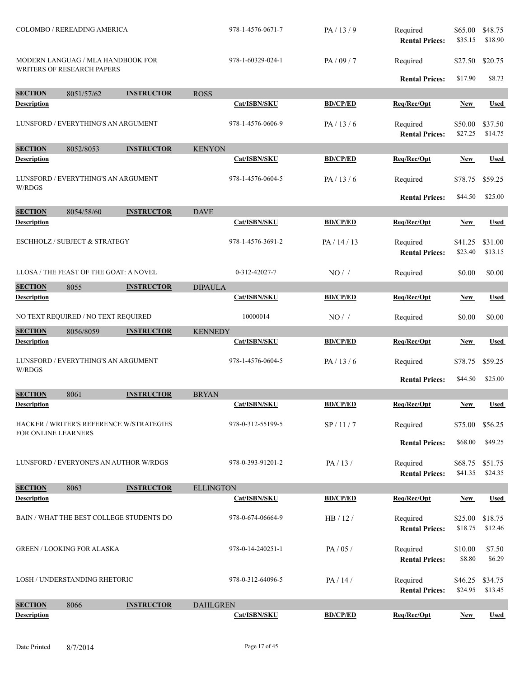| COLOMBO / REREADING AMERICA<br>MODERN LANGUAG / MLA HANDBOOK FOR |                                        |                                          | 978-1-4576-0671-7            | PA/13/9         | Required<br><b>Rental Prices:</b> | \$65.00<br>\$35.15 | \$48.75<br>\$18.90 |
|------------------------------------------------------------------|----------------------------------------|------------------------------------------|------------------------------|-----------------|-----------------------------------|--------------------|--------------------|
|                                                                  | <b>WRITERS OF RESEARCH PAPERS</b>      |                                          | 978-1-60329-024-1            | PA / 09 / 7     | Required                          | \$27.50            | \$20.75            |
|                                                                  |                                        |                                          |                              |                 | <b>Rental Prices:</b>             | \$17.90            | \$8.73             |
| <b>SECTION</b>                                                   | 8051/57/62                             | <b>INSTRUCTOR</b>                        | <b>ROSS</b>                  |                 |                                   |                    |                    |
| <b>Description</b>                                               |                                        |                                          | Cat/ISBN/SKU                 | <b>BD/CP/ED</b> | Req/Rec/Opt                       | New                | <b>Used</b>        |
|                                                                  | LUNSFORD / EVERYTHING'S AN ARGUMENT    |                                          | 978-1-4576-0606-9            | PA/13/6         | Required<br><b>Rental Prices:</b> | \$50.00<br>\$27.25 | \$37.50<br>\$14.75 |
| <b>SECTION</b>                                                   | 8052/8053                              | <b>INSTRUCTOR</b>                        | <b>KENYON</b>                |                 |                                   |                    |                    |
| <b>Description</b>                                               |                                        |                                          | Cat/ISBN/SKU                 | <b>BD/CP/ED</b> | Req/Rec/Opt                       | New                | Used               |
| W/RDGS                                                           | LUNSFORD / EVERYTHING'S AN ARGUMENT    |                                          | 978-1-4576-0604-5            | PA/13/6         | Required                          | \$78.75            | \$59.25            |
|                                                                  |                                        |                                          |                              |                 | <b>Rental Prices:</b>             | \$44.50            | \$25.00            |
| <b>SECTION</b><br><b>Description</b>                             | 8054/58/60                             | <b>INSTRUCTOR</b>                        | <b>DAVE</b><br>Cat/ISBN/SKU  | <b>BD/CP/ED</b> | Req/Rec/Opt                       | <b>New</b>         | <b>Used</b>        |
|                                                                  |                                        |                                          |                              |                 |                                   |                    |                    |
|                                                                  | ESCHHOLZ / SUBJECT & STRATEGY          |                                          | 978-1-4576-3691-2            | PA/14/13        | Required<br><b>Rental Prices:</b> | \$41.25<br>\$23.40 | \$31.00<br>\$13.15 |
|                                                                  | LLOSA / THE FEAST OF THE GOAT: A NOVEL |                                          | 0-312-42027-7                | $NO/$ /         | Required                          | \$0.00             | \$0.00             |
| <b>SECTION</b>                                                   | 8055                                   | <b>INSTRUCTOR</b>                        | <b>DIPAULA</b>               |                 |                                   |                    |                    |
| <b>Description</b>                                               |                                        |                                          | Cat/ISBN/SKU                 | <b>BD/CP/ED</b> | Req/Rec/Opt                       | New                | <b>Used</b>        |
| NO TEXT REQUIRED / NO TEXT REQUIRED                              |                                        | 10000014                                 | NO/                          | Required        | \$0.00                            | \$0.00             |                    |
| <b>SECTION</b>                                                   | 8056/8059                              | <b>INSTRUCTOR</b>                        | <b>KENNEDY</b>               |                 |                                   |                    |                    |
| <b>Description</b>                                               |                                        |                                          | Cat/ISBN/SKU                 | <b>BD/CP/ED</b> | Req/Rec/Opt                       | New                | <b>Used</b>        |
| W/RDGS                                                           | LUNSFORD / EVERYTHING'S AN ARGUMENT    |                                          | 978-1-4576-0604-5            | PA/13/6         | Required                          | \$78.75            | \$59.25            |
|                                                                  |                                        |                                          |                              |                 | <b>Rental Prices:</b>             | \$44.50            | \$25.00            |
| <b>SECTION</b><br><b>Description</b>                             | 8061                                   | <b>INSTRUCTOR</b>                        | <b>BRYAN</b><br>Cat/ISBN/SKU | <b>BD/CP/ED</b> | Req/Rec/Opt                       | <b>New</b>         | Used               |
|                                                                  |                                        |                                          |                              |                 |                                   |                    |                    |
| FOR ONLINE LEARNERS                                              |                                        | HACKER / WRITER'S REFERENCE W/STRATEGIES | 978-0-312-55199-5            | SP/11/7         | Required                          | \$75.00            | \$56.25            |
|                                                                  |                                        |                                          |                              |                 | <b>Rental Prices:</b>             | \$68.00            | \$49.25            |
|                                                                  |                                        | LUNSFORD / EVERYONE'S AN AUTHOR W/RDGS   | 978-0-393-91201-2            | PA/13/          | Required<br><b>Rental Prices:</b> | \$68.75<br>\$41.35 | \$51.75<br>\$24.35 |
| <b>SECTION</b>                                                   | 8063                                   | <b>INSTRUCTOR</b>                        | <b>ELLINGTON</b>             |                 |                                   |                    |                    |
| <b>Description</b>                                               |                                        |                                          | Cat/ISBN/SKU                 | <b>BD/CP/ED</b> | Req/Rec/Opt                       | New                | <b>Used</b>        |
|                                                                  |                                        | BAIN / WHAT THE BEST COLLEGE STUDENTS DO | 978-0-674-06664-9            | HB/12/          | Required<br><b>Rental Prices:</b> | \$25.00<br>\$18.75 | \$18.75<br>\$12.46 |
| <b>GREEN / LOOKING FOR ALASKA</b>                                |                                        |                                          | 978-0-14-240251-1            | PA/05/          | Required<br><b>Rental Prices:</b> | \$10.00<br>\$8.80  | \$7.50<br>\$6.29   |
|                                                                  | <b>LOSH / UNDERSTANDING RHETORIC</b>   |                                          | 978-0-312-64096-5            | PA/14/          | Required<br><b>Rental Prices:</b> | \$46.25<br>\$24.95 | \$34.75<br>\$13.45 |
| <b>SECTION</b>                                                   | 8066                                   | <b>INSTRUCTOR</b>                        | <b>DAHLGREN</b>              |                 |                                   |                    |                    |
| <b>Description</b>                                               |                                        |                                          | Cat/ISBN/SKU                 | <b>BD/CP/ED</b> | Req/Rec/Opt                       | New                | <b>Used</b>        |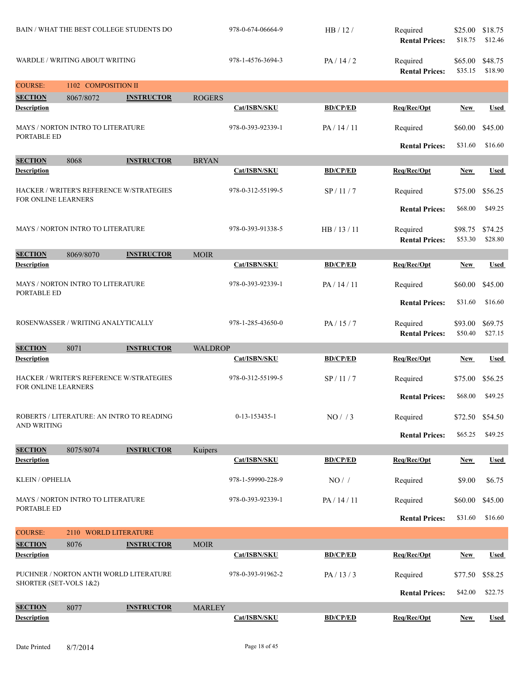|                                      |                                   | BAIN / WHAT THE BEST COLLEGE STUDENTS DO  |                   | 978-0-674-06664-9 | HB / 12 /                         | Required<br><b>Rental Prices:</b> | \$25.00<br>\$18.75 | \$18.75<br>\$12.46 |
|--------------------------------------|-----------------------------------|-------------------------------------------|-------------------|-------------------|-----------------------------------|-----------------------------------|--------------------|--------------------|
|                                      | WARDLE / WRITING ABOUT WRITING    |                                           |                   | 978-1-4576-3694-3 | PA/14/2                           | Required<br><b>Rental Prices:</b> | \$65.00<br>\$35.15 | \$48.75<br>\$18.90 |
| <b>COURSE:</b>                       | 1102 COMPOSITION II               |                                           |                   |                   |                                   |                                   |                    |                    |
| <b>SECTION</b>                       | 8067/8072                         | <b>INSTRUCTOR</b>                         | <b>ROGERS</b>     |                   |                                   |                                   |                    |                    |
| <b>Description</b>                   |                                   |                                           |                   | Cat/ISBN/SKU      | <b>BD/CP/ED</b>                   | Req/Rec/Opt                       | <b>New</b>         | <b>Used</b>        |
| PORTABLE ED                          | MAYS / NORTON INTRO TO LITERATURE |                                           |                   | 978-0-393-92339-1 | PA/14/11                          | Required                          | \$60.00            | \$45.00            |
|                                      |                                   |                                           |                   |                   |                                   | <b>Rental Prices:</b>             | \$31.60            | \$16.60            |
| <b>SECTION</b>                       | 8068                              | <b>INSTRUCTOR</b>                         | <b>BRYAN</b>      |                   |                                   |                                   |                    |                    |
| <b>Description</b>                   |                                   |                                           |                   | Cat/ISBN/SKU      | <b>BD/CP/ED</b>                   | Req/Rec/Opt                       | <b>New</b>         | <b>Used</b>        |
| FOR ONLINE LEARNERS                  |                                   | HACKER / WRITER'S REFERENCE W/STRATEGIES  |                   | 978-0-312-55199-5 | SP / 11 / 7                       | Required                          | \$75.00            | \$56.25            |
|                                      |                                   |                                           |                   |                   |                                   | <b>Rental Prices:</b>             | \$68.00            | \$49.25            |
|                                      | MAYS / NORTON INTRO TO LITERATURE |                                           |                   | 978-0-393-91338-5 | HB / 13 / 11                      | Required<br><b>Rental Prices:</b> | \$98.75<br>\$53.30 | \$74.25<br>\$28.80 |
| <b>SECTION</b>                       | 8069/8070                         | <b>INSTRUCTOR</b>                         | <b>MOIR</b>       |                   |                                   |                                   |                    |                    |
| <b>Description</b>                   |                                   |                                           |                   | Cat/ISBN/SKU      | <b>BD/CP/ED</b>                   | Req/Rec/Opt                       | New                | <b>Used</b>        |
| PORTABLE ED                          | MAYS / NORTON INTRO TO LITERATURE |                                           |                   | 978-0-393-92339-1 | PA/14/11                          | Required                          | \$60.00            | \$45.00            |
|                                      |                                   |                                           |                   |                   | <b>Rental Prices:</b>             | \$31.60                           | \$16.60            |                    |
| ROSENWASSER / WRITING ANALYTICALLY   |                                   |                                           | 978-1-285-43650-0 | PA/15/7           | Required<br><b>Rental Prices:</b> | \$93.00<br>\$50.40                | \$69.75<br>\$27.15 |                    |
|                                      |                                   |                                           |                   |                   |                                   |                                   |                    |                    |
| <b>SECTION</b>                       | 8071                              | <b>INSTRUCTOR</b>                         | <b>WALDROP</b>    |                   |                                   |                                   |                    |                    |
| <b>Description</b>                   |                                   |                                           |                   | Cat/ISBN/SKU      | <b>BD/CP/ED</b>                   | Req/Rec/Opt                       | <b>New</b>         | <b>Used</b>        |
| FOR ONLINE LEARNERS                  |                                   | HACKER / WRITER'S REFERENCE W/STRATEGIES  |                   | 978-0-312-55199-5 | SP/11/7                           | Required                          | \$75.00            | \$56.25            |
|                                      |                                   |                                           |                   |                   |                                   | <b>Rental Prices:</b>             | \$68.00            | \$49.25            |
| <b>AND WRITING</b>                   |                                   | ROBERTS / LITERATURE: AN INTRO TO READING |                   | 0-13-153435-1     | NO/ / 3                           | Required                          | \$72.50            | \$54.50            |
|                                      |                                   |                                           |                   |                   |                                   | <b>Rental Prices:</b>             | \$65.25            | \$49.25            |
| <b>SECTION</b>                       | 8075/8074                         | <b>INSTRUCTOR</b>                         | Kuipers           |                   |                                   |                                   |                    |                    |
| <b>Description</b>                   |                                   |                                           |                   | Cat/ISBN/SKU      | <b>BD/CP/ED</b>                   | Req/Rec/Opt                       | <b>New</b>         | <b>Used</b>        |
| KLEIN / OPHELIA                      |                                   |                                           |                   | 978-1-59990-228-9 | $NO/$ /                           | Required                          | \$9.00             | \$6.75             |
| PORTABLE ED                          | MAYS / NORTON INTRO TO LITERATURE |                                           |                   | 978-0-393-92339-1 | PA / 14 / 11                      | Required                          | \$60.00            | \$45.00            |
|                                      |                                   |                                           |                   |                   |                                   | <b>Rental Prices:</b>             | \$31.60            | \$16.60            |
| <b>COURSE:</b>                       | 2110 WORLD LITERATURE             |                                           |                   |                   |                                   |                                   |                    |                    |
| <b>SECTION</b>                       | 8076                              | <b>INSTRUCTOR</b>                         | <b>MOIR</b>       |                   |                                   |                                   |                    |                    |
| <b>Description</b>                   |                                   |                                           |                   | Cat/ISBN/SKU      | <b>BD/CP/ED</b>                   | Req/Rec/Opt                       | <b>New</b>         | <b>Used</b>        |
| SHORTER (SET-VOLS 1&2)               |                                   | PUCHNER / NORTON ANTH WORLD LITERATURE    |                   | 978-0-393-91962-2 | PA/13/3                           | Required                          | \$77.50            | \$58.25            |
|                                      |                                   |                                           |                   |                   |                                   | <b>Rental Prices:</b>             | \$42.00            | \$22.75            |
| <b>SECTION</b><br><b>Description</b> | 8077                              | <b>INSTRUCTOR</b>                         | <b>MARLEY</b>     | Cat/ISBN/SKU      | <b>BD/CP/ED</b>                   | Req/Rec/Opt                       | <b>New</b>         | <b>Used</b>        |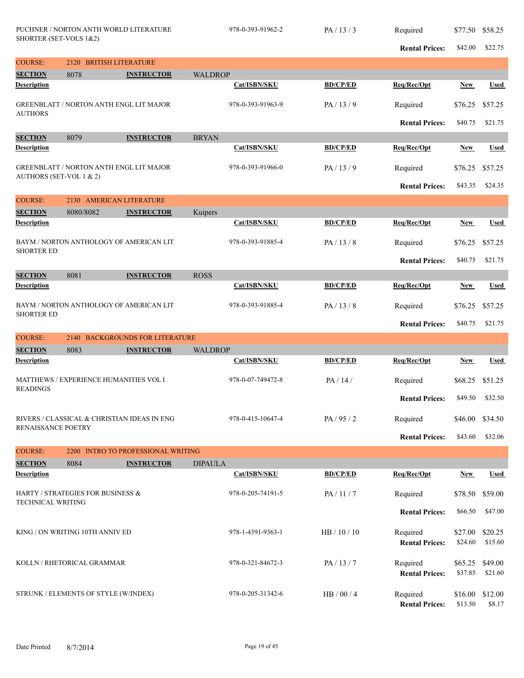|                                            | PUCHNER / NORTON ANTH WORLD LITERATURE<br>SHORTER (SET-VOLS 1&2) |                                   |                | 978-0-393-91962-2 | PA/13/3         | Required                          | \$77.50            | \$58.25            |
|--------------------------------------------|------------------------------------------------------------------|-----------------------------------|----------------|-------------------|-----------------|-----------------------------------|--------------------|--------------------|
|                                            |                                                                  |                                   |                |                   |                 | <b>Rental Prices:</b>             | \$42.00            | \$22.75            |
| <b>COURSE:</b>                             | 2120 BRITISH LITERATURE                                          |                                   |                |                   |                 |                                   |                    |                    |
| <b>SECTION</b><br><b>Description</b>       | 8078                                                             | <b>INSTRUCTOR</b>                 | <b>WALDROP</b> | Cat/ISBN/SKU      | <b>BD/CP/ED</b> | Req/Rec/Opt                       | <b>New</b>         | <b>Used</b>        |
|                                            |                                                                  |                                   |                |                   |                 |                                   |                    |                    |
| <b>AUTHORS</b>                             | <b>GREENBLATT / NORTON ANTH ENGL LIT MAJOR</b>                   |                                   |                | 978-0-393-91963-9 | PA/13/9         | Required                          | \$76.25            | \$57.25            |
|                                            |                                                                  |                                   |                |                   |                 | <b>Rental Prices:</b>             | \$40.75            | \$21.75            |
| <b>SECTION</b>                             | 8079                                                             | <b>INSTRUCTOR</b>                 | <b>BRYAN</b>   |                   |                 |                                   |                    |                    |
| <b>Description</b>                         |                                                                  |                                   |                | Cat/ISBN/SKU      | <b>BD/CP/ED</b> | Req/Rec/Opt                       | <b>New</b>         | Used               |
|                                            | <b>GREENBLATT / NORTON ANTH ENGL LIT MAJOR</b>                   |                                   |                | 978-0-393-91966-0 | PA/13/9         | Required                          | \$76.25            | \$57.25            |
| AUTHORS (SET-VOL 1 & 2)                    |                                                                  |                                   |                |                   |                 |                                   | \$43.35            | \$24.35            |
| <b>COURSE:</b><br>2130 AMERICAN LITERATURE |                                                                  |                                   |                |                   |                 | <b>Rental Prices:</b>             |                    |                    |
| <b>SECTION</b>                             | 8080/8082                                                        | <b>INSTRUCTOR</b>                 | Kuipers        |                   |                 |                                   |                    |                    |
| <b>Description</b>                         |                                                                  |                                   |                | Cat/ISBN/SKU      | <b>BD/CP/ED</b> | Req/Rec/Opt                       | New                | <b>Used</b>        |
|                                            |                                                                  |                                   |                |                   |                 |                                   |                    |                    |
| <b>SHORTER ED</b>                          | BAYM / NORTON ANTHOLOGY OF AMERICAN LIT                          |                                   |                | 978-0-393-91885-4 | PA/13/8         | Required                          | \$76.25            | \$57.25            |
|                                            |                                                                  |                                   |                |                   |                 | <b>Rental Prices:</b>             | \$40.75            | \$21.75            |
| <b>SECTION</b>                             | 8081<br><b>INSTRUCTOR</b>                                        |                                   |                |                   |                 |                                   |                    |                    |
| <b>Description</b>                         |                                                                  |                                   |                | Cat/ISBN/SKU      | <b>BD/CP/ED</b> | Req/Rec/Opt                       | <b>New</b>         | Used               |
|                                            | BAYM / NORTON ANTHOLOGY OF AMERICAN LIT                          |                                   |                | 978-0-393-91885-4 | PA/13/8         | Required                          | \$76.25            | \$57.25            |
| <b>SHORTER ED</b>                          |                                                                  |                                   |                |                   |                 | <b>Rental Prices:</b>             | \$40.75            | \$21.75            |
| <b>COURSE:</b>                             | 2140                                                             | <b>BACKGROUNDS FOR LITERATURE</b> |                |                   |                 |                                   |                    |                    |
| <b>SECTION</b>                             | 8083                                                             | <b>INSTRUCTOR</b>                 | <b>WALDROP</b> |                   |                 |                                   |                    |                    |
| <b>Description</b>                         |                                                                  |                                   |                | Cat/ISBN/SKU      | <b>BD/CP/ED</b> | Req/Rec/Opt                       | New                | Used               |
|                                            | MATTHEWS / EXPERIENCE HUMANITIES VOL I                           |                                   |                | 978-0-07-749472-8 | PA/14/          | Required                          | \$68.25            | \$51.25            |
| <b>READINGS</b>                            |                                                                  |                                   |                |                   |                 |                                   |                    |                    |
|                                            |                                                                  |                                   |                |                   |                 | <b>Rental Prices:</b>             | \$49.50            | \$32.50            |
|                                            | RIVERS / CLASSICAL & CHRISTIAN IDEAS IN ENG                      |                                   |                | 978-0-415-10647-4 | PA/95/2         | Required                          | \$46.00            | \$34.50            |
| <b>RENAISSANCE POETRY</b>                  |                                                                  |                                   |                |                   |                 | <b>Rental Prices:</b>             | \$43.60            | \$32.06            |
| <b>COURSE:</b>                             | <b>2200</b>                                                      | INTRO TO PROFESSIONAL WRITING     |                |                   |                 |                                   |                    |                    |
| <b>SECTION</b>                             | 8084                                                             | <b>INSTRUCTOR</b>                 | <b>DIPAULA</b> |                   |                 |                                   |                    |                    |
| <b>Description</b>                         |                                                                  |                                   |                | Cat/ISBN/SKU      | <b>BD/CP/ED</b> | Req/Rec/Opt                       | <b>New</b>         | <b>Used</b>        |
| <b>TECHNICAL WRITING</b>                   | HARTY / STRATEGIES FOR BUSINESS &                                |                                   |                | 978-0-205-74191-5 | PA/11/7         | Required                          | \$78.50            | \$59.00            |
|                                            |                                                                  |                                   |                |                   |                 | <b>Rental Prices:</b>             | \$66.50            | \$47.00            |
| KING / ON WRITING 10TH ANNIV ED            |                                                                  |                                   |                | 978-1-4391-9363-1 | HB / 10 / 10    | Required<br><b>Rental Prices:</b> | \$27.00<br>\$24.60 | \$20.25<br>\$15.60 |
|                                            | KOLLN / RHETORICAL GRAMMAR                                       |                                   |                | 978-0-321-84672-3 | PA/13/7         | Required<br><b>Rental Prices:</b> | \$65.25<br>\$37.85 | \$49.00<br>\$21.60 |
|                                            | STRUNK / ELEMENTS OF STYLE (W/INDEX)                             |                                   |                | 978-0-205-31342-6 | HB $/$ 00 $/$ 4 | Required<br><b>Rental Prices:</b> | \$16.00<br>\$13.50 | \$12.00<br>\$8.17  |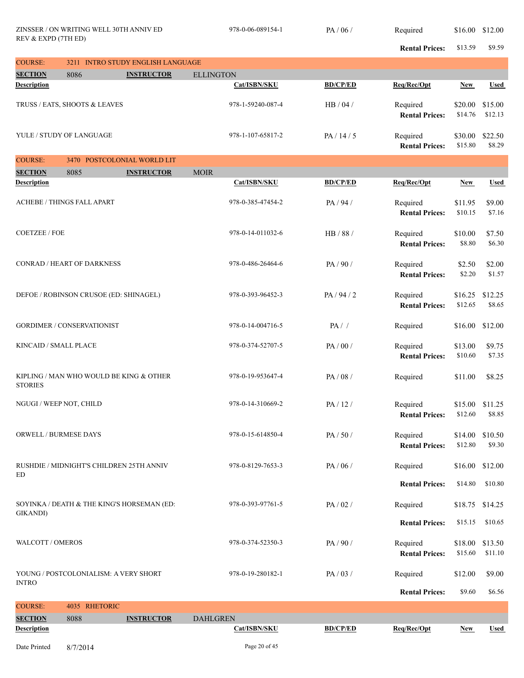| <b>COURSE:</b>                         |                                            | 3211 INTRO STUDY ENGLISH LANGUAGE |                   |                       |                                   |                    |                           |
|----------------------------------------|--------------------------------------------|-----------------------------------|-------------------|-----------------------|-----------------------------------|--------------------|---------------------------|
| <b>SECTION</b>                         | 8086                                       | <b>INSTRUCTOR</b>                 | <b>ELLINGTON</b>  |                       |                                   |                    |                           |
| <b>Description</b>                     |                                            |                                   | Cat/ISBN/SKU      | <b>BD/CP/ED</b>       | Req/Rec/Opt                       | <b>New</b>         | <b>Used</b>               |
|                                        | TRUSS / EATS, SHOOTS & LEAVES              |                                   | 978-1-59240-087-4 | HB/04/                | Required<br><b>Rental Prices:</b> | \$20.00<br>\$14.76 | \$15.00<br>\$12.13        |
|                                        | YULE / STUDY OF LANGUAGE                   |                                   | 978-1-107-65817-2 | PA/14/5               | Required<br><b>Rental Prices:</b> | \$30.00<br>\$15.80 | \$22.50<br>\$8.29         |
| <b>COURSE:</b>                         | 3470 POSTCOLONIAL WORLD LIT                |                                   |                   |                       |                                   |                    |                           |
| <b>SECTION</b>                         | 8085                                       | <b>INSTRUCTOR</b>                 | <b>MOIR</b>       |                       |                                   |                    |                           |
| <b>Description</b>                     |                                            |                                   | Cat/ISBN/SKU      | <b>BD/CP/ED</b>       | Req/Rec/Opt                       | <b>New</b>         | <b>Used</b>               |
|                                        | ACHEBE / THINGS FALL APART                 |                                   | 978-0-385-47454-2 | PA/94/                | Required<br><b>Rental Prices:</b> | \$11.95<br>\$10.15 | \$9.00<br>\$7.16          |
| <b>COETZEE / FOE</b>                   |                                            |                                   | 978-0-14-011032-6 | HB / 88 /             | Required<br><b>Rental Prices:</b> | \$10.00<br>\$8.80  | \$7.50<br>\$6.30          |
|                                        | <b>CONRAD / HEART OF DARKNESS</b>          |                                   | 978-0-486-26464-6 | PA/90/                | Required<br><b>Rental Prices:</b> | \$2.50<br>\$2.20   | \$2.00<br>\$1.57          |
| DEFOE / ROBINSON CRUSOE (ED: SHINAGEL) |                                            |                                   | 978-0-393-96452-3 | PA/94/2               | Required<br><b>Rental Prices:</b> | \$16.25<br>\$12.65 | \$12.25<br>\$8.65         |
| <b>GORDIMER / CONSERVATIONIST</b>      |                                            |                                   | 978-0-14-004716-5 | PA/                   | Required                          | \$16.00            | \$12.00                   |
| KINCAID / SMALL PLACE                  |                                            |                                   | 978-0-374-52707-5 | PA/00/                | Required<br><b>Rental Prices:</b> | \$13.00<br>\$10.60 | \$9.75<br>\$7.35          |
| <b>STORIES</b>                         | KIPLING / MAN WHO WOULD BE KING & OTHER    |                                   | 978-0-19-953647-4 | PA/08/                | Required                          | \$11.00            | \$8.25                    |
| NGUGI / WEEP NOT, CHILD                |                                            |                                   | 978-0-14-310669-2 | PA/12/                | Required<br><b>Rental Prices:</b> | \$15.00<br>\$12.60 | \$11.25<br>\$8.85         |
| <b>ORWELL / BURMESE DAYS</b>           |                                            |                                   | 978-0-15-614850-4 | PA/50/                | Required<br><b>Rental Prices:</b> | \$12.80            | \$14.00 \$10.50<br>\$9.30 |
| ED                                     | RUSHDIE / MIDNIGHT'S CHILDREN 25TH ANNIV   |                                   | 978-0-8129-7653-3 | PA/06/                | Required                          |                    | \$16.00 \$12.00           |
|                                        |                                            |                                   |                   |                       | <b>Rental Prices:</b>             | \$14.80            | \$10.80                   |
| <b>GIKANDI</b> )                       | SOYINKA / DEATH & THE KING'S HORSEMAN (ED: |                                   | 978-0-393-97761-5 | PA/02/                | Required                          | \$18.75            | \$14.25                   |
|                                        |                                            |                                   |                   |                       | <b>Rental Prices:</b>             | \$15.15            | \$10.65                   |
| WALCOTT / OMEROS                       |                                            |                                   | 978-0-374-52350-3 | PA/90/                | Required<br><b>Rental Prices:</b> | \$18.00<br>\$15.60 | \$13.50<br>\$11.10        |
| <b>INTRO</b>                           | YOUNG / POSTCOLONIALISM: A VERY SHORT      |                                   | 978-0-19-280182-1 | PA/03/                | Required                          | \$12.00            | \$9.00                    |
|                                        |                                            |                                   |                   | <b>Rental Prices:</b> | \$9.60                            | \$6.56             |                           |
| <b>COURSE:</b>                         | 4035 RHETORIC                              |                                   |                   |                       |                                   |                    |                           |
| <b>SECTION</b>                         | 8088                                       | <b>INSTRUCTOR</b>                 | <b>DAHLGREN</b>   |                       |                                   |                    |                           |
| <b>Description</b>                     |                                            |                                   | Cat/ISBN/SKU      | <b>BD/CP/ED</b>       | Req/Rec/Opt                       | <b>New</b>         | <b>Used</b>               |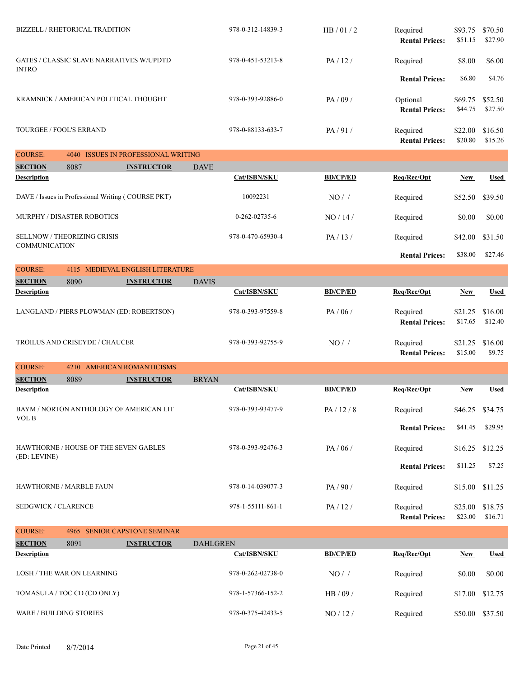|                            | <b>BIZZELL / RHETORICAL TRADITION</b>              |                                          |                 | 978-0-312-14839-3 | HB/01/2         | Required<br><b>Rental Prices:</b> | \$93.75<br>\$51.15 | \$70.50<br>\$27.90 |
|----------------------------|----------------------------------------------------|------------------------------------------|-----------------|-------------------|-----------------|-----------------------------------|--------------------|--------------------|
| <b>INTRO</b>               | GATES / CLASSIC SLAVE NARRATIVES W/UPDTD           |                                          |                 | 978-0-451-53213-8 | PA/12/          | Required                          | \$8.00             | \$6.00             |
|                            |                                                    |                                          |                 |                   |                 | <b>Rental Prices:</b>             | \$6.80             | \$4.76             |
|                            | KRAMNICK / AMERICAN POLITICAL THOUGHT              |                                          |                 | 978-0-393-92886-0 | PA/09/          | Optional<br><b>Rental Prices:</b> | \$69.75<br>\$44.75 | \$52.50<br>\$27.50 |
| TOURGEE / FOOL'S ERRAND    |                                                    |                                          |                 | 978-0-88133-633-7 | PA/91/          | Required<br><b>Rental Prices:</b> | \$22.00<br>\$20.80 | \$16.50<br>\$15.26 |
| <b>COURSE:</b>             |                                                    | 4040 ISSUES IN PROFESSIONAL WRITING      |                 |                   |                 |                                   |                    |                    |
| <b>SECTION</b>             | 8087                                               | <b>INSTRUCTOR</b>                        | <b>DAVE</b>     |                   |                 |                                   |                    |                    |
| <b>Description</b>         |                                                    |                                          |                 | Cat/ISBN/SKU      | <b>BD/CP/ED</b> | Req/Rec/Opt                       | <b>New</b>         | <b>Used</b>        |
|                            | DAVE / Issues in Professional Writing (COURSE PKT) |                                          |                 | 10092231          | NO/             | Required                          | \$52.50            | \$39.50            |
|                            | MURPHY / DISASTER ROBOTICS                         |                                          |                 | 0-262-02735-6     | NO/14/          | Required                          | \$0.00             | \$0.00             |
| <b>COMMUNICATION</b>       | <b>SELLNOW / THEORIZING CRISIS</b>                 |                                          |                 | 978-0-470-65930-4 | PA/13/          | Required                          | \$42.00            | \$31.50            |
|                            |                                                    |                                          |                 |                   |                 | <b>Rental Prices:</b>             | \$38.00            | \$27.46            |
| <b>COURSE:</b>             |                                                    | 4115 MEDIEVAL ENGLISH LITERATURE         |                 |                   |                 |                                   |                    |                    |
| <b>SECTION</b>             | 8090                                               | <b>INSTRUCTOR</b>                        | <b>DAVIS</b>    |                   |                 |                                   |                    |                    |
| <b>Description</b>         |                                                    |                                          |                 | Cat/ISBN/SKU      | <b>BD/CP/ED</b> | Req/Rec/Opt                       | <b>New</b>         | <b>Used</b>        |
|                            |                                                    | LANGLAND / PIERS PLOWMAN (ED: ROBERTSON) |                 | 978-0-393-97559-8 | PA/06/          | Required<br><b>Rental Prices:</b> | \$21.25<br>\$17.65 | \$16.00<br>\$12.40 |
|                            | TROILUS AND CRISEYDE / CHAUCER                     |                                          |                 | 978-0-393-92755-9 | $NO/$ /         | Required<br><b>Rental Prices:</b> | \$21.25<br>\$15.00 | \$16.00<br>\$9.75  |
| <b>COURSE:</b>             |                                                    | 4210 AMERICAN ROMANTICISMS               |                 |                   |                 |                                   |                    |                    |
| <b>SECTION</b>             | 8089                                               | <b>INSTRUCTOR</b>                        | <b>BRYAN</b>    |                   |                 |                                   |                    |                    |
| <b>Description</b>         |                                                    |                                          |                 | Cat/ISBN/SKU      | <b>BD/CP/ED</b> | Req/Rec/Opt                       | <b>New</b>         | <b>Used</b>        |
| VOL B                      |                                                    | BAYM / NORTON ANTHOLOGY OF AMERICAN LIT  |                 | 978-0-393-93477-9 | PA / 12 / 8     | Required                          | \$46.25            | \$34.75            |
|                            |                                                    |                                          |                 |                   |                 | <b>Rental Prices:</b>             | \$41.45            | \$29.95            |
| (ED: LEVINE)               | HAWTHORNE / HOUSE OF THE SEVEN GABLES              |                                          |                 | 978-0-393-92476-3 | PA/06/          | Required                          | \$16.25            | \$12.25            |
|                            |                                                    |                                          |                 |                   |                 | <b>Rental Prices:</b>             | \$11.25            | \$7.25             |
|                            | HAWTHORNE / MARBLE FAUN                            |                                          |                 | 978-0-14-039077-3 | PA/90/          | Required                          | \$15.00            | \$11.25            |
| <b>SEDGWICK / CLARENCE</b> |                                                    |                                          |                 | 978-1-55111-861-1 | PA/12/          | Required<br><b>Rental Prices:</b> | \$25.00<br>\$23.00 | \$18.75<br>\$16.71 |
| <b>COURSE:</b>             |                                                    | 4965 SENIOR CAPSTONE SEMINAR             |                 |                   |                 |                                   |                    |                    |
| <b>SECTION</b>             | 8091                                               | <b>INSTRUCTOR</b>                        | <b>DAHLGREN</b> |                   |                 |                                   |                    |                    |
| <b>Description</b>         |                                                    |                                          |                 | Cat/ISBN/SKU      | <b>BD/CP/ED</b> | Req/Rec/Opt                       | <b>New</b>         | <b>Used</b>        |
|                            | LOSH / THE WAR ON LEARNING                         |                                          |                 | 978-0-262-02738-0 | $NO/$ /         | Required                          | \$0.00             | \$0.00             |
|                            | TOMASULA / TOC CD (CD ONLY)                        |                                          |                 | 978-1-57366-152-2 | HB / 09 /       | Required                          | \$17.00            | \$12.75            |
|                            | <b>WARE / BUILDING STORIES</b>                     |                                          |                 | 978-0-375-42433-5 | NO / 12 /       | Required                          | \$50.00            | \$37.50            |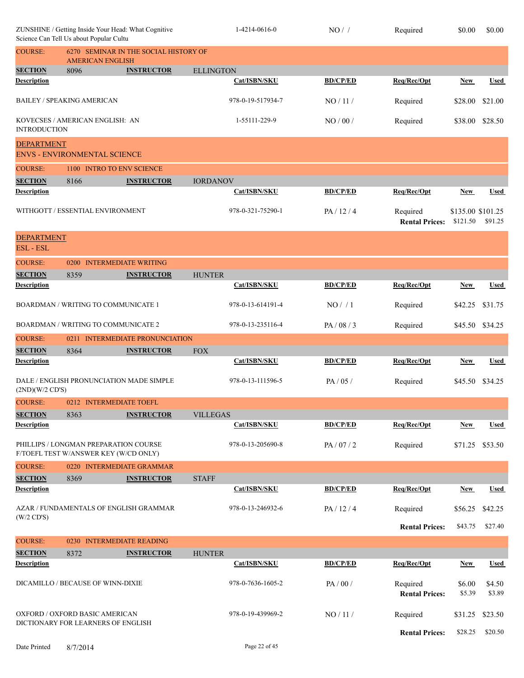|                                            | Science Can Tell Us about Popular Cultu                              | ZUNSHINE / Getting Inside Your Head: What Cognitive                            | 1-4214-0616-0     | NO/             | Required                          | \$0.00                        | \$0.00           |
|--------------------------------------------|----------------------------------------------------------------------|--------------------------------------------------------------------------------|-------------------|-----------------|-----------------------------------|-------------------------------|------------------|
| <b>COURSE:</b>                             | <b>AMERICAN ENGLISH</b>                                              | 6270 SEMINAR IN THE SOCIAL HISTORY OF                                          |                   |                 |                                   |                               |                  |
| <b>SECTION</b>                             | 8096                                                                 | <b>INSTRUCTOR</b>                                                              | <b>ELLINGTON</b>  |                 |                                   |                               |                  |
| <b>Description</b>                         |                                                                      |                                                                                | Cat/ISBN/SKU      | <b>BD/CP/ED</b> | Req/Rec/Opt                       | New                           | Used             |
|                                            | <b>BAILEY / SPEAKING AMERICAN</b>                                    |                                                                                | 978-0-19-517934-7 | NO/11/          | Required                          | \$28.00                       | \$21.00          |
| <b>INTRODUCTION</b>                        | KOVECSES / AMERICAN ENGLISH: AN                                      |                                                                                | 1-55111-229-9     | NO/00/          | Required                          | \$38.00                       | \$28.50          |
| <b>DEPARTMENT</b>                          | <b>ENVS - ENVIRONMENTAL SCIENCE</b>                                  |                                                                                |                   |                 |                                   |                               |                  |
| <b>COURSE:</b>                             |                                                                      | 1100 INTRO TO ENV SCIENCE                                                      |                   |                 |                                   |                               |                  |
| <b>SECTION</b>                             | 8166                                                                 | <b>INSTRUCTOR</b>                                                              | <b>IORDANOV</b>   |                 |                                   |                               |                  |
| <b>Description</b>                         |                                                                      |                                                                                | Cat/ISBN/SKU      | <b>BD/CP/ED</b> | Req/Rec/Opt                       | <b>New</b>                    | <b>Used</b>      |
|                                            |                                                                      |                                                                                |                   |                 |                                   |                               |                  |
| WITHGOTT / ESSENTIAL ENVIRONMENT           |                                                                      |                                                                                | 978-0-321-75290-1 | PA/12/4         | Required<br><b>Rental Prices:</b> | \$135.00 \$101.25<br>\$121.50 | \$91.25          |
| <b>DEPARTMENT</b><br><b>ESL-ESL</b>        |                                                                      |                                                                                |                   |                 |                                   |                               |                  |
| <b>COURSE:</b>                             |                                                                      | 0200 INTERMEDIATE WRITING                                                      |                   |                 |                                   |                               |                  |
| <b>SECTION</b>                             | 8359                                                                 | <b>INSTRUCTOR</b>                                                              | <b>HUNTER</b>     |                 |                                   |                               |                  |
| <b>Description</b>                         |                                                                      |                                                                                | Cat/ISBN/SKU      | <b>BD/CP/ED</b> | Req/Rec/Opt                       | <b>New</b>                    | <b>Used</b>      |
|                                            | BOARDMAN / WRITING TO COMMUNICATE 1                                  |                                                                                | 978-0-13-614191-4 | NO/1            | Required                          | \$42.25                       | \$31.75          |
| <b>BOARDMAN / WRITING TO COMMUNICATE 2</b> |                                                                      | 978-0-13-235116-4                                                              | PA / 08 / 3       | Required        | \$45.50                           | \$34.25                       |                  |
| <b>COURSE:</b>                             |                                                                      | 0211 INTERMEDIATE PRONUNCIATION                                                |                   |                 |                                   |                               |                  |
| <b>SECTION</b>                             | 8364                                                                 | <b>INSTRUCTOR</b>                                                              | ${\rm FOX}$       |                 |                                   |                               |                  |
| <b>Description</b>                         |                                                                      |                                                                                | Cat/ISBN/SKU      | <b>BD/CP/ED</b> | Req/Rec/Opt                       | <b>New</b>                    | <b>Used</b>      |
| (2ND)(W/2 CD'S)                            |                                                                      | DALE / ENGLISH PRONUNCIATION MADE SIMPLE                                       | 978-0-13-111596-5 | PA/05/          | Required                          | \$45.50 \$34.25               |                  |
| <b>COURSE:</b>                             |                                                                      | 0212 INTERMEDIATE TOEFL                                                        |                   |                 |                                   |                               |                  |
| <b>SECTION</b>                             | 8363                                                                 | <b>INSTRUCTOR</b>                                                              | <b>VILLEGAS</b>   |                 |                                   |                               |                  |
| <b>Description</b>                         |                                                                      |                                                                                | Cat/ISBN/SKU      | <b>BD/CP/ED</b> | Req/Rec/Opt                       | New                           | <b>Used</b>      |
|                                            |                                                                      | PHILLIPS / LONGMAN PREPARATION COURSE<br>F/TOEFL TEST W/ANSWER KEY (W/CD ONLY) | 978-0-13-205690-8 | PA/07/2         | Required                          | \$71.25                       | \$53.50          |
| <b>COURSE:</b>                             |                                                                      | 0220 INTERMEDIATE GRAMMAR                                                      |                   |                 |                                   |                               |                  |
| <b>SECTION</b>                             | 8369                                                                 | <b>INSTRUCTOR</b>                                                              | <b>STAFF</b>      |                 |                                   |                               |                  |
| <b>Description</b>                         |                                                                      |                                                                                | Cat/ISBN/SKU      | <b>BD/CP/ED</b> | Req/Rec/Opt                       | New                           | <b>Used</b>      |
| $(W/2$ CD'S)                               |                                                                      | AZAR / FUNDAMENTALS OF ENGLISH GRAMMAR                                         | 978-0-13-246932-6 | PA/12/4         | Required                          | \$56.25                       | \$42.25          |
|                                            |                                                                      |                                                                                |                   |                 | <b>Rental Prices:</b>             | \$43.75                       | \$27.40          |
| <b>COURSE:</b>                             |                                                                      | 0230 INTERMEDIATE READING                                                      |                   |                 |                                   |                               |                  |
| <b>SECTION</b>                             | 8372                                                                 | <b>INSTRUCTOR</b>                                                              | <b>HUNTER</b>     |                 |                                   |                               |                  |
| <b>Description</b>                         |                                                                      |                                                                                | Cat/ISBN/SKU      | <b>BD/CP/ED</b> | Req/Rec/Opt                       | New                           | Used             |
| DICAMILLO / BECAUSE OF WINN-DIXIE          |                                                                      |                                                                                | 978-0-7636-1605-2 | PA/00/          | Required<br><b>Rental Prices:</b> | \$6.00<br>\$5.39              | \$4.50<br>\$3.89 |
|                                            | OXFORD / OXFORD BASIC AMERICAN<br>DICTIONARY FOR LEARNERS OF ENGLISH |                                                                                | 978-0-19-439969-2 | $NO/11/$        | Required                          | \$31.25                       | \$23.50          |
|                                            |                                                                      |                                                                                |                   |                 | <b>Rental Prices:</b>             | \$28.25                       | \$20.50          |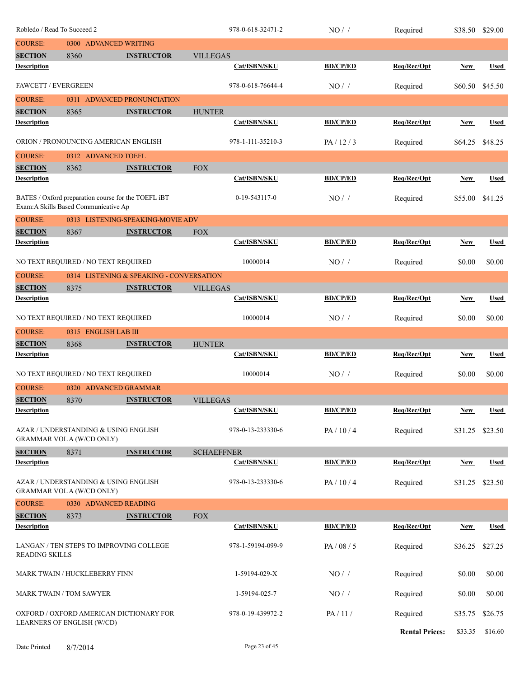|                                      |                                                                                              |                                          |                   | 978-0-618-32471-2 | NO/             | Required              | \$38.50    | \$29.00     |
|--------------------------------------|----------------------------------------------------------------------------------------------|------------------------------------------|-------------------|-------------------|-----------------|-----------------------|------------|-------------|
| <b>COURSE:</b>                       | Robledo / Read To Succeed 2<br>0300 ADVANCED WRITING                                         |                                          |                   |                   |                 |                       |            |             |
| <b>SECTION</b>                       | 8360                                                                                         | <b>INSTRUCTOR</b>                        | <b>VILLEGAS</b>   |                   |                 |                       |            |             |
| <b>Description</b>                   |                                                                                              |                                          |                   | Cat/ISBN/SKU      | <b>BD/CP/ED</b> | Req/Rec/Opt           | New        | <b>Used</b> |
| <b>FAWCETT / EVERGREEN</b>           |                                                                                              |                                          |                   | 978-0-618-76644-4 | NO/             | Required              | \$60.50    | \$45.50     |
| <b>COURSE:</b>                       |                                                                                              | 0311 ADVANCED PRONUNCIATION              |                   |                   |                 |                       |            |             |
| <b>SECTION</b>                       | 8365                                                                                         | <b>INSTRUCTOR</b>                        | <b>HUNTER</b>     |                   |                 |                       |            |             |
| <b>Description</b>                   |                                                                                              |                                          |                   | Cat/ISBN/SKU      | <b>BD/CP/ED</b> | Req/Rec/Opt           | New        | <b>Used</b> |
|                                      | ORION / PRONOUNCING AMERICAN ENGLISH                                                         |                                          |                   | 978-1-111-35210-3 | PA/12/3         | Required              | \$64.25    | \$48.25     |
| <b>COURSE:</b>                       | 0312 ADVANCED TOEFL                                                                          |                                          |                   |                   |                 |                       |            |             |
| <b>SECTION</b>                       | 8362                                                                                         | <b>INSTRUCTOR</b>                        | <b>FOX</b>        |                   |                 |                       |            |             |
| <b>Description</b>                   |                                                                                              |                                          |                   | Cat/ISBN/SKU      | <b>BD/CP/ED</b> | Req/Rec/Opt           | New        | <b>Used</b> |
|                                      | BATES / Oxford preparation course for the TOEFL iBT<br>Exam: A Skills Based Communicative Ap |                                          |                   | 0-19-543117-0     | $NO/$ /         | Required              | \$55.00    | \$41.25     |
| <b>COURSE:</b>                       |                                                                                              | 0313 LISTENING-SPEAKING-MOVIE ADV        |                   |                   |                 |                       |            |             |
| <b>SECTION</b>                       | 8367                                                                                         | <b>INSTRUCTOR</b>                        | <b>FOX</b>        |                   |                 |                       |            |             |
| <b>Description</b>                   |                                                                                              |                                          |                   | Cat/ISBN/SKU      | <b>BD/CP/ED</b> | Req/Rec/Opt           | <b>New</b> | <b>Used</b> |
|                                      | NO TEXT REQUIRED / NO TEXT REQUIRED                                                          |                                          |                   | 10000014          | NO/             | Required              | \$0.00     | \$0.00      |
| <b>COURSE:</b>                       |                                                                                              | 0314 LISTENING & SPEAKING - CONVERSATION |                   |                   |                 |                       |            |             |
| <b>SECTION</b>                       | 8375                                                                                         | <b>INSTRUCTOR</b>                        | <b>VILLEGAS</b>   |                   |                 |                       |            |             |
| <b>Description</b>                   |                                                                                              |                                          |                   | Cat/ISBN/SKU      | <b>BD/CP/ED</b> | Req/Rec/Opt           | <b>New</b> | <b>Used</b> |
|                                      | NO TEXT REQUIRED / NO TEXT REQUIRED                                                          |                                          |                   | 10000014          | NO/             | Required              | \$0.00     | \$0.00      |
| <b>COURSE:</b>                       | 0315 ENGLISH LAB III                                                                         |                                          |                   |                   |                 |                       |            |             |
| <b>SECTION</b>                       | 8368                                                                                         | <b>INSTRUCTOR</b>                        | <b>HUNTER</b>     |                   |                 |                       |            |             |
| <b>Description</b>                   |                                                                                              |                                          |                   | Cat/ISBN/SKU      | <b>BD/CP/ED</b> | Req/Rec/Opt           | <b>New</b> | <b>Used</b> |
|                                      | NO TEXT REQUIRED / NO TEXT REQUIRED                                                          |                                          |                   | 10000014          | NO/             | Required              | \$0.00     | \$0.00      |
| <b>COURSE:</b>                       | 0320 ADVANCED GRAMMAR                                                                        |                                          |                   |                   |                 |                       |            |             |
| <b>SECTION</b><br><b>Description</b> | 8370                                                                                         | <b>INSTRUCTOR</b>                        | <b>VILLEGAS</b>   | Cat/ISBN/SKU      | <b>BD/CP/ED</b> | Reg/Rec/Opt           | <b>New</b> | <b>Used</b> |
|                                      |                                                                                              |                                          |                   |                   |                 |                       |            |             |
|                                      | AZAR / UNDERSTANDING & USING ENGLISH<br><b>GRAMMAR VOL A (W/CD ONLY)</b>                     |                                          |                   | 978-0-13-233330-6 | PA/10/4         | Required              | \$31.25    | \$23.50     |
| <b>SECTION</b>                       | 8371                                                                                         | <b>INSTRUCTOR</b>                        | <b>SCHAEFFNER</b> |                   |                 |                       |            |             |
| <b>Description</b>                   |                                                                                              |                                          |                   | Cat/ISBN/SKU      | <b>BD/CP/ED</b> | Req/Rec/Opt           | <b>New</b> | <b>Used</b> |
|                                      | AZAR / UNDERSTANDING & USING ENGLISH<br><b>GRAMMAR VOL A (W/CD ONLY)</b>                     |                                          |                   | 978-0-13-233330-6 | PA/10/4         | Required              | \$31.25    | \$23.50     |
| <b>COURSE:</b>                       | 0330 ADVANCED READING                                                                        |                                          |                   |                   |                 |                       |            |             |
| <b>SECTION</b>                       | 8373                                                                                         | <b>INSTRUCTOR</b>                        | <b>FOX</b>        |                   |                 |                       |            |             |
| <b>Description</b>                   |                                                                                              |                                          |                   | Cat/ISBN/SKU      | <b>BD/CP/ED</b> | Req/Rec/Opt           | New        | <b>Used</b> |
| <b>READING SKILLS</b>                | LANGAN / TEN STEPS TO IMPROVING COLLEGE                                                      |                                          |                   | 978-1-59194-099-9 | PA / 08 / 5     | Required              | \$36.25    | \$27.25     |
|                                      | <b>MARK TWAIN / HUCKLEBERRY FINN</b>                                                         |                                          |                   | 1-59194-029-X     | NO/             | Required              | \$0.00     | \$0.00      |
|                                      | MARK TWAIN / TOM SAWYER                                                                      |                                          |                   | 1-59194-025-7     | $NO/$ /         | Required              | \$0.00     | \$0.00      |
|                                      | OXFORD / OXFORD AMERICAN DICTIONARY FOR<br>LEARNERS OF ENGLISH (W/CD)                        |                                          |                   | 978-0-19-439972-2 | PA/11/          | Required              | \$35.75    | \$26.75     |
|                                      |                                                                                              |                                          |                   |                   |                 | <b>Rental Prices:</b> | \$33.35    | \$16.60     |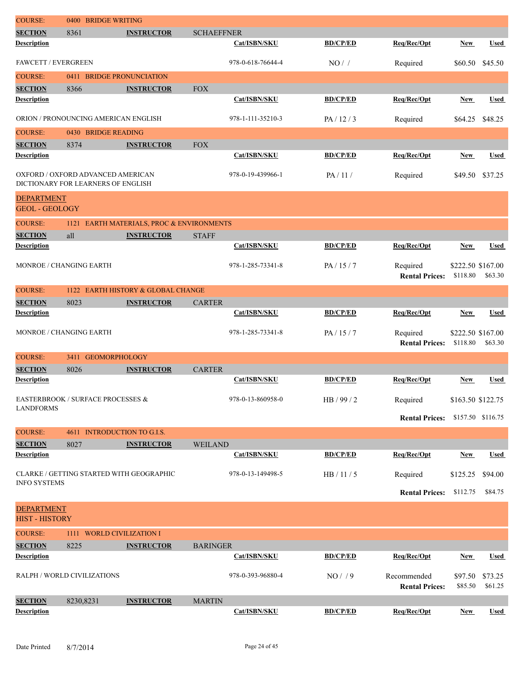| <b>Description</b>                   |           |                                                         |                   | Cat/ISBN/SKU      | <b>BD/CP/ED</b> | Req/Rec/Opt                          | <b>New</b>         | <b>Used</b>        |
|--------------------------------------|-----------|---------------------------------------------------------|-------------------|-------------------|-----------------|--------------------------------------|--------------------|--------------------|
| <b>SECTION</b>                       | 8230,8231 | <b>INSTRUCTOR</b>                                       | <b>MARTIN</b>     |                   |                 |                                      |                    |                    |
| RALPH / WORLD CIVILIZATIONS          |           |                                                         |                   | 978-0-393-96880-4 | NO/9            | Recommended<br><b>Rental Prices:</b> | \$97.50<br>\$85.50 | \$73.25<br>\$61.25 |
| <b>Description</b>                   |           |                                                         |                   | Cat/ISBN/SKU      | <b>BD/CP/ED</b> | Req/Rec/Opt                          | New                | <b>Used</b>        |
| <b>COURSE:</b><br><b>SECTION</b>     | 8225      | 1111 WORLD CIVILIZATION I<br><b>INSTRUCTOR</b>          | <b>BARINGER</b>   |                   |                 |                                      |                    |                    |
| <b>HIST - HISTORY</b>                |           |                                                         |                   |                   |                 |                                      |                    |                    |
| <b>DEPARTMENT</b>                    |           |                                                         |                   |                   |                 |                                      |                    |                    |
| <b>INFO SYSTEMS</b>                  |           |                                                         |                   |                   |                 | <b>Rental Prices:</b>                | \$112.75           | \$84.75            |
|                                      |           | CLARKE / GETTING STARTED WITH GEOGRAPHIC                |                   | 978-0-13-149498-5 | HB / 11 / 5     | Required                             | \$125.25           | \$94.00            |
| <b>Description</b>                   |           |                                                         |                   | Cat/ISBN/SKU      | <b>BD/CP/ED</b> | Req/Rec/Opt                          | <b>New</b>         | <b>Used</b>        |
| <b>SECTION</b>                       | 8027      | <b>INSTRUCTOR</b>                                       | <b>WEILAND</b>    |                   |                 |                                      |                    |                    |
| <b>COURSE:</b>                       |           | 4611 INTRODUCTION TO G.I.S.                             |                   |                   |                 |                                      |                    |                    |
| <b>LANDFORMS</b>                     |           |                                                         |                   |                   |                 | <b>Rental Prices:</b>                | \$157.50 \$116.75  |                    |
|                                      |           | EASTERBROOK / SURFACE PROCESSES &                       |                   | 978-0-13-860958-0 | HB / 99 / 2     | Required                             | \$163.50 \$122.75  |                    |
| <b>SECTION</b><br><b>Description</b> | 8026      | <b>INSTRUCTOR</b>                                       | <b>CARTER</b>     | Cat/ISBN/SKU      | <b>BD/CP/ED</b> | Req/Rec/Opt                          | New                | <b>Used</b>        |
| <b>COURSE:</b>                       | 3411      | <b>GEOMORPHOLOGY</b>                                    |                   |                   |                 |                                      |                    |                    |
|                                      |           |                                                         |                   |                   |                 | <b>Rental Prices:</b>                | \$118.80           | \$63.30            |
| <b>MONROE / CHANGING EARTH</b>       |           |                                                         |                   | 978-1-285-73341-8 | PA/15/7         | Required                             | \$222.50 \$167.00  |                    |
| <b>Description</b>                   |           |                                                         | <b>CARTER</b>     | Cat/ISBN/SKU      | <b>BD/CP/ED</b> | Req/Rec/Opt                          | <b>New</b>         | <b>Used</b>        |
| <b>COURSE:</b><br><b>SECTION</b>     | 8023      | 1122 EARTH HISTORY & GLOBAL CHANGE<br><b>INSTRUCTOR</b> |                   |                   |                 |                                      |                    |                    |
|                                      |           |                                                         |                   |                   |                 | <b>Rental Prices:</b>                | \$118.80           | \$63.30            |
| <b>MONROE / CHANGING EARTH</b>       |           |                                                         |                   | 978-1-285-73341-8 | PA/15/7         | Required                             | \$222.50 \$167.00  |                    |
| <b>SECTION</b><br>Description        | all       | <b>INSTRUCTOR</b>                                       | <b>STAFF</b>      | Cat/ISBN/SKU      | <b>BD/CP/ED</b> | Req/Rec/Opt                          | New                | <b>Used</b>        |
| <b>COURSE:</b>                       |           | 1121 EARTH MATERIALS, PROC & ENVIRONMENTS               |                   |                   |                 |                                      |                    |                    |
| <b>GEOL - GEOLOGY</b>                |           |                                                         |                   |                   |                 |                                      |                    |                    |
| <b>DEPARTMENT</b>                    |           | DICTIONARY FOR LEARNERS OF ENGLISH                      |                   |                   |                 |                                      |                    |                    |
|                                      |           | OXFORD / OXFORD ADVANCED AMERICAN                       |                   | 978-0-19-439966-1 | PA/11/          | Required                             | \$49.50            | \$37.25            |
| <b>SECTION</b><br><b>Description</b> | 8374      | <b>INSTRUCTOR</b>                                       | <b>FOX</b>        | Cat/ISBN/SKU      | <b>BD/CP/ED</b> | Req/Rec/Opt                          | New                | <b>Used</b>        |
| <b>COURSE:</b>                       |           | 0430 BRIDGE READING                                     |                   |                   |                 |                                      |                    |                    |
|                                      |           | ORION / PRONOUNCING AMERICAN ENGLISH                    |                   | 978-1-111-35210-3 | PA/12/3         | Required                             | \$64.25            | \$48.25            |
| <b>Description</b>                   |           |                                                         |                   | Cat/ISBN/SKU      | <b>BD/CP/ED</b> | Req/Rec/Opt                          | New                | <b>Used</b>        |
| <b>SECTION</b>                       | 8366      | <b>INSTRUCTOR</b>                                       | <b>FOX</b>        |                   |                 |                                      |                    |                    |
| <b>COURSE:</b>                       |           | 0411 BRIDGE PRONUNCIATION                               |                   |                   |                 |                                      |                    |                    |
| <b>FAWCETT / EVERGREEN</b>           |           |                                                         |                   | 978-0-618-76644-4 | NO/             | Required                             | \$60.50            | \$45.50            |
| <b>Description</b>                   |           |                                                         |                   | Cat/ISBN/SKU      | <b>BD/CP/ED</b> | Req/Rec/Opt                          | <b>New</b>         | Used               |
| <b>COURSE:</b>                       |           |                                                         |                   |                   |                 |                                      |                    |                    |
| <b>SECTION</b>                       | 8361      | 0400 BRIDGE WRITING<br><b>INSTRUCTOR</b>                | <b>SCHAEFFNER</b> |                   |                 |                                      |                    |                    |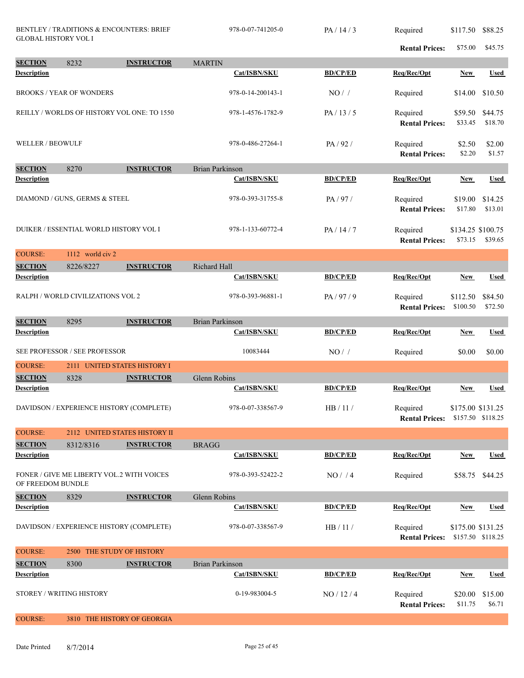| <b>Rental Prices:</b><br>\$75.00<br>\$45.75<br><b>SECTION</b><br><b>INSTRUCTOR</b><br>8232<br><b>MARTIN</b><br>Description<br>Cat/ISBN/SKU<br><b>BD/CP/ED</b><br>Req/Rec/Opt<br><b>Used</b><br><b>New</b><br><b>BROOKS / YEAR OF WONDERS</b><br>978-0-14-200143-1<br>$NO/$ /<br>Required<br>\$10.50<br>\$14.00<br>REILLY / WORLDS OF HISTORY VOL ONE: TO 1550<br>978-1-4576-1782-9<br>PA/13/5<br>Required<br>\$59.50<br>\$44.75<br><b>Rental Prices:</b><br>\$33.45<br>\$18.70<br><b>WELLER / BEOWULF</b><br>978-0-486-27264-1<br>PA/92/<br>Required<br>\$2.50<br>\$2.00<br><b>Rental Prices:</b><br>\$2.20<br>\$1.57<br><b>SECTION</b><br>8270<br><b>INSTRUCTOR</b><br><b>Brian Parkinson</b><br><b>Description</b><br>Cat/ISBN/SKU<br><b>BD/CP/ED</b><br>Req/Rec/Opt<br><b>Used</b><br><b>New</b><br>DIAMOND / GUNS, GERMS & STEEL<br>978-0-393-31755-8<br>PA/97/<br>Required<br>\$19.00<br>\$14.25<br>\$13.01<br><b>Rental Prices:</b><br>\$17.80<br>DUIKER / ESSENTIAL WORLD HISTORY VOL I<br>978-1-133-60772-4<br>PA/14/7<br>Required<br>\$134.25 \$100.75<br><b>Rental Prices:</b><br>\$73.15<br>\$39.65<br><b>COURSE:</b><br>1112 world civ 2<br><b>INSTRUCTOR</b><br>Richard Hall<br><b>SECTION</b><br>8226/8227<br>Cat/ISBN/SKU<br><b>BD/CP/ED</b><br>Req/Rec/Opt<br><b>Description</b><br><b>Used</b><br>New<br>RALPH / WORLD CIVILIZATIONS VOL 2<br>978-0-393-96881-1<br>PA/97/9<br>\$84.50<br>Required<br>\$112.50<br>\$72.50<br>\$100.50<br><b>Rental Prices:</b><br><b>SECTION</b><br><b>INSTRUCTOR</b><br><b>Brian Parkinson</b><br>8295<br><b>BD/CP/ED</b><br>Req/Rec/Opt<br><b>Description</b><br>Cat/ISBN/SKU<br><b>Used</b><br><b>New</b><br>SEE PROFESSOR / SEE PROFESSOR<br>10083444<br>\$0.00<br>NO/<br>\$0.00<br>Required<br><b>COURSE:</b><br>2111 UNITED STATES HISTORY I<br><b>SECTION</b><br>8328<br>Glenn Robins<br><b>INSTRUCTOR</b><br><b>Description</b><br>Cat/ISBN/SKU<br><b>BD/CP/ED</b><br>Req/Rec/Opt<br><b>Used</b><br><b>New</b><br>978-0-07-338567-9<br>DAVIDSON / EXPERIENCE HISTORY (COMPLETE)<br>HB/11/<br>Required<br>\$175.00 \$131.25<br>\$157.50 \$118.25<br><b>Rental Prices:</b><br><b>COURSE:</b><br>2112 UNITED STATES HISTORY II<br><b>SECTION</b><br><b>INSTRUCTOR</b><br>8312/8316<br><b>BRAGG</b><br><b>Description</b><br><b>BD/CP/ED</b><br>Req/Rec/Opt<br><b>Used</b><br>Cat/ISBN/SKU<br>New<br>FONER / GIVE ME LIBERTY VOL.2 WITH VOICES<br>978-0-393-52422-2<br>NO/4<br>Required<br>\$58.75 \$44.25<br>OF FREEDOM BUNDLE<br>Glenn Robins<br><b>SECTION</b><br>8329<br><b>INSTRUCTOR</b><br><b>Description</b><br>Cat/ISBN/SKU<br><b>BD/CP/ED</b><br>Req/Rec/Opt<br><b>Used</b><br><b>New</b><br>DAVIDSON / EXPERIENCE HISTORY (COMPLETE)<br>978-0-07-338567-9<br>HB/11/<br>\$175.00 \$131.25<br>Required<br>\$157.50 \$118.25<br><b>Rental Prices:</b><br><b>COURSE:</b><br>2500 THE STUDY OF HISTORY<br><b>SECTION</b><br>8300<br><b>INSTRUCTOR</b><br><b>Brian Parkinson</b><br><b>BD/CP/ED</b><br><b>Description</b><br>Cat/ISBN/SKU<br>Req/Rec/Opt<br><b>Used</b><br>New<br>STOREY / WRITING HISTORY<br>0-19-983004-5<br>NO / 12 / 4<br>\$20.00<br>\$15.00<br>Required<br><b>Rental Prices:</b><br>\$11.75<br>\$6.71<br><b>COURSE:</b><br>3810 THE HISTORY OF GEORGIA | <b>BENTLEY / TRADITIONS &amp; ENCOUNTERS: BRIEF</b><br><b>GLOBAL HISTORY VOL I</b> |  | 978-0-07-741205-0 | PA/14/3 | Required | \$117.50 | \$88.25 |  |
|--------------------------------------------------------------------------------------------------------------------------------------------------------------------------------------------------------------------------------------------------------------------------------------------------------------------------------------------------------------------------------------------------------------------------------------------------------------------------------------------------------------------------------------------------------------------------------------------------------------------------------------------------------------------------------------------------------------------------------------------------------------------------------------------------------------------------------------------------------------------------------------------------------------------------------------------------------------------------------------------------------------------------------------------------------------------------------------------------------------------------------------------------------------------------------------------------------------------------------------------------------------------------------------------------------------------------------------------------------------------------------------------------------------------------------------------------------------------------------------------------------------------------------------------------------------------------------------------------------------------------------------------------------------------------------------------------------------------------------------------------------------------------------------------------------------------------------------------------------------------------------------------------------------------------------------------------------------------------------------------------------------------------------------------------------------------------------------------------------------------------------------------------------------------------------------------------------------------------------------------------------------------------------------------------------------------------------------------------------------------------------------------------------------------------------------------------------------------------------------------------------------------------------------------------------------------------------------------------------------------------------------------------------------------------------------------------------------------------------------------------------------------------------------------------------------------------------------------------------------------------------------------------------------------------------------------------------------------------------------------------------------------------------------------------------------------------------------------------------------------------------------------------------------------------------------------------------------------------------------|------------------------------------------------------------------------------------|--|-------------------|---------|----------|----------|---------|--|
|                                                                                                                                                                                                                                                                                                                                                                                                                                                                                                                                                                                                                                                                                                                                                                                                                                                                                                                                                                                                                                                                                                                                                                                                                                                                                                                                                                                                                                                                                                                                                                                                                                                                                                                                                                                                                                                                                                                                                                                                                                                                                                                                                                                                                                                                                                                                                                                                                                                                                                                                                                                                                                                                                                                                                                                                                                                                                                                                                                                                                                                                                                                                                                                                                                      |                                                                                    |  |                   |         |          |          |         |  |
|                                                                                                                                                                                                                                                                                                                                                                                                                                                                                                                                                                                                                                                                                                                                                                                                                                                                                                                                                                                                                                                                                                                                                                                                                                                                                                                                                                                                                                                                                                                                                                                                                                                                                                                                                                                                                                                                                                                                                                                                                                                                                                                                                                                                                                                                                                                                                                                                                                                                                                                                                                                                                                                                                                                                                                                                                                                                                                                                                                                                                                                                                                                                                                                                                                      |                                                                                    |  |                   |         |          |          |         |  |
|                                                                                                                                                                                                                                                                                                                                                                                                                                                                                                                                                                                                                                                                                                                                                                                                                                                                                                                                                                                                                                                                                                                                                                                                                                                                                                                                                                                                                                                                                                                                                                                                                                                                                                                                                                                                                                                                                                                                                                                                                                                                                                                                                                                                                                                                                                                                                                                                                                                                                                                                                                                                                                                                                                                                                                                                                                                                                                                                                                                                                                                                                                                                                                                                                                      |                                                                                    |  |                   |         |          |          |         |  |
|                                                                                                                                                                                                                                                                                                                                                                                                                                                                                                                                                                                                                                                                                                                                                                                                                                                                                                                                                                                                                                                                                                                                                                                                                                                                                                                                                                                                                                                                                                                                                                                                                                                                                                                                                                                                                                                                                                                                                                                                                                                                                                                                                                                                                                                                                                                                                                                                                                                                                                                                                                                                                                                                                                                                                                                                                                                                                                                                                                                                                                                                                                                                                                                                                                      |                                                                                    |  |                   |         |          |          |         |  |
|                                                                                                                                                                                                                                                                                                                                                                                                                                                                                                                                                                                                                                                                                                                                                                                                                                                                                                                                                                                                                                                                                                                                                                                                                                                                                                                                                                                                                                                                                                                                                                                                                                                                                                                                                                                                                                                                                                                                                                                                                                                                                                                                                                                                                                                                                                                                                                                                                                                                                                                                                                                                                                                                                                                                                                                                                                                                                                                                                                                                                                                                                                                                                                                                                                      |                                                                                    |  |                   |         |          |          |         |  |
|                                                                                                                                                                                                                                                                                                                                                                                                                                                                                                                                                                                                                                                                                                                                                                                                                                                                                                                                                                                                                                                                                                                                                                                                                                                                                                                                                                                                                                                                                                                                                                                                                                                                                                                                                                                                                                                                                                                                                                                                                                                                                                                                                                                                                                                                                                                                                                                                                                                                                                                                                                                                                                                                                                                                                                                                                                                                                                                                                                                                                                                                                                                                                                                                                                      |                                                                                    |  |                   |         |          |          |         |  |
|                                                                                                                                                                                                                                                                                                                                                                                                                                                                                                                                                                                                                                                                                                                                                                                                                                                                                                                                                                                                                                                                                                                                                                                                                                                                                                                                                                                                                                                                                                                                                                                                                                                                                                                                                                                                                                                                                                                                                                                                                                                                                                                                                                                                                                                                                                                                                                                                                                                                                                                                                                                                                                                                                                                                                                                                                                                                                                                                                                                                                                                                                                                                                                                                                                      |                                                                                    |  |                   |         |          |          |         |  |
|                                                                                                                                                                                                                                                                                                                                                                                                                                                                                                                                                                                                                                                                                                                                                                                                                                                                                                                                                                                                                                                                                                                                                                                                                                                                                                                                                                                                                                                                                                                                                                                                                                                                                                                                                                                                                                                                                                                                                                                                                                                                                                                                                                                                                                                                                                                                                                                                                                                                                                                                                                                                                                                                                                                                                                                                                                                                                                                                                                                                                                                                                                                                                                                                                                      |                                                                                    |  |                   |         |          |          |         |  |
|                                                                                                                                                                                                                                                                                                                                                                                                                                                                                                                                                                                                                                                                                                                                                                                                                                                                                                                                                                                                                                                                                                                                                                                                                                                                                                                                                                                                                                                                                                                                                                                                                                                                                                                                                                                                                                                                                                                                                                                                                                                                                                                                                                                                                                                                                                                                                                                                                                                                                                                                                                                                                                                                                                                                                                                                                                                                                                                                                                                                                                                                                                                                                                                                                                      |                                                                                    |  |                   |         |          |          |         |  |
|                                                                                                                                                                                                                                                                                                                                                                                                                                                                                                                                                                                                                                                                                                                                                                                                                                                                                                                                                                                                                                                                                                                                                                                                                                                                                                                                                                                                                                                                                                                                                                                                                                                                                                                                                                                                                                                                                                                                                                                                                                                                                                                                                                                                                                                                                                                                                                                                                                                                                                                                                                                                                                                                                                                                                                                                                                                                                                                                                                                                                                                                                                                                                                                                                                      |                                                                                    |  |                   |         |          |          |         |  |
|                                                                                                                                                                                                                                                                                                                                                                                                                                                                                                                                                                                                                                                                                                                                                                                                                                                                                                                                                                                                                                                                                                                                                                                                                                                                                                                                                                                                                                                                                                                                                                                                                                                                                                                                                                                                                                                                                                                                                                                                                                                                                                                                                                                                                                                                                                                                                                                                                                                                                                                                                                                                                                                                                                                                                                                                                                                                                                                                                                                                                                                                                                                                                                                                                                      |                                                                                    |  |                   |         |          |          |         |  |
|                                                                                                                                                                                                                                                                                                                                                                                                                                                                                                                                                                                                                                                                                                                                                                                                                                                                                                                                                                                                                                                                                                                                                                                                                                                                                                                                                                                                                                                                                                                                                                                                                                                                                                                                                                                                                                                                                                                                                                                                                                                                                                                                                                                                                                                                                                                                                                                                                                                                                                                                                                                                                                                                                                                                                                                                                                                                                                                                                                                                                                                                                                                                                                                                                                      |                                                                                    |  |                   |         |          |          |         |  |
|                                                                                                                                                                                                                                                                                                                                                                                                                                                                                                                                                                                                                                                                                                                                                                                                                                                                                                                                                                                                                                                                                                                                                                                                                                                                                                                                                                                                                                                                                                                                                                                                                                                                                                                                                                                                                                                                                                                                                                                                                                                                                                                                                                                                                                                                                                                                                                                                                                                                                                                                                                                                                                                                                                                                                                                                                                                                                                                                                                                                                                                                                                                                                                                                                                      |                                                                                    |  |                   |         |          |          |         |  |
|                                                                                                                                                                                                                                                                                                                                                                                                                                                                                                                                                                                                                                                                                                                                                                                                                                                                                                                                                                                                                                                                                                                                                                                                                                                                                                                                                                                                                                                                                                                                                                                                                                                                                                                                                                                                                                                                                                                                                                                                                                                                                                                                                                                                                                                                                                                                                                                                                                                                                                                                                                                                                                                                                                                                                                                                                                                                                                                                                                                                                                                                                                                                                                                                                                      |                                                                                    |  |                   |         |          |          |         |  |
|                                                                                                                                                                                                                                                                                                                                                                                                                                                                                                                                                                                                                                                                                                                                                                                                                                                                                                                                                                                                                                                                                                                                                                                                                                                                                                                                                                                                                                                                                                                                                                                                                                                                                                                                                                                                                                                                                                                                                                                                                                                                                                                                                                                                                                                                                                                                                                                                                                                                                                                                                                                                                                                                                                                                                                                                                                                                                                                                                                                                                                                                                                                                                                                                                                      |                                                                                    |  |                   |         |          |          |         |  |
|                                                                                                                                                                                                                                                                                                                                                                                                                                                                                                                                                                                                                                                                                                                                                                                                                                                                                                                                                                                                                                                                                                                                                                                                                                                                                                                                                                                                                                                                                                                                                                                                                                                                                                                                                                                                                                                                                                                                                                                                                                                                                                                                                                                                                                                                                                                                                                                                                                                                                                                                                                                                                                                                                                                                                                                                                                                                                                                                                                                                                                                                                                                                                                                                                                      |                                                                                    |  |                   |         |          |          |         |  |
|                                                                                                                                                                                                                                                                                                                                                                                                                                                                                                                                                                                                                                                                                                                                                                                                                                                                                                                                                                                                                                                                                                                                                                                                                                                                                                                                                                                                                                                                                                                                                                                                                                                                                                                                                                                                                                                                                                                                                                                                                                                                                                                                                                                                                                                                                                                                                                                                                                                                                                                                                                                                                                                                                                                                                                                                                                                                                                                                                                                                                                                                                                                                                                                                                                      |                                                                                    |  |                   |         |          |          |         |  |
|                                                                                                                                                                                                                                                                                                                                                                                                                                                                                                                                                                                                                                                                                                                                                                                                                                                                                                                                                                                                                                                                                                                                                                                                                                                                                                                                                                                                                                                                                                                                                                                                                                                                                                                                                                                                                                                                                                                                                                                                                                                                                                                                                                                                                                                                                                                                                                                                                                                                                                                                                                                                                                                                                                                                                                                                                                                                                                                                                                                                                                                                                                                                                                                                                                      |                                                                                    |  |                   |         |          |          |         |  |
|                                                                                                                                                                                                                                                                                                                                                                                                                                                                                                                                                                                                                                                                                                                                                                                                                                                                                                                                                                                                                                                                                                                                                                                                                                                                                                                                                                                                                                                                                                                                                                                                                                                                                                                                                                                                                                                                                                                                                                                                                                                                                                                                                                                                                                                                                                                                                                                                                                                                                                                                                                                                                                                                                                                                                                                                                                                                                                                                                                                                                                                                                                                                                                                                                                      |                                                                                    |  |                   |         |          |          |         |  |
|                                                                                                                                                                                                                                                                                                                                                                                                                                                                                                                                                                                                                                                                                                                                                                                                                                                                                                                                                                                                                                                                                                                                                                                                                                                                                                                                                                                                                                                                                                                                                                                                                                                                                                                                                                                                                                                                                                                                                                                                                                                                                                                                                                                                                                                                                                                                                                                                                                                                                                                                                                                                                                                                                                                                                                                                                                                                                                                                                                                                                                                                                                                                                                                                                                      |                                                                                    |  |                   |         |          |          |         |  |
|                                                                                                                                                                                                                                                                                                                                                                                                                                                                                                                                                                                                                                                                                                                                                                                                                                                                                                                                                                                                                                                                                                                                                                                                                                                                                                                                                                                                                                                                                                                                                                                                                                                                                                                                                                                                                                                                                                                                                                                                                                                                                                                                                                                                                                                                                                                                                                                                                                                                                                                                                                                                                                                                                                                                                                                                                                                                                                                                                                                                                                                                                                                                                                                                                                      |                                                                                    |  |                   |         |          |          |         |  |
|                                                                                                                                                                                                                                                                                                                                                                                                                                                                                                                                                                                                                                                                                                                                                                                                                                                                                                                                                                                                                                                                                                                                                                                                                                                                                                                                                                                                                                                                                                                                                                                                                                                                                                                                                                                                                                                                                                                                                                                                                                                                                                                                                                                                                                                                                                                                                                                                                                                                                                                                                                                                                                                                                                                                                                                                                                                                                                                                                                                                                                                                                                                                                                                                                                      |                                                                                    |  |                   |         |          |          |         |  |
|                                                                                                                                                                                                                                                                                                                                                                                                                                                                                                                                                                                                                                                                                                                                                                                                                                                                                                                                                                                                                                                                                                                                                                                                                                                                                                                                                                                                                                                                                                                                                                                                                                                                                                                                                                                                                                                                                                                                                                                                                                                                                                                                                                                                                                                                                                                                                                                                                                                                                                                                                                                                                                                                                                                                                                                                                                                                                                                                                                                                                                                                                                                                                                                                                                      |                                                                                    |  |                   |         |          |          |         |  |
|                                                                                                                                                                                                                                                                                                                                                                                                                                                                                                                                                                                                                                                                                                                                                                                                                                                                                                                                                                                                                                                                                                                                                                                                                                                                                                                                                                                                                                                                                                                                                                                                                                                                                                                                                                                                                                                                                                                                                                                                                                                                                                                                                                                                                                                                                                                                                                                                                                                                                                                                                                                                                                                                                                                                                                                                                                                                                                                                                                                                                                                                                                                                                                                                                                      |                                                                                    |  |                   |         |          |          |         |  |
|                                                                                                                                                                                                                                                                                                                                                                                                                                                                                                                                                                                                                                                                                                                                                                                                                                                                                                                                                                                                                                                                                                                                                                                                                                                                                                                                                                                                                                                                                                                                                                                                                                                                                                                                                                                                                                                                                                                                                                                                                                                                                                                                                                                                                                                                                                                                                                                                                                                                                                                                                                                                                                                                                                                                                                                                                                                                                                                                                                                                                                                                                                                                                                                                                                      |                                                                                    |  |                   |         |          |          |         |  |
|                                                                                                                                                                                                                                                                                                                                                                                                                                                                                                                                                                                                                                                                                                                                                                                                                                                                                                                                                                                                                                                                                                                                                                                                                                                                                                                                                                                                                                                                                                                                                                                                                                                                                                                                                                                                                                                                                                                                                                                                                                                                                                                                                                                                                                                                                                                                                                                                                                                                                                                                                                                                                                                                                                                                                                                                                                                                                                                                                                                                                                                                                                                                                                                                                                      |                                                                                    |  |                   |         |          |          |         |  |
|                                                                                                                                                                                                                                                                                                                                                                                                                                                                                                                                                                                                                                                                                                                                                                                                                                                                                                                                                                                                                                                                                                                                                                                                                                                                                                                                                                                                                                                                                                                                                                                                                                                                                                                                                                                                                                                                                                                                                                                                                                                                                                                                                                                                                                                                                                                                                                                                                                                                                                                                                                                                                                                                                                                                                                                                                                                                                                                                                                                                                                                                                                                                                                                                                                      |                                                                                    |  |                   |         |          |          |         |  |
|                                                                                                                                                                                                                                                                                                                                                                                                                                                                                                                                                                                                                                                                                                                                                                                                                                                                                                                                                                                                                                                                                                                                                                                                                                                                                                                                                                                                                                                                                                                                                                                                                                                                                                                                                                                                                                                                                                                                                                                                                                                                                                                                                                                                                                                                                                                                                                                                                                                                                                                                                                                                                                                                                                                                                                                                                                                                                                                                                                                                                                                                                                                                                                                                                                      |                                                                                    |  |                   |         |          |          |         |  |
|                                                                                                                                                                                                                                                                                                                                                                                                                                                                                                                                                                                                                                                                                                                                                                                                                                                                                                                                                                                                                                                                                                                                                                                                                                                                                                                                                                                                                                                                                                                                                                                                                                                                                                                                                                                                                                                                                                                                                                                                                                                                                                                                                                                                                                                                                                                                                                                                                                                                                                                                                                                                                                                                                                                                                                                                                                                                                                                                                                                                                                                                                                                                                                                                                                      |                                                                                    |  |                   |         |          |          |         |  |
|                                                                                                                                                                                                                                                                                                                                                                                                                                                                                                                                                                                                                                                                                                                                                                                                                                                                                                                                                                                                                                                                                                                                                                                                                                                                                                                                                                                                                                                                                                                                                                                                                                                                                                                                                                                                                                                                                                                                                                                                                                                                                                                                                                                                                                                                                                                                                                                                                                                                                                                                                                                                                                                                                                                                                                                                                                                                                                                                                                                                                                                                                                                                                                                                                                      |                                                                                    |  |                   |         |          |          |         |  |
|                                                                                                                                                                                                                                                                                                                                                                                                                                                                                                                                                                                                                                                                                                                                                                                                                                                                                                                                                                                                                                                                                                                                                                                                                                                                                                                                                                                                                                                                                                                                                                                                                                                                                                                                                                                                                                                                                                                                                                                                                                                                                                                                                                                                                                                                                                                                                                                                                                                                                                                                                                                                                                                                                                                                                                                                                                                                                                                                                                                                                                                                                                                                                                                                                                      |                                                                                    |  |                   |         |          |          |         |  |
|                                                                                                                                                                                                                                                                                                                                                                                                                                                                                                                                                                                                                                                                                                                                                                                                                                                                                                                                                                                                                                                                                                                                                                                                                                                                                                                                                                                                                                                                                                                                                                                                                                                                                                                                                                                                                                                                                                                                                                                                                                                                                                                                                                                                                                                                                                                                                                                                                                                                                                                                                                                                                                                                                                                                                                                                                                                                                                                                                                                                                                                                                                                                                                                                                                      |                                                                                    |  |                   |         |          |          |         |  |
|                                                                                                                                                                                                                                                                                                                                                                                                                                                                                                                                                                                                                                                                                                                                                                                                                                                                                                                                                                                                                                                                                                                                                                                                                                                                                                                                                                                                                                                                                                                                                                                                                                                                                                                                                                                                                                                                                                                                                                                                                                                                                                                                                                                                                                                                                                                                                                                                                                                                                                                                                                                                                                                                                                                                                                                                                                                                                                                                                                                                                                                                                                                                                                                                                                      |                                                                                    |  |                   |         |          |          |         |  |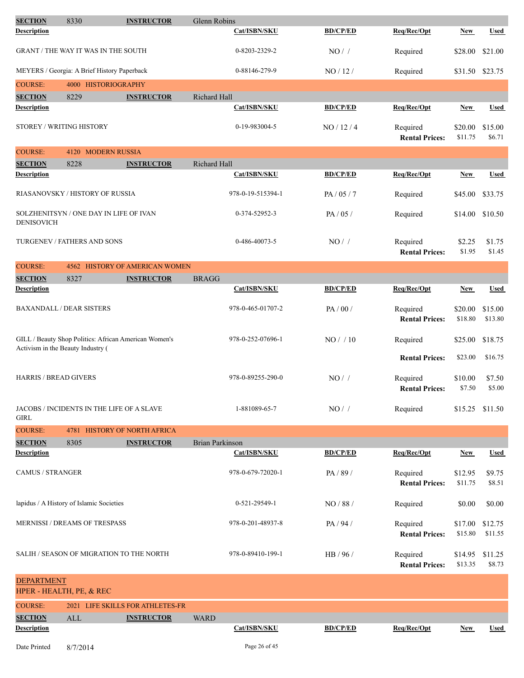| <b>SECTION</b>                    | 8330                                                  | <b>INSTRUCTOR</b>                     | Glenn Robins           |                   |                 |                                   |                    |                    |
|-----------------------------------|-------------------------------------------------------|---------------------------------------|------------------------|-------------------|-----------------|-----------------------------------|--------------------|--------------------|
| Description                       |                                                       |                                       |                        | Cat/ISBN/SKU      | <b>BD/CP/ED</b> | Req/Rec/Opt                       | New                | <b>Used</b>        |
|                                   | <b>GRANT / THE WAY IT WAS IN THE SOUTH</b>            |                                       |                        | 0-8203-2329-2     | NO/             | Required                          | \$28.00            | \$21.00            |
|                                   | MEYERS / Georgia: A Brief History Paperback           |                                       |                        | 0-88146-279-9     | NO/12/          | Required                          | \$31.50 \$23.75    |                    |
| <b>COURSE:</b>                    | 4000 HISTORIOGRAPHY                                   |                                       |                        |                   |                 |                                   |                    |                    |
| <b>SECTION</b>                    | 8229                                                  | <b>INSTRUCTOR</b>                     | Richard Hall           |                   |                 |                                   |                    |                    |
| <b>Description</b>                |                                                       |                                       |                        | Cat/ISBN/SKU      | <b>BD/CP/ED</b> | Req/Rec/Opt                       | <b>New</b>         | <b>Used</b>        |
| STOREY / WRITING HISTORY          |                                                       |                                       |                        | 0-19-983004-5     | NO/12/4         | Required<br><b>Rental Prices:</b> | \$20.00<br>\$11.75 | \$15.00<br>\$6.71  |
| <b>COURSE:</b>                    | 4120 MODERN RUSSIA                                    |                                       |                        |                   |                 |                                   |                    |                    |
| <b>SECTION</b>                    | 8228                                                  | <b>INSTRUCTOR</b>                     | Richard Hall           |                   |                 |                                   |                    |                    |
| <b>Description</b>                |                                                       |                                       |                        | Cat/ISBN/SKU      | <b>BD/CP/ED</b> | Req/Rec/Opt                       | New                | <b>Used</b>        |
|                                   | RIASANOVSKY / HISTORY OF RUSSIA                       |                                       |                        | 978-0-19-515394-1 | PA/05/7         | Required                          | \$45.00            | \$33.75            |
| <b>DENISOVICH</b>                 | SOLZHENITSYN / ONE DAY IN LIFE OF IVAN                |                                       |                        | 0-374-52952-3     | PA/05/          | Required                          | \$14.00            | \$10.50            |
|                                   | TURGENEV / FATHERS AND SONS                           |                                       |                        | 0-486-40073-5     | NO/             | Required<br><b>Rental Prices:</b> | \$2.25<br>\$1.95   | \$1.75<br>\$1.45   |
| <b>COURSE:</b>                    |                                                       | <b>4562 HISTORY OF AMERICAN WOMEN</b> |                        |                   |                 |                                   |                    |                    |
| <b>SECTION</b>                    | 8327                                                  | <b>INSTRUCTOR</b>                     | <b>BRAGG</b>           |                   |                 |                                   |                    |                    |
| Description                       |                                                       |                                       |                        | Cat/ISBN/SKU      | <b>BD/CP/ED</b> | Req/Rec/Opt                       | New                | <b>Used</b>        |
|                                   | <b>BAXANDALL / DEAR SISTERS</b>                       |                                       |                        | 978-0-465-01707-2 | PA/00/          | Required<br><b>Rental Prices:</b> | \$20.00<br>\$18.80 | \$15.00<br>\$13.80 |
| Activism in the Beauty Industry ( | GILL / Beauty Shop Politics: African American Women's |                                       |                        | 978-0-252-07696-1 | NO/10           | Required                          | \$25.00            | \$18.75            |
|                                   |                                                       |                                       |                        |                   |                 | <b>Rental Prices:</b>             | \$23.00            | \$16.75            |
| <b>HARRIS / BREAD GIVERS</b>      |                                                       |                                       |                        | 978-0-89255-290-0 | NO/             | Required<br><b>Rental Prices:</b> | \$10.00<br>\$7.50  | \$7.50<br>\$5.00   |
| <b>GIRL</b>                       | JACOBS / INCIDENTS IN THE LIFE OF A SLAVE             |                                       |                        | 1-881089-65-7     | NO/             | Required                          | \$15.25            | \$11.50            |
| <b>COURSE:</b>                    |                                                       | 4781 HISTORY OF NORTH AFRICA          |                        |                   |                 |                                   |                    |                    |
| <b>SECTION</b>                    | 8305                                                  | <b>INSTRUCTOR</b>                     | <b>Brian Parkinson</b> |                   |                 |                                   |                    |                    |
| <b>Description</b>                |                                                       |                                       |                        | Cat/ISBN/SKU      | <b>BD/CP/ED</b> | Req/Rec/Opt                       | <b>New</b>         | <b>Used</b>        |
| <b>CAMUS / STRANGER</b>           |                                                       |                                       |                        | 978-0-679-72020-1 | PA/89/          | Required<br><b>Rental Prices:</b> | \$12.95<br>\$11.75 | \$9.75<br>\$8.51   |
|                                   | lapidus / A History of Islamic Societies              |                                       |                        | 0-521-29549-1     | NO/88/          | Required                          | \$0.00             | \$0.00             |
|                                   | <b>MERNISSI / DREAMS OF TRESPASS</b>                  |                                       |                        | 978-0-201-48937-8 | PA / 94 /       | Required<br><b>Rental Prices:</b> | \$17.00<br>\$15.80 | \$12.75<br>\$11.55 |
|                                   | SALIH / SEASON OF MIGRATION TO THE NORTH              |                                       |                        | 978-0-89410-199-1 | HB / 96 /       | Required<br><b>Rental Prices:</b> | \$14.95<br>\$13.35 | \$11.25<br>\$8.73  |
| <b>DEPARTMENT</b>                 |                                                       |                                       |                        |                   |                 |                                   |                    |                    |
|                                   | HPER - HEALTH, PE, & REC                              |                                       |                        |                   |                 |                                   |                    |                    |
| <b>COURSE:</b>                    |                                                       | 2021 LIFE SKILLS FOR ATHLETES-FR      |                        |                   |                 |                                   |                    |                    |
| <b>SECTION</b>                    | ALL                                                   | <b>INSTRUCTOR</b>                     | <b>WARD</b>            |                   |                 |                                   |                    |                    |
| <b>Description</b>                |                                                       |                                       |                        | Cat/ISBN/SKU      | <b>BD/CP/ED</b> | Req/Rec/Opt                       | <b>New</b>         | <b>Used</b>        |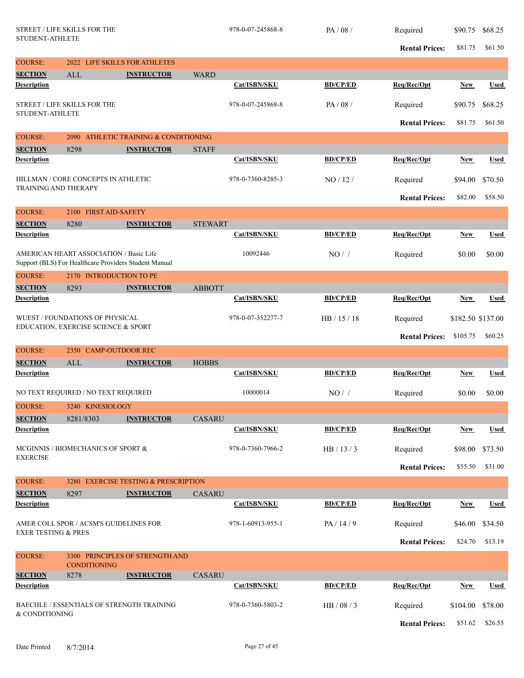|                                      | <b>STREET / LIFE SKILLS FOR THE</b><br>STUDENT-ATHLETE                                           |                                            |                | 978-0-07-245868-8 | PA/08/          | Required<br><b>Rental Prices:</b> | \$90.75<br>\$81.75 | \$68.25<br>\$61.50 |
|--------------------------------------|--------------------------------------------------------------------------------------------------|--------------------------------------------|----------------|-------------------|-----------------|-----------------------------------|--------------------|--------------------|
| <b>COURSE:</b>                       |                                                                                                  | 2022 LIFE SKILLS FOR ATHLETES              |                |                   |                 |                                   |                    |                    |
| <b>SECTION</b>                       | ALL                                                                                              | <b>INSTRUCTOR</b>                          | <b>WARD</b>    |                   |                 |                                   |                    |                    |
| <b>Description</b>                   |                                                                                                  |                                            |                | Cat/ISBN/SKU      | <b>BD/CP/ED</b> | Req/Rec/Opt                       | <b>New</b>         | <b>Used</b>        |
| <b>STUDENT-ATHLETE</b>               | STREET / LIFE SKILLS FOR THE                                                                     |                                            |                | 978-0-07-245868-8 | PA/08/          | Required<br><b>Rental Prices:</b> | \$90.75<br>\$81.75 | \$68.25            |
| <b>COURSE:</b>                       | 2090                                                                                             | ATHLETIC TRAINING & CONDITIONING           |                |                   |                 |                                   |                    | \$61.50            |
| <b>SECTION</b>                       | 8298                                                                                             | <b>INSTRUCTOR</b>                          | <b>STAFF</b>   |                   |                 |                                   |                    |                    |
| <b>Description</b>                   |                                                                                                  |                                            |                | Cat/ISBN/SKU      | <b>BD/CP/ED</b> | Req/Rec/Opt                       | <b>New</b>         | <b>Used</b>        |
| <b>TRAINING AND THERAPY</b>          | HILLMAN / CORE CONCEPTS IN ATHLETIC                                                              |                                            |                | 978-0-7360-8285-3 | NO/12/          | Required                          | \$94.00            | \$70.50            |
|                                      |                                                                                                  |                                            |                |                   |                 | <b>Rental Prices:</b>             | \$82.00            | \$58.50            |
| <b>COURSE:</b>                       | 2100 FIRST AID-SAFETY                                                                            |                                            |                |                   |                 |                                   |                    |                    |
| <b>SECTION</b>                       | 8280                                                                                             | <b>INSTRUCTOR</b>                          | <b>STEWART</b> |                   |                 |                                   |                    |                    |
| <b>Description</b>                   |                                                                                                  |                                            |                | Cat/ISBN/SKU      | <b>BD/CP/ED</b> | Req/Rec/Opt                       | <b>New</b>         | <b>Used</b>        |
|                                      | AMERICAN HEART ASSOCIATION / Basic Life<br>Support (BLS) For Healthcare Providers Student Manual |                                            |                | 10092446          | NO/             | Required                          | \$0.00             | \$0.00             |
| <b>COURSE:</b>                       | 2170 INTRODUCTION TO PE                                                                          |                                            |                |                   |                 |                                   |                    |                    |
| <b>SECTION</b><br><b>Description</b> | 8293                                                                                             | <b>INSTRUCTOR</b>                          | <b>ABBOTT</b>  | Cat/ISBN/SKU      | <b>BD/CP/ED</b> | Req/Rec/Opt                       | <b>New</b>         | <b>Used</b>        |
|                                      |                                                                                                  |                                            |                |                   |                 |                                   |                    |                    |
|                                      | WUEST / FOUNDATIONS OF PHYSICAL<br>EDUCATION, EXERCISE SCIENCE & SPORT                           |                                            |                | 978-0-07-352277-7 | HB / 15 / 18    | Required                          | \$182.50 \$137.00  |                    |
|                                      |                                                                                                  |                                            |                |                   |                 | <b>Rental Prices:</b>             | \$105.75           | \$60.25            |
| <b>COURSE:</b>                       | <b>CAMP-OUTDOOR REC</b><br>2350                                                                  |                                            |                |                   |                 |                                   |                    |                    |
| <b>SECTION</b>                       | ALL                                                                                              | <b>INSTRUCTOR</b>                          | <b>HOBBS</b>   |                   |                 |                                   |                    |                    |
| <b>Description</b>                   |                                                                                                  |                                            |                | Cat/ISBN/SKU      | <b>BD/CP/ED</b> | Req/Rec/Opt                       | <b>New</b>         | <b>Used</b>        |
|                                      | NO TEXT REQUIRED / NO TEXT REQUIRED                                                              |                                            |                | 10000014          | NO/             | Required                          | \$0.00             | \$0.00             |
| <b>COURSE:</b>                       | 3240 KINESIOLOGY                                                                                 |                                            |                |                   |                 |                                   |                    |                    |
| <b>SECTION</b>                       | 8281/8303                                                                                        | <b>INSTRUCTOR</b>                          | <b>CASARU</b>  |                   |                 |                                   |                    |                    |
| <b>Description</b>                   |                                                                                                  |                                            |                | Cat/ISBN/SKU      | <b>BD/CP/ED</b> | Req/Rec/Opt                       | New                | <b>Used</b>        |
| <b>EXERCISE</b>                      | MCGINNIS / BIOMECHANICS OF SPORT &                                                               |                                            |                | 978-0-7360-7966-2 | HB / 13 / 3     | Required                          | \$98.00            | \$73.50            |
|                                      |                                                                                                  |                                            |                |                   |                 | <b>Rental Prices:</b>             | \$55.50            | \$31.00            |
| <b>COURSE:</b>                       | 3280                                                                                             | <b>EXERCISE TESTING &amp; PRESCRIPTION</b> |                |                   |                 |                                   |                    |                    |
| <b>SECTION</b>                       | 8297                                                                                             | <b>INSTRUCTOR</b>                          | <b>CASARU</b>  |                   |                 |                                   |                    |                    |
| <b>Description</b>                   |                                                                                                  |                                            |                | Cat/ISBN/SKU      | <b>BD/CP/ED</b> | Req/Rec/Opt                       | <b>New</b>         | <b>Used</b>        |
| <b>EXER TESTING &amp; PRES</b>       | AMER COLL SPOR / ACSM'S GUIDELINES FOR                                                           |                                            |                | 978-1-60913-955-1 | PA / 14 / 9     | Required                          | \$46.00            | \$34.50            |
|                                      |                                                                                                  |                                            |                |                   |                 | <b>Rental Prices:</b>             | \$24.70            | \$13.19            |
| <b>COURSE:</b>                       | <b>CONDITIONING</b>                                                                              | 3300 PRINCIPLES OF STRENGTH AND            |                |                   |                 |                                   |                    |                    |
| <b>SECTION</b>                       | 8278                                                                                             | <b>INSTRUCTOR</b>                          | <b>CASARU</b>  |                   |                 |                                   |                    |                    |
| <b>Description</b>                   |                                                                                                  |                                            |                | Cat/ISBN/SKU      | <b>BD/CP/ED</b> | Req/Rec/Opt                       | <b>New</b>         | <b>Used</b>        |
| & CONDITIONING                       | BAECHLE / ESSENTIALS OF STRENGTH TRAINING                                                        |                                            |                | 978-0-7360-5803-2 | HB / 08 / 3     | Required                          | \$104.00           | \$78.00            |
|                                      |                                                                                                  |                                            |                |                   |                 | <b>Rental Prices:</b>             | \$51.62            | \$26.55            |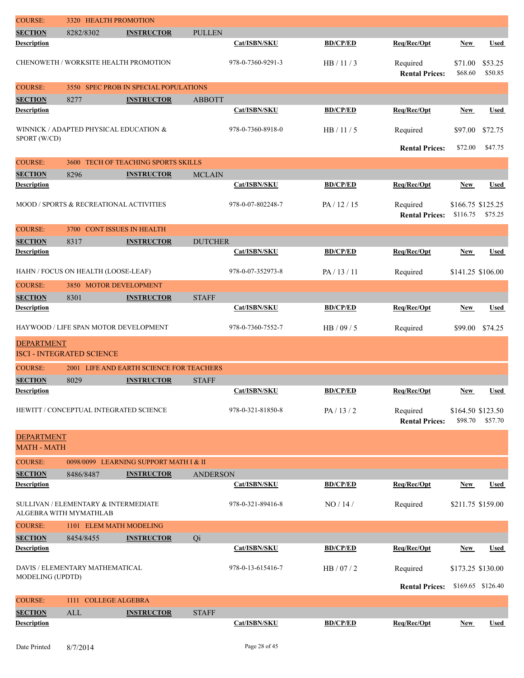| <b>COURSE:</b>                          | <b>HEALTH PROMOTION</b><br>3320                                |                                          |                 |                   |                 |                                   |                               |                    |
|-----------------------------------------|----------------------------------------------------------------|------------------------------------------|-----------------|-------------------|-----------------|-----------------------------------|-------------------------------|--------------------|
| <b>SECTION</b>                          | 8282/8302                                                      | <b>INSTRUCTOR</b>                        | <b>PULLEN</b>   |                   |                 |                                   |                               |                    |
| <b>Description</b>                      |                                                                |                                          |                 | Cat/ISBN/SKU      | <b>BD/CP/ED</b> | Req/Rec/Opt                       | <b>New</b>                    | <b>Used</b>        |
|                                         | CHENOWETH / WORKSITE HEALTH PROMOTION                          |                                          |                 | 978-0-7360-9291-3 | HB/11/3         | Required<br><b>Rental Prices:</b> | \$71.00<br>\$68.60            | \$53.25<br>\$50.85 |
| <b>COURSE:</b>                          |                                                                | 3550 SPEC PROB IN SPECIAL POPULATIONS    |                 |                   |                 |                                   |                               |                    |
| <b>SECTION</b>                          | 8277                                                           | <b>INSTRUCTOR</b>                        | <b>ABBOTT</b>   |                   |                 |                                   |                               |                    |
| <b>Description</b>                      |                                                                |                                          |                 | Cat/ISBN/SKU      | <b>BD/CP/ED</b> | Req/Rec/Opt                       | New                           | <b>Used</b>        |
| SPORT (W/CD)                            | WINNICK / ADAPTED PHYSICAL EDUCATION &                         |                                          |                 | 978-0-7360-8918-0 | HB/11/5         | Required                          | \$97.00                       | \$72.75            |
|                                         |                                                                |                                          |                 |                   |                 | <b>Rental Prices:</b>             | \$72.00                       | \$47.75            |
| <b>COURSE:</b>                          | 3600                                                           | <b>TECH OF TEACHING SPORTS SKILLS</b>    |                 |                   |                 |                                   |                               |                    |
| <b>SECTION</b>                          | 8296                                                           | <b>INSTRUCTOR</b>                        | <b>MCLAIN</b>   |                   |                 |                                   |                               |                    |
| <b>Description</b>                      |                                                                |                                          |                 | Cat/ISBN/SKU      | <b>BD/CP/ED</b> | Req/Rec/Opt                       | <b>New</b>                    | <b>Used</b>        |
|                                         | MOOD / SPORTS & RECREATIONAL ACTIVITIES                        |                                          |                 | 978-0-07-802248-7 | PA/12/15        | Required<br><b>Rental Prices:</b> | \$166.75 \$125.25<br>\$116.75 | \$75.25            |
| <b>COURSE:</b>                          | 3700 CONT ISSUES IN HEALTH                                     |                                          |                 |                   |                 |                                   |                               |                    |
| <b>SECTION</b>                          | 8317                                                           | <b>INSTRUCTOR</b>                        | <b>DUTCHER</b>  |                   |                 |                                   |                               |                    |
| <b>Description</b>                      |                                                                |                                          |                 | Cat/ISBN/SKU      | <b>BD/CP/ED</b> | Req/Rec/Opt                       | <b>New</b>                    | Used               |
|                                         | HAHN / FOCUS ON HEALTH (LOOSE-LEAF)                            |                                          |                 | 978-0-07-352973-8 | PA / 13 / 11    | Required                          | \$141.25 \$106.00             |                    |
| <b>COURSE:</b>                          | 3850 MOTOR DEVELOPMENT                                         |                                          |                 |                   |                 |                                   |                               |                    |
| <b>SECTION</b>                          | 8301                                                           | <b>INSTRUCTOR</b>                        | <b>STAFF</b>    |                   |                 |                                   |                               |                    |
| <b>Description</b>                      |                                                                |                                          |                 | Cat/ISBN/SKU      | <b>BD/CP/ED</b> | Req/Rec/Opt                       | <b>New</b>                    | <b>Used</b>        |
|                                         | HAYWOOD / LIFE SPAN MOTOR DEVELOPMENT                          |                                          |                 | 978-0-7360-7552-7 | HB / 09 / 5     | Required                          | \$99.00                       | \$74.25            |
| <b>DEPARTMENT</b>                       | <b>ISCI - INTEGRATED SCIENCE</b>                               |                                          |                 |                   |                 |                                   |                               |                    |
| <b>COURSE:</b>                          |                                                                | 2001 LIFE AND EARTH SCIENCE FOR TEACHERS |                 |                   |                 |                                   |                               |                    |
| <b>SECTION</b>                          | 8029                                                           | <b>INSTRUCTOR</b>                        | <b>STAFF</b>    |                   |                 |                                   |                               |                    |
| <b>Description</b>                      |                                                                |                                          |                 | Cat/ISBN/SKU      | <b>BD/CP/ED</b> | Req/Rec/Opt                       | <b>New</b>                    | Used               |
|                                         | HEWITT / CONCEPTUAL INTEGRATED SCIENCE                         |                                          |                 | 978-0-321-81850-8 | PA/13/2         | Required<br><b>Rental Prices:</b> | \$164.50 \$123.50<br>\$98.70  | \$57.70            |
| <b>DEPARTMENT</b><br><b>MATH - MATH</b> |                                                                |                                          |                 |                   |                 |                                   |                               |                    |
| <b>COURSE:</b>                          |                                                                | 0098/0099 LEARNING SUPPORT MATH I & II   |                 |                   |                 |                                   |                               |                    |
| <b>SECTION</b>                          | 8486/8487                                                      | <b>INSTRUCTOR</b>                        | <b>ANDERSON</b> |                   |                 |                                   |                               |                    |
| <b>Description</b>                      |                                                                |                                          |                 | Cat/ISBN/SKU      | <b>BD/CP/ED</b> | Req/Rec/Opt                       | <b>New</b>                    | <b>Used</b>        |
|                                         | SULLIVAN / ELEMENTARY & INTERMEDIATE<br>ALGEBRA WITH MYMATHLAB |                                          |                 | 978-0-321-89416-8 | NO/14/          | Required                          | \$211.75 \$159.00             |                    |
| <b>COURSE:</b>                          | 1101 ELEM MATH MODELING                                        |                                          |                 |                   |                 |                                   |                               |                    |
| <b>SECTION</b>                          | 8454/8455                                                      | <b>INSTRUCTOR</b>                        | Qi              |                   |                 |                                   |                               |                    |
| <b>Description</b>                      |                                                                |                                          |                 | Cat/ISBN/SKU      | <b>BD/CP/ED</b> | Req/Rec/Opt                       | <b>New</b>                    | <b>Used</b>        |
|                                         | DAVIS / ELEMENTARY MATHEMATICAL                                |                                          |                 | 978-0-13-615416-7 | HB / 07 / 2     | Required                          | \$173.25 \$130.00             |                    |
| MODELING (UPDTD)                        |                                                                |                                          |                 |                   |                 | <b>Rental Prices:</b>             |                               | \$169.65 \$126.40  |
| <b>COURSE:</b>                          | 1111 COLLEGE ALGEBRA                                           |                                          |                 |                   |                 |                                   |                               |                    |
| <b>SECTION</b>                          | ALL                                                            | <b>INSTRUCTOR</b>                        | <b>STAFF</b>    |                   |                 |                                   |                               |                    |
| <b>Description</b>                      |                                                                |                                          |                 | Cat/ISBN/SKU      | <b>BD/CP/ED</b> | Req/Rec/Opt                       | <b>New</b>                    | Used               |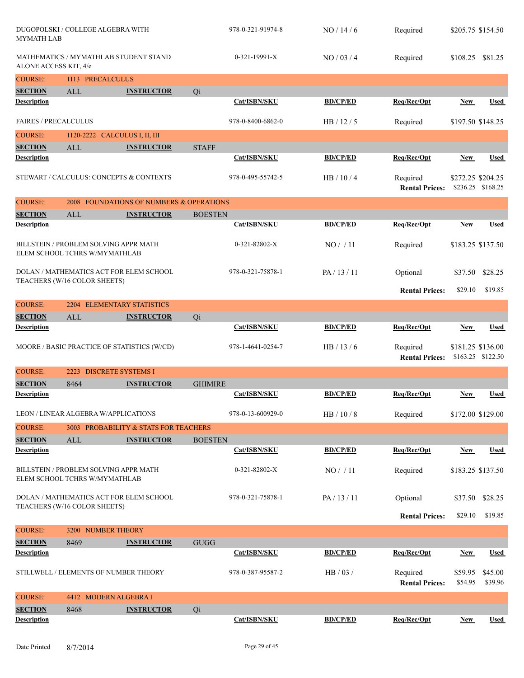| <b>MYMATH LAB</b>                     | DUGOPOLSKI / COLLEGE ALGEBRA WITH                                       |                                          |                | 978-0-321-91974-8 | NO/14/6         | Required                          | \$205.75 \$154.50  |                    |
|---------------------------------------|-------------------------------------------------------------------------|------------------------------------------|----------------|-------------------|-----------------|-----------------------------------|--------------------|--------------------|
| ALONE ACCESS KIT, 4/e                 | MATHEMATICS / MYMATHLAB STUDENT STAND                                   |                                          |                | $0-321-19991-X$   | NO / 03 / 4     | Required                          | \$108.25           | \$81.25            |
| <b>COURSE:</b>                        | 1113 PRECALCULUS                                                        |                                          |                |                   |                 |                                   |                    |                    |
| <b>SECTION</b>                        | ALL                                                                     | <b>INSTRUCTOR</b>                        | Qi             |                   |                 |                                   |                    |                    |
| <b>Description</b>                    |                                                                         |                                          |                | Cat/ISBN/SKU      | <b>BD/CP/ED</b> | Req/Rec/Opt                       | New                | Used               |
| <b>FAIRES / PRECALCULUS</b>           |                                                                         |                                          |                | 978-0-8400-6862-0 | HB / 12 / 5     | Required                          | \$197.50 \$148.25  |                    |
| <b>COURSE:</b>                        | 1120-2222 CALCULUS I, II, III                                           |                                          |                |                   |                 |                                   |                    |                    |
| <b>SECTION</b>                        | ALL                                                                     | <b>INSTRUCTOR</b>                        | <b>STAFF</b>   |                   |                 |                                   |                    |                    |
| <b>Description</b>                    |                                                                         |                                          |                | Cat/ISBN/SKU      | <b>BD/CP/ED</b> | Req/Rec/Opt                       | <b>New</b>         | <b>Used</b>        |
|                                       | STEWART / CALCULUS: CONCEPTS & CONTEXTS                                 |                                          |                | 978-0-495-55742-5 | HB / 10 / 4     | Required<br><b>Rental Prices:</b> | \$272.25 \$204.25  | \$236.25 \$168.25  |
| <b>COURSE:</b>                        |                                                                         | 2008 FOUNDATIONS OF NUMBERS & OPERATIONS |                |                   |                 |                                   |                    |                    |
| <b>SECTION</b>                        | ALL                                                                     | <b>INSTRUCTOR</b>                        | <b>BOESTEN</b> |                   |                 |                                   |                    |                    |
| <b>Description</b>                    |                                                                         |                                          |                | Cat/ISBN/SKU      | <b>BD/CP/ED</b> | Req/Rec/Opt                       | <b>New</b>         | <b>Used</b>        |
|                                       | BILLSTEIN / PROBLEM SOLVING APPR MATH<br>ELEM SCHOOL TCHRS W/MYMATHLAB  |                                          |                | 0-321-82802-X     | NO/11           | Required                          | \$183.25 \$137.50  |                    |
|                                       | DOLAN / MATHEMATICS ACT FOR ELEM SCHOOL<br>TEACHERS (W/16 COLOR SHEETS) |                                          |                | 978-0-321-75878-1 | PA/13/11        | Optional                          | \$37.50            | \$28.25            |
|                                       |                                                                         |                                          |                |                   |                 | <b>Rental Prices:</b>             | \$29.10            | \$19.85            |
| <b>COURSE:</b>                        | 2204 ELEMENTARY STATISTICS                                              |                                          |                |                   |                 |                                   |                    |                    |
| <b>SECTION</b>                        | <b>ALL</b>                                                              | <b>INSTRUCTOR</b>                        | Qi             |                   |                 |                                   |                    |                    |
| <b>Description</b>                    |                                                                         |                                          |                | Cat/ISBN/SKU      | <b>BD/CP/ED</b> | Req/Rec/Opt                       | <b>New</b>         | <b>Used</b>        |
|                                       | MOORE / BASIC PRACTICE OF STATISTICS (W/CD)                             |                                          |                | 978-1-4641-0254-7 | HB $/$ 13 $/$ 6 | Required<br><b>Rental Prices:</b> | \$181.25 \$136.00  | \$163.25 \$122.50  |
| <b>COURSE:</b>                        | <b>DISCRETE SYSTEMS I</b><br>2223                                       |                                          |                |                   |                 |                                   |                    |                    |
| <b>SECTION</b>                        | 8464                                                                    | <b>INSTRUCTOR</b>                        | <b>GHIMIRE</b> |                   |                 |                                   |                    |                    |
| <b>Description</b>                    |                                                                         |                                          |                | Cat/ISBN/SKU      | <b>BD/CP/ED</b> | Req/Rec/Opt                       | New                | <b>Used</b>        |
|                                       | LEON / LINEAR ALGEBRA W/APPLICATIONS                                    |                                          |                | 978-0-13-600929-0 | HB / 10 / 8     | Required                          | \$172.00 \$129.00  |                    |
| <b>COURSE:</b>                        |                                                                         | 3003 PROBABILITY & STATS FOR TEACHERS    |                |                   |                 |                                   |                    |                    |
| <b>SECTION</b><br><b>Description</b>  | ALL                                                                     | <b>INSTRUCTOR</b>                        | <b>BOESTEN</b> | Cat/ISBN/SKU      | <b>BD/CP/ED</b> |                                   |                    |                    |
|                                       |                                                                         |                                          |                |                   |                 | Req/Rec/Opt                       | <b>New</b>         | <b>Used</b>        |
|                                       | BILLSTEIN / PROBLEM SOLVING APPR MATH<br>ELEM SCHOOL TCHRS W/MYMATHLAB  |                                          |                | 0-321-82802-X     | NO/11           | Required                          | \$183.25 \$137.50  |                    |
|                                       | DOLAN / MATHEMATICS ACT FOR ELEM SCHOOL<br>TEACHERS (W/16 COLOR SHEETS) |                                          |                | 978-0-321-75878-1 | PA/13/11        | Optional                          |                    | \$37.50 \$28.25    |
|                                       |                                                                         |                                          |                |                   |                 | <b>Rental Prices:</b>             | \$29.10            | \$19.85            |
| <b>COURSE:</b>                        | 3200 NUMBER THEORY                                                      |                                          |                |                   |                 |                                   |                    |                    |
| <b>SECTION</b>                        | 8469                                                                    | <b>INSTRUCTOR</b>                        | <b>GUGG</b>    |                   |                 |                                   |                    |                    |
| <b>Description</b>                    |                                                                         |                                          |                | Cat/ISBN/SKU      | <b>BD/CP/ED</b> | Req/Rec/Opt                       | New                | Used               |
| STILLWELL / ELEMENTS OF NUMBER THEORY |                                                                         |                                          |                | 978-0-387-95587-2 | HB / 03 /       | Required<br><b>Rental Prices:</b> | \$59.95<br>\$54.95 | \$45.00<br>\$39.96 |
| <b>COURSE:</b>                        | 4412 MODERN ALGEBRA I                                                   |                                          |                |                   |                 |                                   |                    |                    |
| <b>SECTION</b>                        | 8468                                                                    | <b>INSTRUCTOR</b>                        | Qi             |                   |                 |                                   |                    |                    |
| <b>Description</b>                    |                                                                         |                                          |                | Cat/ISBN/SKU      | <b>BD/CP/ED</b> | Req/Rec/Opt                       | <b>New</b>         | <b>Used</b>        |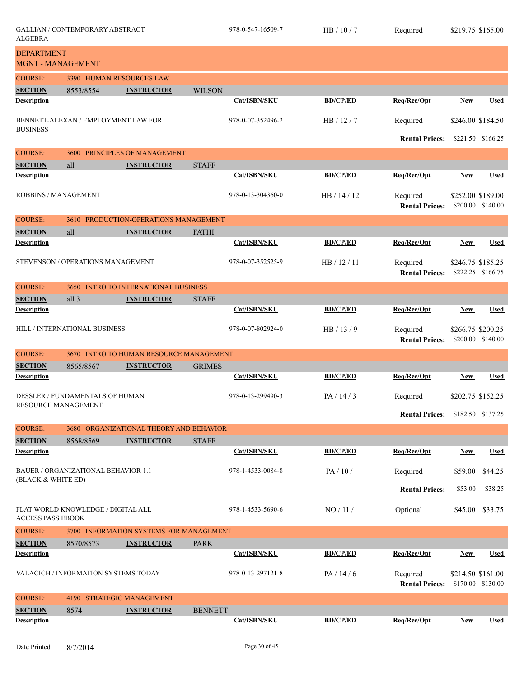| <b>ALGEBRA</b>                                | <b>GALLIAN / CONTEMPORARY ABSTRACT</b>     |                                         |                | 978-0-547-16509-7 | HB/10/7         | Required                                |            | \$219.75 \$165.00                      |
|-----------------------------------------------|--------------------------------------------|-----------------------------------------|----------------|-------------------|-----------------|-----------------------------------------|------------|----------------------------------------|
| <b>DEPARTMENT</b><br><b>MGNT - MANAGEMENT</b> |                                            |                                         |                |                   |                 |                                         |            |                                        |
| <b>COURSE:</b>                                |                                            | 3390 HUMAN RESOURCES LAW                |                |                   |                 |                                         |            |                                        |
| <b>SECTION</b>                                | 8553/8554                                  | <b>INSTRUCTOR</b>                       | <b>WILSON</b>  |                   |                 |                                         |            |                                        |
| <b>Description</b>                            |                                            |                                         |                | Cat/ISBN/SKU      | <b>BD/CP/ED</b> | Req/Rec/Opt                             | New        | <b>Used</b>                            |
| <b>BUSINESS</b>                               | BENNETT-ALEXAN / EMPLOYMENT LAW FOR        |                                         |                | 978-0-07-352496-2 | HB/12/7         | Required                                |            | \$246.00 \$184.50                      |
|                                               |                                            |                                         |                |                   |                 | <b>Rental Prices:</b>                   |            | \$221.50 \$166.25                      |
| <b>COURSE:</b>                                | 3600                                       | PRINCIPLES OF MANAGEMENT                |                |                   |                 |                                         |            |                                        |
| <b>SECTION</b>                                | all                                        | <b>INSTRUCTOR</b>                       | <b>STAFF</b>   |                   |                 |                                         |            |                                        |
| <b>Description</b>                            |                                            |                                         |                | Cat/ISBN/SKU      | <b>BD/CP/ED</b> | Req/Rec/Opt                             | New        | Used                                   |
| <b>ROBBINS / MANAGEMENT</b>                   |                                            |                                         |                | 978-0-13-304360-0 | HB / 14 / 12    | Required<br><b>Rental Prices:</b>       |            | \$252.00 \$189.00<br>\$200.00 \$140.00 |
| <b>COURSE:</b>                                | 3610                                       | PRODUCTION-OPERATIONS MANAGEMENT        |                |                   |                 |                                         |            |                                        |
| <b>SECTION</b>                                | all                                        | <b>INSTRUCTOR</b>                       | <b>FATHI</b>   |                   |                 |                                         |            |                                        |
| <b>Description</b>                            |                                            |                                         |                | Cat/ISBN/SKU      | <b>BD/CP/ED</b> | Req/Rec/Opt                             | New        | <b>Used</b>                            |
|                                               | STEVENSON / OPERATIONS MANAGEMENT          |                                         |                | 978-0-07-352525-9 | HB / 12 / 11    | Required<br><b>Rental Prices:</b>       |            | \$246.75 \$185.25<br>\$222.25 \$166.75 |
| <b>COURSE:</b>                                | 3650                                       | <b>INTRO TO INTERNATIONAL BUSINESS</b>  |                |                   |                 |                                         |            |                                        |
| <b>SECTION</b>                                | all 3                                      | <b>INSTRUCTOR</b>                       | <b>STAFF</b>   |                   |                 |                                         |            |                                        |
| <b>Description</b>                            |                                            |                                         |                | Cat/ISBN/SKU      | <b>BD/CP/ED</b> | Req/Rec/Opt                             | <b>New</b> | <b>Used</b>                            |
|                                               | HILL / INTERNATIONAL BUSINESS              |                                         |                | 978-0-07-802924-0 | HB/13/9         | Required<br><b>Rental Prices:</b>       |            | \$266.75 \$200.25<br>\$200.00 \$140.00 |
| <b>COURSE:</b>                                |                                            | 3670 INTRO TO HUMAN RESOURCE MANAGEMENT |                |                   |                 |                                         |            |                                        |
| <b>SECTION</b>                                | 8565/8567                                  | <b>INSTRUCTOR</b>                       | <b>GRIMES</b>  |                   |                 |                                         |            |                                        |
| <b>Description</b>                            |                                            |                                         |                | Cat/ISBN/SKU      | <b>BD/CP/ED</b> | Req/Rec/Opt                             | New        | <b>Used</b>                            |
| RESOURCE MANAGEMENT                           | <b>DESSLER / FUNDAMENTALS OF HUMAN</b>     |                                         |                | 978-0-13-299490-3 | PA/14/3         | Required                                |            | \$202.75 \$152.25                      |
|                                               |                                            |                                         |                |                   |                 | <b>Rental Prices:</b> \$182.50 \$137.25 |            |                                        |
| <b>COURSE:</b>                                |                                            | 3680 ORGANIZATIONAL THEORY AND BEHAVIOR |                |                   |                 |                                         |            |                                        |
| <b>SECTION</b>                                | 8568/8569                                  | <b>INSTRUCTOR</b>                       | <b>STAFF</b>   |                   |                 |                                         |            |                                        |
| <b>Description</b>                            |                                            |                                         |                | Cat/ISBN/SKU      | <b>BD/CP/ED</b> | Req/Rec/Opt                             | New        | <b>Used</b>                            |
| (BLACK & WHITE ED)                            | <b>BAUER / ORGANIZATIONAL BEHAVIOR 1.1</b> |                                         |                | 978-1-4533-0084-8 | PA/10/          | Required                                | \$59.00    | \$44.25                                |
|                                               |                                            |                                         |                |                   |                 | <b>Rental Prices:</b>                   | \$53.00    | \$38.25                                |
| <b>ACCESS PASS EBOOK</b>                      | FLAT WORLD KNOWLEDGE / DIGITAL ALL         |                                         |                | 978-1-4533-5690-6 | NO/11/          | Optional                                | \$45.00    | \$33.75                                |
| <b>COURSE:</b>                                |                                            | 3700 INFORMATION SYSTEMS FOR MANAGEMENT |                |                   |                 |                                         |            |                                        |
| <b>SECTION</b>                                | 8570/8573                                  | <b>INSTRUCTOR</b>                       | <b>PARK</b>    |                   |                 |                                         |            |                                        |
| <b>Description</b>                            |                                            |                                         |                | Cat/ISBN/SKU      | <b>BD/CP/ED</b> | Req/Rec/Opt                             | New        | <b>Used</b>                            |
|                                               | VALACICH / INFORMATION SYSTEMS TODAY       |                                         |                | 978-0-13-297121-8 | PA / 14 / 6     | Required<br><b>Rental Prices:</b>       |            | \$214.50 \$161.00<br>\$170.00 \$130.00 |
| <b>COURSE:</b><br>4190 STRATEGIC MANAGEMENT   |                                            |                                         |                |                   |                 |                                         |            |                                        |
| <b>SECTION</b>                                | 8574                                       | <b>INSTRUCTOR</b>                       | <b>BENNETT</b> |                   |                 |                                         |            |                                        |
| <b>Description</b>                            |                                            |                                         |                | Cat/ISBN/SKU      | <b>BD/CP/ED</b> | Req/Rec/Opt                             | <b>New</b> | <b>Used</b>                            |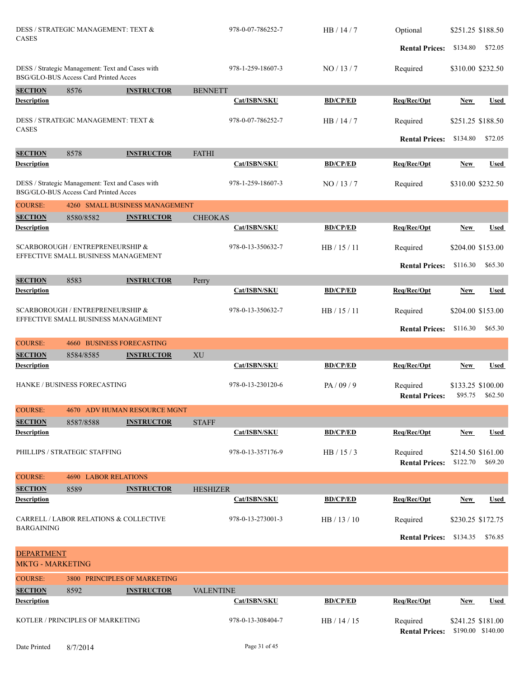|                                                     | KOTLER / PRINCIPLES OF MARKETING                                                                                                                                                                                                                                                                                                                                                                                                  |                                     |                        | 978-0-13-308404-7 | HB / 14 / 15          | Required<br><b>Rental Prices:</b>   |                   | \$241.25 \$181.00<br>\$190.00 \$140.00 |
|-----------------------------------------------------|-----------------------------------------------------------------------------------------------------------------------------------------------------------------------------------------------------------------------------------------------------------------------------------------------------------------------------------------------------------------------------------------------------------------------------------|-------------------------------------|------------------------|-------------------|-----------------------|-------------------------------------|-------------------|----------------------------------------|
| <b>Description</b>                                  |                                                                                                                                                                                                                                                                                                                                                                                                                                   |                                     |                        | Cat/ISBN/SKU      | <b>BD/CP/ED</b>       | Req/Rec/Opt                         | <b>New</b>        | <b>Used</b>                            |
| <b>SECTION</b>                                      | 8592                                                                                                                                                                                                                                                                                                                                                                                                                              | <b>INSTRUCTOR</b>                   | <b>VALENTINE</b>       |                   |                       |                                     |                   |                                        |
| <b>COURSE:</b>                                      |                                                                                                                                                                                                                                                                                                                                                                                                                                   | <b>3800 PRINCIPLES OF MARKETING</b> |                        |                   |                       |                                     |                   |                                        |
| <b>MKTG - MARKETING</b>                             |                                                                                                                                                                                                                                                                                                                                                                                                                                   |                                     |                        |                   |                       |                                     |                   |                                        |
| <b>DEPARTMENT</b>                                   |                                                                                                                                                                                                                                                                                                                                                                                                                                   |                                     |                        |                   |                       |                                     |                   |                                        |
|                                                     |                                                                                                                                                                                                                                                                                                                                                                                                                                   |                                     |                        |                   |                       | <b>Rental Prices:</b>               | \$134.35          | \$76.85                                |
| <b>BARGAINING</b>                                   | CARRELL / LABOR RELATIONS & COLLECTIVE                                                                                                                                                                                                                                                                                                                                                                                            |                                     |                        | 978-0-13-273001-3 | HB / 13 / 10          | Required                            |                   | \$230.25 \$172.75                      |
| <b>Description</b>                                  |                                                                                                                                                                                                                                                                                                                                                                                                                                   |                                     |                        | Cat/ISBN/SKU      | <b>BD/CP/ED</b>       | Req/Rec/Opt                         | New               | <b>Used</b>                            |
| <b>SECTION</b>                                      | 8589                                                                                                                                                                                                                                                                                                                                                                                                                              | <b>INSTRUCTOR</b>                   | <b>HESHIZER</b>        |                   |                       |                                     |                   |                                        |
| <b>COURSE:</b>                                      | <b>4690 LABOR RELATIONS</b>                                                                                                                                                                                                                                                                                                                                                                                                       |                                     |                        |                   |                       |                                     |                   |                                        |
|                                                     | PHILLIPS / STRATEGIC STAFFING                                                                                                                                                                                                                                                                                                                                                                                                     |                                     |                        | 978-0-13-357176-9 | HB / 15 / 3           | Required<br>Rental Prices: \$122.70 |                   | \$214.50 \$161.00<br>\$69.20           |
| <b>Description</b>                                  |                                                                                                                                                                                                                                                                                                                                                                                                                                   |                                     |                        | Cat/ISBN/SKU      | <b>BD/CP/ED</b>       | Req/Rec/Opt                         | <b>New</b>        | <b>Used</b>                            |
| <b>SECTION</b>                                      | 8587/8588                                                                                                                                                                                                                                                                                                                                                                                                                         | <b>INSTRUCTOR</b>                   | <b>STAFF</b>           |                   |                       |                                     |                   |                                        |
| <b>COURSE:</b>                                      |                                                                                                                                                                                                                                                                                                                                                                                                                                   | 4670 ADV HUMAN RESOURCE MGNT        |                        |                   |                       |                                     |                   |                                        |
|                                                     | HANKE / BUSINESS FORECASTING                                                                                                                                                                                                                                                                                                                                                                                                      |                                     |                        | 978-0-13-230120-6 | PA / 09 / 9           | Required<br><b>Rental Prices:</b>   | \$95.75           | \$133.25 \$100.00<br>\$62.50           |
| <b>Description</b>                                  |                                                                                                                                                                                                                                                                                                                                                                                                                                   |                                     |                        | Cat/ISBN/SKU      | <b>BD/CP/ED</b>       | Req/Rec/Opt                         | <b>New</b>        | Used                                   |
| <b>SECTION</b>                                      | 8584/8585                                                                                                                                                                                                                                                                                                                                                                                                                         | <b>INSTRUCTOR</b>                   | $\mathbf{X}\mathbf{U}$ |                   |                       |                                     |                   |                                        |
| <b>COURSE:</b>                                      | <b>4660 BUSINESS FORECASTING</b>                                                                                                                                                                                                                                                                                                                                                                                                  |                                     |                        |                   |                       |                                     |                   |                                        |
| EFFECTIVE SMALL BUSINESS MANAGEMENT                 |                                                                                                                                                                                                                                                                                                                                                                                                                                   |                                     |                        |                   | <b>Rental Prices:</b> | \$116.30                            | \$65.30           |                                        |
| SCARBOROUGH / ENTREPRENEURSHIP &                    |                                                                                                                                                                                                                                                                                                                                                                                                                                   |                                     |                        | 978-0-13-350632-7 | HB / 15 / 11          | Required                            |                   | \$204.00 \$153.00                      |
| <b>Description</b>                                  |                                                                                                                                                                                                                                                                                                                                                                                                                                   |                                     | Perry                  | Cat/ISBN/SKU      | <b>BD/CP/ED</b>       | Req/Rec/Opt                         | New               | <b>Used</b>                            |
|                                                     |                                                                                                                                                                                                                                                                                                                                                                                                                                   |                                     |                        |                   |                       | <b>Rental Prices:</b>               | \$116.30          | \$65.30                                |
|                                                     |                                                                                                                                                                                                                                                                                                                                                                                                                                   |                                     |                        | 978-0-13-350632-7 | HB / 15 / 11          | Required                            |                   | \$204.00 \$153.00                      |
| <b>Description</b>                                  |                                                                                                                                                                                                                                                                                                                                                                                                                                   |                                     |                        | Cat/ISBN/SKU      | <b>BD/CP/ED</b>       | Req/Rec/Opt                         | New               | <b>Used</b>                            |
| <b>SECTION</b>                                      | 8580/8582                                                                                                                                                                                                                                                                                                                                                                                                                         | <b>INSTRUCTOR</b>                   | <b>CHEOKAS</b>         |                   |                       |                                     |                   |                                        |
| <b>COURSE:</b>                                      |                                                                                                                                                                                                                                                                                                                                                                                                                                   |                                     |                        |                   |                       |                                     |                   |                                        |
|                                                     |                                                                                                                                                                                                                                                                                                                                                                                                                                   |                                     |                        | 978-1-259-18607-3 | NO/13/7               | Required                            |                   | \$310.00 \$232.50                      |
| Description                                         |                                                                                                                                                                                                                                                                                                                                                                                                                                   |                                     |                        | Cat/ISBN/SKU      | <b>BD/CP/ED</b>       | Req/Rec/Opt                         | <b>New</b>        | <b>Used</b>                            |
| <b>SECTION</b>                                      |                                                                                                                                                                                                                                                                                                                                                                                                                                   |                                     | <b>FATHI</b>           |                   |                       | <b>Rental Prices:</b>               | \$134.80          | \$72.05                                |
| <b>CASES</b>                                        |                                                                                                                                                                                                                                                                                                                                                                                                                                   |                                     |                        | 978-0-07-786252-7 | HB / 14 / 7           | Required                            |                   | \$251.25 \$188.50                      |
| Description                                         |                                                                                                                                                                                                                                                                                                                                                                                                                                   |                                     |                        | Cat/ISBN/SKU      | <b>BD/CP/ED</b>       | Req/Rec/Opt                         | New               | <b>Used</b>                            |
| <b>SECTION</b>                                      | 8576                                                                                                                                                                                                                                                                                                                                                                                                                              | <b>INSTRUCTOR</b>                   | <b>BENNETT</b>         |                   |                       |                                     |                   |                                        |
|                                                     | DESS / Strategic Management: Text and Cases with<br>BSG/GLO-BUS Access Card Printed Acces<br>DESS / STRATEGIC MANAGEMENT: TEXT &<br>8578<br><b>INSTRUCTOR</b><br>DESS / Strategic Management: Text and Cases with<br>BSG/GLO-BUS Access Card Printed Acces<br>4260 SMALL BUSINESS MANAGEMENT<br><b>SCARBOROUGH / ENTREPRENEURSHIP &amp;</b><br>EFFECTIVE SMALL BUSINESS MANAGEMENT<br><b>SECTION</b><br>8583<br><b>INSTRUCTOR</b> |                                     |                        | 978-1-259-18607-3 | NO/13/7               | Required                            |                   | \$310.00 \$232.50                      |
|                                                     |                                                                                                                                                                                                                                                                                                                                                                                                                                   |                                     |                        |                   |                       | <b>Rental Prices:</b>               | \$134.80          | \$72.05                                |
| DESS / STRATEGIC MANAGEMENT: TEXT &<br><b>CASES</b> |                                                                                                                                                                                                                                                                                                                                                                                                                                   |                                     |                        | 978-0-07-786252-7 | HB / 14 / 7           | Optional                            | \$251.25 \$188.50 |                                        |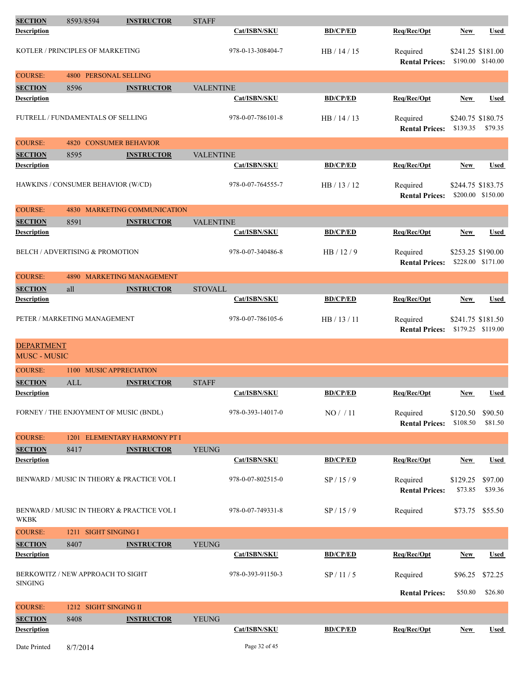| <b>SECTION</b>                             | 8593/8594  | <b>INSTRUCTOR</b>                          | <b>STAFF</b>     |                   |                 |                                   |                               |                    |
|--------------------------------------------|------------|--------------------------------------------|------------------|-------------------|-----------------|-----------------------------------|-------------------------------|--------------------|
| <b>Description</b>                         |            |                                            |                  | Cat/ISBN/SKU      | <b>BD/CP/ED</b> | Req/Rec/Opt                       | <u>New</u>                    | <b>Used</b>        |
| KOTLER / PRINCIPLES OF MARKETING           |            |                                            |                  | 978-0-13-308404-7 | HB/14/15        | Required<br><b>Rental Prices:</b> | \$241.25 \$181.00             | \$190.00 \$140.00  |
| <b>COURSE:</b>                             |            | 4800 PERSONAL SELLING                      |                  |                   |                 |                                   |                               |                    |
| <b>SECTION</b>                             | 8596       | <b>INSTRUCTOR</b>                          | <b>VALENTINE</b> |                   |                 |                                   |                               |                    |
| <b>Description</b>                         |            |                                            |                  | Cat/ISBN/SKU      | <b>BD/CP/ED</b> | Req/Rec/Opt                       | New                           | <b>Used</b>        |
|                                            |            | <b>FUTRELL / FUNDAMENTALS OF SELLING</b>   |                  | 978-0-07-786101-8 | HB / 14 / 13    | Required<br><b>Rental Prices:</b> | \$240.75 \$180.75<br>\$139.35 | \$79.35            |
| <b>COURSE:</b>                             |            | <b>4820 CONSUMER BEHAVIOR</b>              |                  |                   |                 |                                   |                               |                    |
| <b>SECTION</b>                             | 8595       | <b>INSTRUCTOR</b>                          | <b>VALENTINE</b> |                   |                 |                                   |                               |                    |
| <b>Description</b>                         |            |                                            |                  | Cat/ISBN/SKU      | <b>BD/CP/ED</b> | Req/Rec/Opt                       | New                           | <b>Used</b>        |
|                                            |            | HAWKINS / CONSUMER BEHAVIOR (W/CD)         |                  | 978-0-07-764555-7 | HB / 13 / 12    | Required<br><b>Rental Prices:</b> | \$244.75 \$183.75             | \$200.00 \$150.00  |
| <b>COURSE:</b>                             |            | 4830 MARKETING COMMUNICATION               |                  |                   |                 |                                   |                               |                    |
| <b>SECTION</b>                             | 8591       | <b>INSTRUCTOR</b>                          | <b>VALENTINE</b> |                   |                 |                                   |                               |                    |
| <b>Description</b>                         |            |                                            |                  | Cat/ISBN/SKU      | <b>BD/CP/ED</b> | Reg/Rec/Opt                       | New                           | <b>Used</b>        |
| <b>BELCH / ADVERTISING &amp; PROMOTION</b> |            |                                            |                  | 978-0-07-340486-8 | HB / 12 / 9     | Required<br><b>Rental Prices:</b> | \$253.25 \$190.00             | \$228.00 \$171.00  |
| <b>COURSE:</b>                             |            | 4890 MARKETING MANAGEMENT                  |                  |                   |                 |                                   |                               |                    |
| <b>SECTION</b>                             | all        | <b>INSTRUCTOR</b>                          | <b>STOVALL</b>   |                   |                 |                                   |                               |                    |
| <b>Description</b>                         |            |                                            |                  | Cat/ISBN/SKU      | <b>BD/CP/ED</b> | Req/Rec/Opt                       | New                           | <b>Used</b>        |
| PETER / MARKETING MANAGEMENT               |            |                                            |                  | 978-0-07-786105-6 | HB / 13 / 11    | Required<br><b>Rental Prices:</b> | \$241.75 \$181.50             | \$179.25 \$119.00  |
| <b>DEPARTMENT</b><br><b>MUSC - MUSIC</b>   |            |                                            |                  |                   |                 |                                   |                               |                    |
| <b>COURSE:</b>                             |            | 1100 MUSIC APPRECIATION                    |                  |                   |                 |                                   |                               |                    |
| <b>SECTION</b>                             | <b>ALL</b> | <b>INSTRUCTOR</b>                          | <b>STAFF</b>     |                   |                 |                                   |                               |                    |
| Description                                |            |                                            |                  | Cat/ISBN/SKU      | <b>BD/CP/ED</b> | Req/Rec/Opt                       | <u>New</u>                    | Used               |
|                                            |            | FORNEY / THE ENJOYMENT OF MUSIC (BNDL)     |                  | 978-0-393-14017-0 | NO/11           | Required<br><b>Rental Prices:</b> | \$120.50<br>\$108.50          | \$90.50<br>\$81.50 |
| <b>COURSE:</b>                             |            | 1201 ELEMENTARY HARMONY PT I               |                  |                   |                 |                                   |                               |                    |
| <b>SECTION</b>                             | 8417       | <b>INSTRUCTOR</b>                          | <b>YEUNG</b>     |                   |                 |                                   |                               |                    |
| <b>Description</b>                         |            |                                            |                  | Cat/ISBN/SKU      | <b>BD/CP/ED</b> | Req/Rec/Opt                       | New                           | Used               |
|                                            |            | BENWARD / MUSIC IN THEORY & PRACTICE VOL I |                  | 978-0-07-802515-0 | SP/15/9         | Required<br><b>Rental Prices:</b> | \$129.25<br>\$73.85           | \$97.00<br>\$39.36 |
| <b>WKBK</b>                                |            | BENWARD / MUSIC IN THEORY & PRACTICE VOL I |                  | 978-0-07-749331-8 | SP/15/9         | Required                          |                               | \$73.75 \$55.50    |
| <b>COURSE:</b>                             |            | 1211 SIGHT SINGING I                       |                  |                   |                 |                                   |                               |                    |
| <b>SECTION</b>                             | 8407       | <b>INSTRUCTOR</b>                          | <b>YEUNG</b>     |                   |                 |                                   |                               |                    |
| <b>Description</b>                         |            |                                            |                  | Cat/ISBN/SKU      | <b>BD/CP/ED</b> | Req/Rec/Opt                       | <b>New</b>                    | Used               |
| <b>SINGING</b>                             |            | BERKOWITZ / NEW APPROACH TO SIGHT          |                  | 978-0-393-91150-3 | SP/11/5         | Required                          | \$96.25                       | \$72.25            |
|                                            |            |                                            |                  |                   |                 | <b>Rental Prices:</b>             | \$50.80                       | \$26.80            |
| <b>COURSE:</b>                             |            | 1212 SIGHT SINGING II                      |                  |                   |                 |                                   |                               |                    |
| <b>SECTION</b>                             | 8408       | <b>INSTRUCTOR</b>                          | <b>YEUNG</b>     |                   |                 |                                   |                               |                    |
| <b>Description</b>                         |            |                                            |                  | Cat/ISBN/SKU      | <b>BD/CP/ED</b> | Req/Rec/Opt                       | New                           | <b>Used</b>        |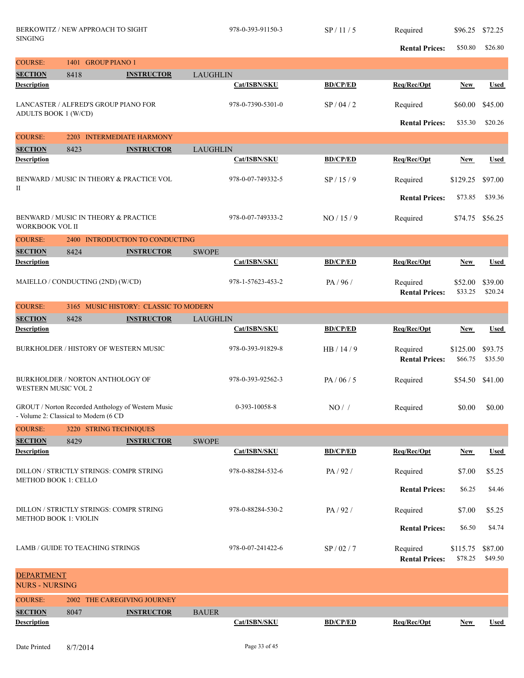| <b>SINGING</b>                             | BERKOWITZ / NEW APPROACH TO SIGHT       |                                                    |                 | 978-0-393-91150-3 | SP/11/5         | Required<br><b>Rental Prices:</b> | \$96.25 \$72.25<br>\$50.80 | \$26.80            |
|--------------------------------------------|-----------------------------------------|----------------------------------------------------|-----------------|-------------------|-----------------|-----------------------------------|----------------------------|--------------------|
| <b>COURSE:</b>                             | 1401 GROUP PIANO 1                      |                                                    |                 |                   |                 |                                   |                            |                    |
| <b>SECTION</b>                             | 8418                                    | <b>INSTRUCTOR</b>                                  | <b>LAUGHLIN</b> |                   |                 |                                   |                            |                    |
| <b>Description</b>                         |                                         |                                                    |                 | Cat/ISBN/SKU      | <b>BD/CP/ED</b> | Req/Rec/Opt                       | <b>New</b>                 | <b>Used</b>        |
|                                            | LANCASTER / ALFRED'S GROUP PIANO FOR    |                                                    |                 | 978-0-7390-5301-0 | SP/04/2         | Required                          | \$60.00                    | \$45.00            |
| ADULTS BOOK 1 (W/CD)                       |                                         |                                                    |                 |                   |                 | <b>Rental Prices:</b>             | \$35.30                    | \$20.26            |
| <b>COURSE:</b>                             |                                         | 2203 INTERMEDIATE HARMONY                          |                 |                   |                 |                                   |                            |                    |
| <b>SECTION</b>                             | 8423                                    | <b>INSTRUCTOR</b>                                  | <b>LAUGHLIN</b> |                   |                 |                                   |                            |                    |
| <b>Description</b>                         |                                         |                                                    |                 | Cat/ISBN/SKU      | <b>BD/CP/ED</b> | Req/Rec/Opt                       | New                        | <b>Used</b>        |
| П                                          |                                         | BENWARD / MUSIC IN THEORY & PRACTICE VOL           |                 | 978-0-07-749332-5 | SP/15/9         | Required                          | \$129.25                   | \$97.00            |
|                                            |                                         |                                                    |                 |                   |                 | <b>Rental Prices:</b>             | \$73.85                    | \$39.36            |
| WORKBOOK VOL II                            | BENWARD / MUSIC IN THEORY & PRACTICE    |                                                    |                 | 978-0-07-749333-2 | NO/15/9         | Required                          | \$74.75                    | \$56.25            |
| <b>COURSE:</b>                             |                                         | 2400 INTRODUCTION TO CONDUCTING                    |                 |                   |                 |                                   |                            |                    |
| <b>SECTION</b>                             | 8424                                    | <b>INSTRUCTOR</b>                                  | <b>SWOPE</b>    |                   |                 |                                   |                            |                    |
| <b>Description</b>                         |                                         |                                                    |                 | Cat/ISBN/SKU      | <b>BD/CP/ED</b> | Req/Rec/Opt                       | New                        | <b>Used</b>        |
|                                            | MAIELLO / CONDUCTING (2ND) (W/CD)       |                                                    |                 | 978-1-57623-453-2 | PA/96/          | Required<br><b>Rental Prices:</b> | \$52.00<br>\$33.25         | \$39.00<br>\$20.24 |
| <b>COURSE:</b>                             |                                         | 3165 MUSIC HISTORY: CLASSIC TO MODERN              |                 |                   |                 |                                   |                            |                    |
| <b>SECTION</b>                             | 8428                                    | <b>INSTRUCTOR</b>                                  | <b>LAUGHLIN</b> |                   |                 |                                   |                            |                    |
| <b>Description</b>                         |                                         |                                                    |                 | Cat/ISBN/SKU      | <b>BD/CP/ED</b> | Req/Rec/Opt                       | New                        | <b>Used</b>        |
|                                            | BURKHOLDER / HISTORY OF WESTERN MUSIC   |                                                    |                 | 978-0-393-91829-8 | HB/14/9         | Required<br><b>Rental Prices:</b> | \$125.00<br>\$66.75        | \$93.75<br>\$35.50 |
| WESTERN MUSIC VOL 2                        | BURKHOLDER / NORTON ANTHOLOGY OF        |                                                    |                 | 978-0-393-92562-3 | PA / 06 / 5     | Required                          | \$54.50                    | \$41.00            |
|                                            | - Volume 2: Classical to Modern (6 CD   | GROUT / Norton Recorded Anthology of Western Music |                 | 0-393-10058-8     | $NO/$ /         | Required                          |                            | $$0.00$ \$0.00     |
| <b>COURSE:</b>                             | 3220 STRING TECHNIQUES                  |                                                    |                 |                   |                 |                                   |                            |                    |
| <b>SECTION</b>                             | 8429                                    | <b>INSTRUCTOR</b>                                  | <b>SWOPE</b>    |                   |                 |                                   |                            |                    |
| <b>Description</b>                         |                                         |                                                    |                 | Cat/ISBN/SKU      | <b>BD/CP/ED</b> | Req/Rec/Opt                       | <b>New</b>                 | <b>Used</b>        |
| <b>METHOD BOOK 1: CELLO</b>                | DILLON / STRICTLY STRINGS: COMPR STRING |                                                    |                 | 978-0-88284-532-6 | PA/92/          | Required                          | \$7.00                     | \$5.25             |
|                                            |                                         |                                                    |                 |                   |                 | <b>Rental Prices:</b>             | \$6.25                     | \$4.46             |
| <b>METHOD BOOK 1: VIOLIN</b>               | DILLON / STRICTLY STRINGS: COMPR STRING |                                                    |                 | 978-0-88284-530-2 | PA/92/          | Required                          | \$7.00                     | \$5.25             |
|                                            |                                         |                                                    |                 |                   |                 | <b>Rental Prices:</b>             | \$6.50                     | \$4.74             |
|                                            | LAMB / GUIDE TO TEACHING STRINGS        |                                                    |                 | 978-0-07-241422-6 | SP / 02 / 7     | Required<br><b>Rental Prices:</b> | \$115.75<br>\$78.25        | \$87.00<br>\$49.50 |
| <b>DEPARTMENT</b><br><b>NURS - NURSING</b> |                                         |                                                    |                 |                   |                 |                                   |                            |                    |
| <b>COURSE:</b>                             |                                         | 2002 THE CAREGIVING JOURNEY                        |                 |                   |                 |                                   |                            |                    |
| <b>SECTION</b>                             | 8047                                    | <b>INSTRUCTOR</b>                                  | <b>BAUER</b>    |                   |                 |                                   |                            |                    |
| <b>Description</b>                         |                                         |                                                    |                 | Cat/ISBN/SKU      | <b>BD/CP/ED</b> | Req/Rec/Opt                       | <b>New</b>                 | <b>Used</b>        |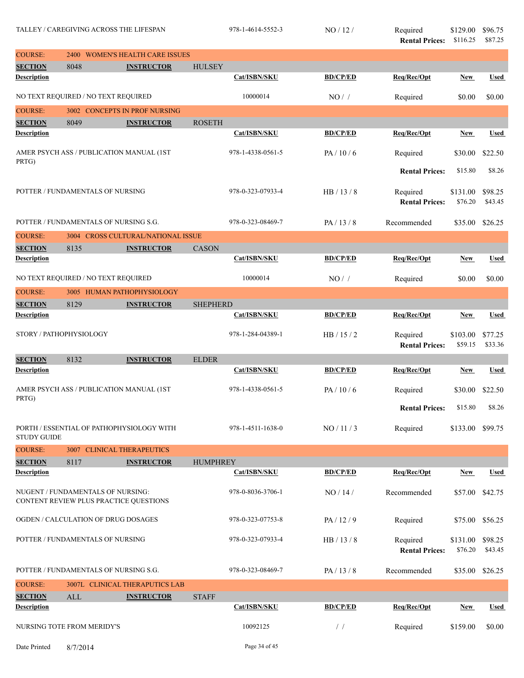| <b>COURSE:</b>          | 2400 | <b>WOMEN'S HEALTH CARE ISSUES</b>                                           |                 |                   |                 |                                   |                     |                    |
|-------------------------|------|-----------------------------------------------------------------------------|-----------------|-------------------|-----------------|-----------------------------------|---------------------|--------------------|
| <b>SECTION</b>          | 8048 | <b>INSTRUCTOR</b>                                                           | <b>HULSEY</b>   |                   |                 |                                   |                     |                    |
| <b>Description</b>      |      |                                                                             |                 | Cat/ISBN/SKU      | <b>BD/CP/ED</b> | Req/Rec/Opt                       | <b>New</b>          | <b>Used</b>        |
|                         |      | NO TEXT REQUIRED / NO TEXT REQUIRED                                         |                 | 10000014          | $NO/$ /         | Required                          | \$0.00              | \$0.00             |
| <b>COURSE:</b>          |      | 3002 CONCEPTS IN PROF NURSING                                               |                 |                   |                 |                                   |                     |                    |
| <b>SECTION</b>          | 8049 | <b>INSTRUCTOR</b>                                                           | <b>ROSETH</b>   |                   |                 |                                   |                     |                    |
| <b>Description</b>      |      |                                                                             |                 | Cat/ISBN/SKU      | <b>BD/CP/ED</b> | Req/Rec/Opt                       | <b>New</b>          | <b>Used</b>        |
| PRTG)                   |      | AMER PSYCH ASS / PUBLICATION MANUAL (1ST                                    |                 | 978-1-4338-0561-5 | PA/10/6         | Required                          | \$30.00             | \$22.50            |
|                         |      |                                                                             |                 |                   |                 | <b>Rental Prices:</b>             | \$15.80             | \$8.26             |
|                         |      | POTTER / FUNDAMENTALS OF NURSING                                            |                 | 978-0-323-07933-4 | HB/13/8         | Required<br><b>Rental Prices:</b> | \$131.00<br>\$76.20 | \$98.25<br>\$43.45 |
|                         |      | POTTER / FUNDAMENTALS OF NURSING S.G.                                       |                 | 978-0-323-08469-7 | PA/13/8         | Recommended                       | \$35.00             | \$26.25            |
| <b>COURSE:</b>          |      | 3004 CROSS CULTURAL/NATIONAL ISSUE                                          |                 |                   |                 |                                   |                     |                    |
| <b>SECTION</b>          | 8135 | <b>INSTRUCTOR</b>                                                           | CASON           |                   |                 |                                   |                     |                    |
| <b>Description</b>      |      |                                                                             |                 | Cat/ISBN/SKU      | <b>BD/CP/ED</b> | Req/Rec/Opt                       | New                 | <b>Used</b>        |
|                         |      | NO TEXT REQUIRED / NO TEXT REQUIRED                                         |                 | 10000014          | NO/             | Required                          | \$0.00              | \$0.00             |
| <b>COURSE:</b>          |      | 3005 HUMAN PATHOPHYSIOLOGY                                                  |                 |                   |                 |                                   |                     |                    |
| <b>SECTION</b>          | 8129 | <b>INSTRUCTOR</b>                                                           | <b>SHEPHERD</b> |                   |                 |                                   |                     |                    |
| <b>Description</b>      |      |                                                                             |                 | Cat/ISBN/SKU      | <b>BD/CP/ED</b> | Req/Rec/Opt                       | New                 | <b>Used</b>        |
| STORY / PATHOPHYSIOLOGY |      |                                                                             |                 | 978-1-284-04389-1 | HB/15/2         | Required<br><b>Rental Prices:</b> | \$103.00<br>\$59.15 | \$77.25<br>\$33.36 |
| <b>SECTION</b>          | 8132 | <b>INSTRUCTOR</b>                                                           | <b>ELDER</b>    |                   |                 |                                   |                     |                    |
| <b>Description</b>      |      |                                                                             |                 | Cat/ISBN/SKU      | <b>BD/CP/ED</b> | Req/Rec/Opt                       | New                 | <b>Used</b>        |
| PRTG)                   |      | AMER PSYCH ASS / PUBLICATION MANUAL (1ST                                    |                 | 978-1-4338-0561-5 | PA/10/6         | Required                          | \$30.00             | \$22.50            |
|                         |      |                                                                             |                 |                   |                 | <b>Rental Prices:</b>             | \$15.80             | \$8.26             |
| <b>STUDY GUIDE</b>      |      | PORTH / ESSENTIAL OF PATHOPHYSIOLOGY WITH                                   |                 | 978-1-4511-1638-0 | NO / 11 / 3     | Required                          | \$133.00 \$99.75    |                    |
| <b>COURSE:</b>          |      | 3007 CLINICAL THERAPEUTICS                                                  |                 |                   |                 |                                   |                     |                    |
| <b>SECTION</b>          | 8117 | <b>INSTRUCTOR</b>                                                           | <b>HUMPHREY</b> |                   |                 |                                   |                     |                    |
| <b>Description</b>      |      |                                                                             |                 | Cat/ISBN/SKU      | <b>BD/CP/ED</b> | Req/Rec/Opt                       | New                 | <b>Used</b>        |
|                         |      | NUGENT / FUNDAMENTALS OF NURSING:<br>CONTENT REVIEW PLUS PRACTICE QUESTIONS |                 | 978-0-8036-3706-1 | NO / 14 /       | Recommended                       | \$57.00             | \$42.75            |
|                         |      | OGDEN / CALCULATION OF DRUG DOSAGES                                         |                 | 978-0-323-07753-8 | PA/12/9         | Required                          | \$75.00 \$56.25     |                    |
|                         |      | POTTER / FUNDAMENTALS OF NURSING                                            |                 | 978-0-323-07933-4 | HB / 13 / 8     | Required<br><b>Rental Prices:</b> | \$131.00<br>\$76.20 | \$98.25<br>\$43.45 |
|                         |      | POTTER / FUNDAMENTALS OF NURSING S.G.                                       |                 | 978-0-323-08469-7 | PA/13/8         | Recommended                       | \$35.00 \$26.25     |                    |
|                         |      |                                                                             |                 |                   |                 |                                   |                     |                    |
| <b>COURSE:</b>          |      | 3007L CLINICAL THERAPUTICS LAB                                              |                 |                   |                 |                                   |                     |                    |
| <b>SECTION</b>          | ALL  | <b>INSTRUCTOR</b>                                                           | <b>STAFF</b>    |                   |                 |                                   |                     |                    |
| <b>Description</b>      |      |                                                                             |                 | Cat/ISBN/SKU      | <b>BD/CP/ED</b> | Req/Rec/Opt                       | <b>New</b>          | <b>Used</b>        |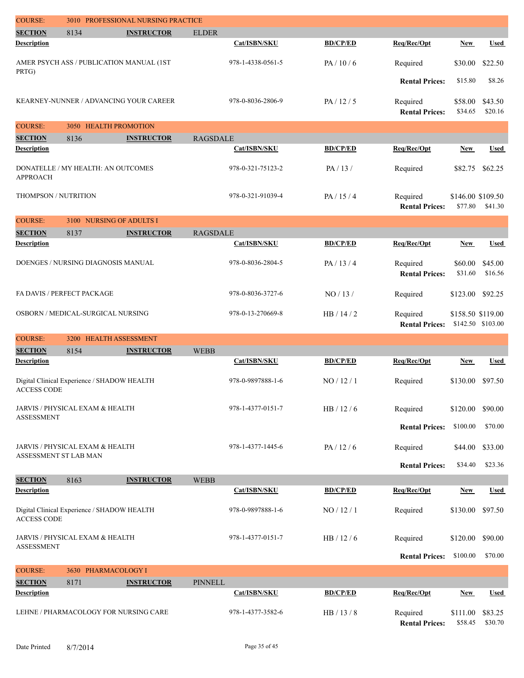| <b>COURSE:</b>        |                                             | 3010 PROFESSIONAL NURSING PRACTICE       |                 |                   |                 |                                   |                              |                    |
|-----------------------|---------------------------------------------|------------------------------------------|-----------------|-------------------|-----------------|-----------------------------------|------------------------------|--------------------|
| <b>SECTION</b>        | 8134                                        | <b>INSTRUCTOR</b>                        | <b>ELDER</b>    |                   |                 |                                   |                              |                    |
| <b>Description</b>    |                                             |                                          |                 | Cat/ISBN/SKU      | <b>BD/CP/ED</b> | Req/Rec/Opt                       | <b>New</b>                   | <b>Used</b>        |
| PRTG)                 |                                             | AMER PSYCH ASS / PUBLICATION MANUAL (1ST |                 | 978-1-4338-0561-5 | PA/10/6         | Required                          | \$30.00                      | \$22.50            |
|                       |                                             |                                          |                 |                   |                 | <b>Rental Prices:</b>             | \$15.80                      | \$8.26             |
|                       |                                             | KEARNEY-NUNNER / ADVANCING YOUR CAREER   |                 | 978-0-8036-2806-9 | PA/12/5         | Required<br><b>Rental Prices:</b> | \$58.00<br>\$34.65           | \$43.50<br>\$20.16 |
| <b>COURSE:</b>        | 3050 HEALTH PROMOTION                       |                                          |                 |                   |                 |                                   |                              |                    |
| <b>SECTION</b>        | 8136                                        | <b>INSTRUCTOR</b>                        | <b>RAGSDALE</b> |                   |                 |                                   |                              |                    |
| <b>Description</b>    |                                             |                                          |                 | Cat/ISBN/SKU      | <b>BD/CP/ED</b> | Req/Rec/Opt                       | New                          | <b>Used</b>        |
| <b>APPROACH</b>       | DONATELLE / MY HEALTH: AN OUTCOMES          |                                          |                 | 978-0-321-75123-2 | PA/13/          | Required                          | \$82.75                      | \$62.25            |
| THOMPSON / NUTRITION  |                                             |                                          |                 | 978-0-321-91039-4 | PA/15/4         | Required<br><b>Rental Prices:</b> | \$146.00 \$109.50<br>\$77.80 | \$41.30            |
| <b>COURSE:</b>        | 3100 NURSING OF ADULTS I                    |                                          |                 |                   |                 |                                   |                              |                    |
| <b>SECTION</b>        | 8137                                        | <b>INSTRUCTOR</b>                        | <b>RAGSDALE</b> |                   |                 |                                   |                              |                    |
| <b>Description</b>    |                                             |                                          |                 | Cat/ISBN/SKU      | <b>BD/CP/ED</b> | Req/Rec/Opt                       | <b>New</b>                   | <b>Used</b>        |
|                       | DOENGES / NURSING DIAGNOSIS MANUAL          |                                          |                 | 978-0-8036-2804-5 | PA/13/4         | Required<br><b>Rental Prices:</b> | \$60.00<br>\$31.60           | \$45.00<br>\$16.56 |
|                       | FA DAVIS / PERFECT PACKAGE                  |                                          |                 | 978-0-8036-3727-6 | NO / 13 /       | Required                          | \$123.00                     | \$92.25            |
|                       | OSBORN / MEDICAL-SURGICAL NURSING           |                                          |                 | 978-0-13-270669-8 | HB/14/2         | Required<br><b>Rental Prices:</b> | \$158.50 \$119.00            | \$142.50 \$103.00  |
| <b>COURSE:</b>        | 3200 HEALTH ASSESSMENT                      |                                          |                 |                   |                 |                                   |                              |                    |
| <b>SECTION</b>        | 8154                                        | <b>INSTRUCTOR</b>                        | <b>WEBB</b>     |                   |                 |                                   |                              |                    |
| <b>Description</b>    |                                             |                                          |                 | Cat/ISBN/SKU      | <b>BD/CP/ED</b> | Req/Rec/Opt                       | New                          | <b>Used</b>        |
| <b>ACCESS CODE</b>    | Digital Clinical Experience / SHADOW HEALTH |                                          |                 | 978-0-9897888-1-6 | NO / 12 / 1     | Required                          | \$130.00                     | \$97.50            |
| <b>ASSESSMENT</b>     | JARVIS / PHYSICAL EXAM & HEALTH             |                                          |                 | 978-1-4377-0151-7 | HB $/$ 12 $/$ 6 | Required                          | \$120.00                     | \$90.00            |
|                       |                                             |                                          |                 |                   |                 | <b>Rental Prices:</b>             | \$100.00                     | \$70.00            |
| ASSESSMENT ST LAB MAN | JARVIS / PHYSICAL EXAM & HEALTH             |                                          |                 | 978-1-4377-1445-6 | PA/12/6         | Required                          | \$44.00                      | \$33.00            |
|                       |                                             |                                          |                 |                   |                 | <b>Rental Prices:</b>             | \$34.40                      | \$23.36            |
| <b>SECTION</b>        | 8163                                        | <b>INSTRUCTOR</b>                        | <b>WEBB</b>     |                   |                 |                                   |                              |                    |
| <b>Description</b>    |                                             |                                          |                 | Cat/ISBN/SKU      | <b>BD/CP/ED</b> | Req/Rec/Opt                       | <b>New</b>                   | <b>Used</b>        |
| <b>ACCESS CODE</b>    | Digital Clinical Experience / SHADOW HEALTH |                                          |                 | 978-0-9897888-1-6 | NO / 12 / 1     | Required                          | \$130.00                     | \$97.50            |
| <b>ASSESSMENT</b>     | JARVIS / PHYSICAL EXAM & HEALTH             |                                          |                 | 978-1-4377-0151-7 | HB/12/6         | Required                          | \$120.00                     | \$90.00            |
|                       |                                             |                                          |                 |                   |                 | <b>Rental Prices:</b>             | \$100.00                     | \$70.00            |
| <b>COURSE:</b>        | 3630 PHARMACOLOGY I                         |                                          |                 |                   |                 |                                   |                              |                    |
| <b>SECTION</b>        | 8171                                        | <b>INSTRUCTOR</b>                        | <b>PINNELL</b>  |                   |                 |                                   |                              |                    |
| <b>Description</b>    |                                             |                                          |                 | Cat/ISBN/SKU      | <b>BD/CP/ED</b> | Req/Rec/Opt                       | <b>New</b>                   | <b>Used</b>        |
|                       | LEHNE / PHARMACOLOGY FOR NURSING CARE       |                                          |                 | 978-1-4377-3582-6 | HB / 13 / 8     | Required<br><b>Rental Prices:</b> | \$111.00<br>\$58.45          | \$83.25<br>\$30.70 |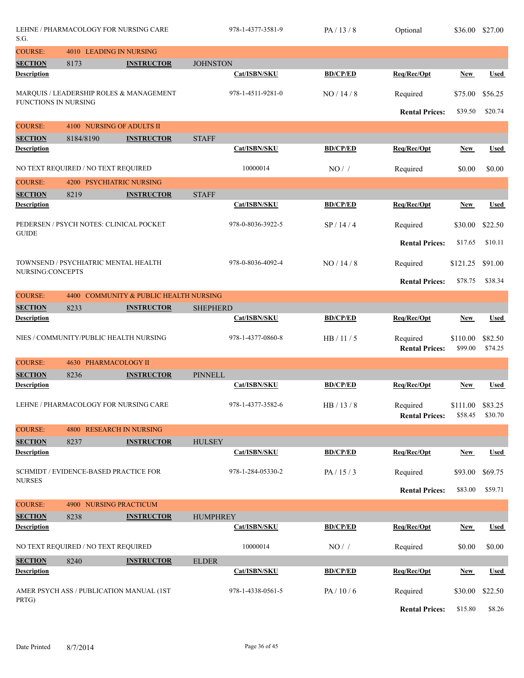| S.G.                                 | LEHNE / PHARMACOLOGY FOR NURSING CARE    |                                              |                 | 978-1-4377-3581-9 | PA/13/8         | Optional              | \$36.00          | \$27.00     |
|--------------------------------------|------------------------------------------|----------------------------------------------|-----------------|-------------------|-----------------|-----------------------|------------------|-------------|
| <b>COURSE:</b>                       | 4010 LEADING IN NURSING                  |                                              |                 |                   |                 |                       |                  |             |
| <b>SECTION</b>                       | 8173                                     | <b>INSTRUCTOR</b>                            | <b>JOHNSTON</b> |                   |                 |                       |                  |             |
| <b>Description</b>                   |                                          |                                              |                 | Cat/ISBN/SKU      | <b>BD/CP/ED</b> | Req/Rec/Opt           | <b>New</b>       | <b>Used</b> |
|                                      | MARQUIS / LEADERSHIP ROLES & MANAGEMENT  |                                              |                 | 978-1-4511-9281-0 | NO/14/8         | Required              | \$75.00          | \$56.25     |
| FUNCTIONS IN NURSING                 |                                          |                                              |                 |                   |                 |                       |                  |             |
|                                      |                                          |                                              |                 |                   |                 | <b>Rental Prices:</b> | \$39.50          | \$20.74     |
| <b>COURSE:</b>                       | NURSING OF ADULTS II<br>4100             |                                              |                 |                   |                 |                       |                  |             |
| <b>SECTION</b>                       | 8184/8190                                | <b>INSTRUCTOR</b>                            | <b>STAFF</b>    |                   |                 |                       |                  |             |
| <b>Description</b>                   |                                          |                                              |                 | Cat/ISBN/SKU      | <b>BD/CP/ED</b> | Req/Rec/Opt           | <b>New</b>       | <b>Used</b> |
|                                      | NO TEXT REQUIRED / NO TEXT REQUIRED      |                                              |                 | 10000014          | NO/             | Required              | \$0.00           | \$0.00      |
| <b>COURSE:</b>                       | 4200 PSYCHIATRIC NURSING                 |                                              |                 |                   |                 |                       |                  |             |
| <b>SECTION</b>                       | 8219                                     | <b>INSTRUCTOR</b>                            | <b>STAFF</b>    |                   |                 |                       |                  |             |
| <b>Description</b>                   |                                          |                                              |                 | Cat/ISBN/SKU      | <b>BD/CP/ED</b> | Req/Rec/Opt           | <b>New</b>       | <b>Used</b> |
|                                      | PEDERSEN / PSYCH NOTES: CLINICAL POCKET  |                                              |                 | 978-0-8036-3922-5 | SP/14/4         | Required              | \$30.00          | \$22.50     |
| <b>GUIDE</b>                         |                                          |                                              |                 |                   |                 | <b>Rental Prices:</b> | \$17.65          | \$10.11     |
|                                      |                                          |                                              |                 |                   |                 |                       |                  |             |
| NURSING:CONCEPTS                     | TOWNSEND / PSYCHIATRIC MENTAL HEALTH     |                                              |                 | 978-0-8036-4092-4 | NO/14/8         | Required              | \$121.25         | \$91.00     |
|                                      |                                          |                                              |                 |                   |                 | <b>Rental Prices:</b> | \$78.75          | \$38.34     |
| <b>COURSE:</b>                       | 4400                                     | <b>COMMUNITY &amp; PUBLIC HEALTH NURSING</b> |                 |                   |                 |                       |                  |             |
| <b>SECTION</b>                       | 8233                                     | <b>INSTRUCTOR</b>                            | <b>SHEPHERD</b> |                   |                 |                       |                  |             |
| <b>Description</b>                   |                                          |                                              |                 | Cat/ISBN/SKU      | <b>BD/CP/ED</b> | Req/Rec/Opt           | <b>New</b>       | <b>Used</b> |
|                                      | NIES / COMMUNITY/PUBLIC HEALTH NURSING   |                                              |                 | 978-1-4377-0860-8 | HB/11/5         | Required              | \$110.00         | \$82.50     |
|                                      |                                          |                                              |                 |                   |                 | <b>Rental Prices:</b> | \$99.00          | \$74.25     |
| <b>COURSE:</b>                       | 4630 PHARMACOLOGY II                     |                                              |                 |                   |                 |                       |                  |             |
| <b>SECTION</b>                       | 8236                                     | <b>INSTRUCTOR</b>                            | <b>PINNELL</b>  |                   |                 |                       |                  |             |
| <b>Description</b>                   |                                          |                                              |                 | Cat/ISBN/SKU      | <b>BD/CP/ED</b> | Req/Rec/Opt           | <b>New</b>       | Used        |
|                                      | LEHNE / PHARMACOLOGY FOR NURSING CARE    |                                              |                 | 978-1-4377-3582-6 | HB / 13 / 8     | Required              | \$111.00 \$83.25 |             |
|                                      |                                          |                                              |                 |                   |                 | <b>Rental Prices:</b> | \$58.45          | \$30.70     |
| <b>COURSE:</b>                       | 4800 RESEARCH IN NURSING                 |                                              |                 |                   |                 |                       |                  |             |
| <b>SECTION</b>                       | 8237                                     | <b>INSTRUCTOR</b>                            | <b>HULSEY</b>   |                   |                 |                       |                  |             |
| <b>Description</b>                   |                                          |                                              |                 | Cat/ISBN/SKU      | <b>BD/CP/ED</b> | Req/Rec/Opt           | <b>New</b>       | <b>Used</b> |
|                                      | SCHMIDT / EVIDENCE-BASED PRACTICE FOR    |                                              |                 | 978-1-284-05330-2 | PA/15/3         | Required              | \$93.00          | \$69.75     |
| <b>NURSES</b>                        |                                          |                                              |                 |                   |                 | <b>Rental Prices:</b> | \$83.00          | \$59.71     |
|                                      |                                          |                                              |                 |                   |                 |                       |                  |             |
| <b>COURSE:</b>                       | 4900 NURSING PRACTICUM                   |                                              |                 |                   |                 |                       |                  |             |
| <b>SECTION</b><br><b>Description</b> | 8238                                     | <b>INSTRUCTOR</b>                            | <b>HUMPHREY</b> | Cat/ISBN/SKU      | <b>BD/CP/ED</b> | Req/Rec/Opt           | <b>New</b>       | <b>Used</b> |
|                                      |                                          |                                              |                 |                   |                 |                       |                  |             |
|                                      | NO TEXT REQUIRED / NO TEXT REQUIRED      |                                              |                 | 10000014          | $NO/$ /         | Required              | \$0.00           | \$0.00      |
| <b>SECTION</b>                       | 8240                                     | <b>INSTRUCTOR</b>                            | <b>ELDER</b>    |                   |                 |                       |                  |             |
| <b>Description</b>                   |                                          |                                              |                 | Cat/ISBN/SKU      | <b>BD/CP/ED</b> | Req/Rec/Opt           | <b>New</b>       | <b>Used</b> |
|                                      | AMER PSYCH ASS / PUBLICATION MANUAL (1ST |                                              |                 | 978-1-4338-0561-5 | PA/10/6         | Required              | \$30.00          | \$22.50     |
| PRTG)                                |                                          |                                              |                 |                   |                 | <b>Rental Prices:</b> | \$15.80          | \$8.26      |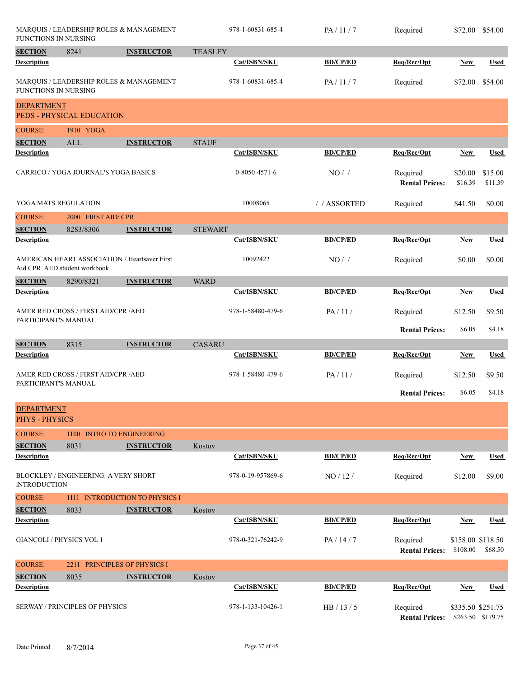| FUNCTIONS IN NURSING                       |                                      | MARQUIS / LEADERSHIP ROLES & MANAGEMENT       |                | 978-1-60831-685-4 | PA/11/7         | Required                          | \$72.00 \$54.00                        |                    |
|--------------------------------------------|--------------------------------------|-----------------------------------------------|----------------|-------------------|-----------------|-----------------------------------|----------------------------------------|--------------------|
| <b>SECTION</b>                             | 8241                                 | <b>INSTRUCTOR</b>                             | <b>TEASLEY</b> |                   |                 |                                   |                                        |                    |
| Description                                |                                      |                                               |                | Cat/ISBN/SKU      | <b>BD/CP/ED</b> | Req/Rec/Opt                       | New                                    | <b>Used</b>        |
| <b>FUNCTIONS IN NURSING</b>                |                                      | MARQUIS / LEADERSHIP ROLES & MANAGEMENT       |                | 978-1-60831-685-4 | PA/11/7         | Required                          | \$72.00                                | \$54.00            |
| <b>DEPARTMENT</b>                          | PEDS - PHYSICAL EDUCATION            |                                               |                |                   |                 |                                   |                                        |                    |
| <b>COURSE:</b>                             | 1910 YOGA                            |                                               |                |                   |                 |                                   |                                        |                    |
| <b>SECTION</b>                             | ALL                                  | <b>INSTRUCTOR</b>                             | <b>STAUF</b>   |                   |                 |                                   |                                        |                    |
| <b>Description</b>                         |                                      |                                               |                | Cat/ISBN/SKU      | <b>BD/CP/ED</b> | Req/Rec/Opt                       | <b>New</b>                             | <b>Used</b>        |
|                                            | CARRICO / YOGA JOURNAL'S YOGA BASICS |                                               |                | 0-8050-4571-6     | NO/             | Required<br><b>Rental Prices:</b> | \$20.00<br>\$16.39                     | \$15.00<br>\$11.39 |
| YOGA MATS REGULATION                       |                                      |                                               |                | 10008065          | //ASSORTED      | Required                          | \$41.50                                | \$0.00             |
| <b>COURSE:</b>                             | 2000 FIRST AID/ CPR                  |                                               |                |                   |                 |                                   |                                        |                    |
| <b>SECTION</b>                             | 8283/8306                            | <b>INSTRUCTOR</b>                             | <b>STEWART</b> |                   |                 |                                   |                                        |                    |
| <b>Description</b>                         |                                      |                                               |                | Cat/ISBN/SKU      | <b>BD/CP/ED</b> | Req/Rec/Opt                       | <b>New</b>                             | Used               |
|                                            | Aid CPR AED student workbook         | AMERICAN HEART ASSOCIATION / Heartsaver First |                | 10092422          | $NO/$ /         | Required                          | \$0.00                                 | \$0.00             |
| <b>SECTION</b>                             | 8290/8321                            | <b>INSTRUCTOR</b>                             | <b>WARD</b>    |                   |                 |                                   |                                        |                    |
| <b>Description</b>                         |                                      |                                               |                | Cat/ISBN/SKU      | <b>BD/CP/ED</b> | Req/Rec/Opt                       | <b>New</b>                             | <b>Used</b>        |
| PARTICIPANT'S MANUAL                       | AMER RED CROSS / FIRST AID/CPR / AED |                                               |                | 978-1-58480-479-6 | PA/11/          | Required                          | \$12.50                                | \$9.50             |
|                                            |                                      |                                               |                |                   |                 | <b>Rental Prices:</b>             | \$6.05                                 | \$4.18             |
| <b>SECTION</b>                             | 8315                                 | <b>INSTRUCTOR</b>                             | <b>CASARU</b>  |                   |                 |                                   |                                        |                    |
| <b>Description</b>                         |                                      |                                               |                | Cat/ISBN/SKU      | <b>BD/CP/ED</b> | Req/Rec/Opt                       | <b>New</b>                             | <b>Used</b>        |
|                                            | AMER RED CROSS / FIRST AID/CPR / AED |                                               |                | 978-1-58480-479-6 | PA/11/          | Required                          | \$12.50                                | \$9.50             |
| PARTICIPANT'S MANUAL                       |                                      |                                               |                |                   |                 |                                   |                                        |                    |
|                                            |                                      |                                               |                |                   |                 | <b>Rental Prices:</b>             | \$6.05                                 | \$4.18             |
| <b>DEPARTMENT</b><br><b>PHYS - PHYSICS</b> |                                      |                                               |                |                   |                 |                                   |                                        |                    |
| <b>COURSE:</b>                             |                                      | 1100 INTRO TO ENGINEERING                     |                |                   |                 |                                   |                                        |                    |
| <b>SECTION</b>                             | 8031                                 | <b>INSTRUCTOR</b>                             | Kostov         |                   |                 |                                   |                                        |                    |
| <b>Description</b>                         |                                      |                                               |                | Cat/ISBN/SKU      | <b>BD/CP/ED</b> | Req/Rec/Opt                       | <b>New</b>                             | <b>Used</b>        |
| <b>iNTRODUCTION</b>                        | BLOCKLEY / ENGINEERING: A VERY SHORT |                                               |                | 978-0-19-957869-6 | NO/12/          | Required                          | \$12.00                                | \$9.00             |
| <b>COURSE:</b>                             |                                      | 1111 INTRODUCTION TO PHYSICS I                |                |                   |                 |                                   |                                        |                    |
| <b>SECTION</b>                             | 8033                                 | <b>INSTRUCTOR</b>                             | Kostov         |                   |                 |                                   |                                        |                    |
| <b>Description</b>                         |                                      |                                               |                | Cat/ISBN/SKU      | <b>BD/CP/ED</b> | Req/Rec/Opt                       | <b>New</b>                             | <b>Used</b>        |
| <b>GIANCOLI / PHYSICS VOL 1</b>            |                                      |                                               |                | 978-0-321-76242-9 | PA/14/7         | Required<br><b>Rental Prices:</b> | \$158.00 \$118.50<br>\$108.00          | \$68.50            |
| <b>COURSE:</b>                             |                                      | 2211 PRINCIPLES OF PHYSICS I                  |                |                   |                 |                                   |                                        |                    |
| <b>SECTION</b>                             | 8035                                 | <b>INSTRUCTOR</b>                             | Kostov         |                   |                 |                                   |                                        |                    |
| <b>Description</b>                         |                                      |                                               |                | Cat/ISBN/SKU      | <b>BD/CP/ED</b> | Req/Rec/Opt                       | New                                    | <b>Used</b>        |
|                                            | SERWAY / PRINCIPLES OF PHYSICS       |                                               |                | 978-1-133-10426-1 | HB / 13 / 5     | Required<br><b>Rental Prices:</b> | \$335.50 \$251.75<br>\$263.50 \$179.75 |                    |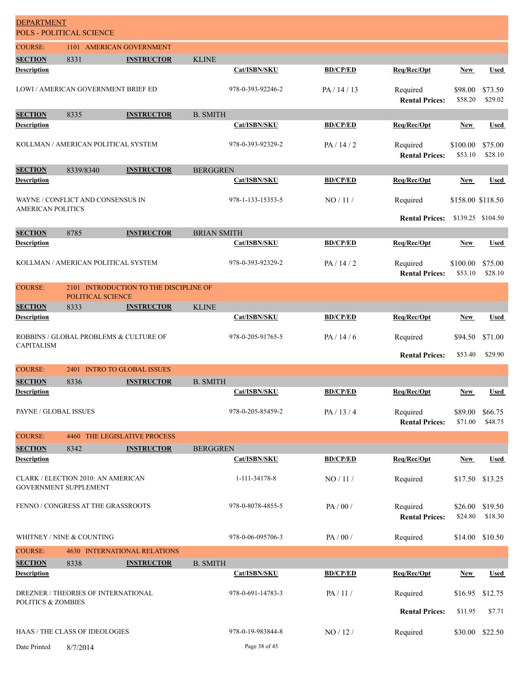| <b>DEPARTMENT</b>                    | POLS - POLITICAL SCIENCE                   |                                        |                    |                   |                 |                                   |                     |                    |
|--------------------------------------|--------------------------------------------|----------------------------------------|--------------------|-------------------|-----------------|-----------------------------------|---------------------|--------------------|
| <b>COURSE:</b>                       | 1101 AMERICAN GOVERNMENT                   |                                        |                    |                   |                 |                                   |                     |                    |
| <b>SECTION</b><br><b>Description</b> | 8331                                       | <b>INSTRUCTOR</b>                      | <b>KLINE</b>       | Cat/ISBN/SKU      | <b>BD/CP/ED</b> | Req/Rec/Opt                       | <b>New</b>          | <b>Used</b>        |
|                                      |                                            |                                        |                    |                   |                 |                                   |                     |                    |
|                                      | <b>LOWI / AMERICAN GOVERNMENT BRIEF ED</b> |                                        |                    | 978-0-393-92246-2 | PA/14/13        | Required<br><b>Rental Prices:</b> | \$98.00<br>\$58.20  | \$73.50<br>\$29.02 |
| <b>SECTION</b>                       | 8335                                       | <b>INSTRUCTOR</b>                      | <b>B. SMITH</b>    |                   |                 |                                   |                     |                    |
| <b>Description</b>                   |                                            |                                        |                    | Cat/ISBN/SKU      | <b>BD/CP/ED</b> | Req/Rec/Opt                       | <b>New</b>          | <b>Used</b>        |
|                                      | KOLLMAN / AMERICAN POLITICAL SYSTEM        |                                        |                    | 978-0-393-92329-2 | PA/14/2         | Required<br><b>Rental Prices:</b> | \$100.00<br>\$53.10 | \$75.00<br>\$28.10 |
| <b>SECTION</b>                       | 8339/8340                                  | <b>INSTRUCTOR</b>                      | <b>BERGGREN</b>    |                   |                 |                                   |                     |                    |
| <b>Description</b>                   |                                            |                                        |                    | Cat/ISBN/SKU      | <b>BD/CP/ED</b> | Req/Rec/Opt                       | <b>New</b>          | <b>Used</b>        |
| <b>AMERICAN POLITICS</b>             | WAYNE / CONFLICT AND CONSENSUS IN          |                                        |                    | 978-1-133-15353-5 | NO/11/          | Required                          | \$158.00 \$118.50   |                    |
|                                      |                                            |                                        |                    |                   |                 | <b>Rental Prices:</b>             | \$139.25 \$104.50   |                    |
| <b>SECTION</b><br><b>Description</b> | 8785                                       | <b>INSTRUCTOR</b>                      | <b>BRIAN SMITH</b> | Cat/ISBN/SKU      | <b>BD/CP/ED</b> | Req/Rec/Opt                       | New                 | <b>Used</b>        |
|                                      |                                            |                                        |                    |                   |                 |                                   |                     |                    |
|                                      | KOLLMAN / AMERICAN POLITICAL SYSTEM        |                                        |                    | 978-0-393-92329-2 | PA/14/2         | Required<br><b>Rental Prices:</b> | \$100.00<br>\$53.10 | \$75.00<br>\$28.10 |
| <b>COURSE:</b>                       | POLITICAL SCIENCE                          | 2101 INTRODUCTION TO THE DISCIPLINE OF |                    |                   |                 |                                   |                     |                    |
| <b>SECTION</b><br><b>Description</b> | 8333                                       | <b>INSTRUCTOR</b>                      | <b>KLINE</b>       | Cat/ISBN/SKU      | <b>BD/CP/ED</b> | Req/Rec/Opt                       | <b>New</b>          | <b>Used</b>        |
|                                      |                                            |                                        |                    |                   |                 |                                   |                     |                    |
| <b>CAPITALISM</b>                    | ROBBINS / GLOBAL PROBLEMS & CULTURE OF     |                                        |                    | 978-0-205-91765-5 | PA/14/6         | Required                          | \$94.50             | \$71.00            |
|                                      |                                            |                                        |                    |                   |                 | <b>Rental Prices:</b>             | \$53.40             | \$29.90            |
| <b>COURSE:</b>                       | 2401 INTRO TO GLOBAL ISSUES                |                                        |                    |                   |                 |                                   |                     |                    |
| <b>SECTION</b>                       | 8336                                       | <b>INSTRUCTOR</b>                      | <b>B. SMITH</b>    |                   |                 |                                   |                     |                    |
| <b>Description</b>                   |                                            |                                        |                    | Cat/ISBN/SKU      | <b>BD/CP/ED</b> | Req/Rec/Opt                       | New                 | <b>Used</b>        |
| PAYNE / GLOBAL ISSUES                |                                            |                                        |                    | 978-0-205-85459-2 | PA/13/4         | Required<br><b>Rental Prices:</b> | \$89.00<br>\$71.00  | \$66.75<br>\$48.75 |
| <b>COURSE:</b>                       | 4460                                       | THE LEGISLATIVE PROCESS                |                    |                   |                 |                                   |                     |                    |
| <b>SECTION</b>                       | 8342                                       | <b>INSTRUCTOR</b>                      | <b>BERGGREN</b>    |                   |                 |                                   |                     |                    |
| <b>Description</b>                   |                                            |                                        |                    | Cat/ISBN/SKU      | <b>BD/CP/ED</b> | Req/Rec/Opt                       | <b>New</b>          | <b>Used</b>        |
| GOVERNMENT SUPPLEMENT                | CLARK / ELECTION 2010: AN AMERICAN         |                                        |                    | 1-111-34178-8     | NO/11/          | Required                          |                     | \$17.50 \$13.25    |
|                                      | FENNO / CONGRESS AT THE GRASSROOTS         |                                        |                    | 978-0-8078-4855-5 | PA/00/          | Required<br><b>Rental Prices:</b> | \$26.00<br>\$24.80  | \$19.50<br>\$18.30 |
|                                      | WHITNEY / NINE & COUNTING                  |                                        |                    | 978-0-06-095706-3 | PA / 00 /       | Required                          | \$14.00             | \$10.50            |
| <b>COURSE:</b>                       |                                            | <b>4630 INTERNATIONAL RELATIONS</b>    |                    |                   |                 |                                   |                     |                    |
| <b>SECTION</b><br><b>Description</b> | 8338                                       | <b>INSTRUCTOR</b>                      | <b>B. SMITH</b>    | Cat/ISBN/SKU      | <b>BD/CP/ED</b> | Req/Rec/Opt                       | <b>New</b>          | Used               |
|                                      |                                            |                                        |                    |                   |                 |                                   |                     |                    |
| <b>POLITICS &amp; ZOMBIES</b>        | DREZNER / THEORIES OF INTERNATIONAL        |                                        |                    | 978-0-691-14783-3 | PA/11/          | Required                          | \$16.95             | \$12.75            |
|                                      |                                            |                                        |                    |                   |                 | <b>Rental Prices:</b>             | \$11.95             | \$7.71             |
|                                      | HAAS / THE CLASS OF IDEOLOGIES             |                                        |                    | 978-0-19-983844-8 | NO/12/          | Required                          |                     | \$30.00 \$22.50    |
| Date Printed                         | 8/7/2014                                   |                                        |                    | Page 38 of 45     |                 |                                   |                     |                    |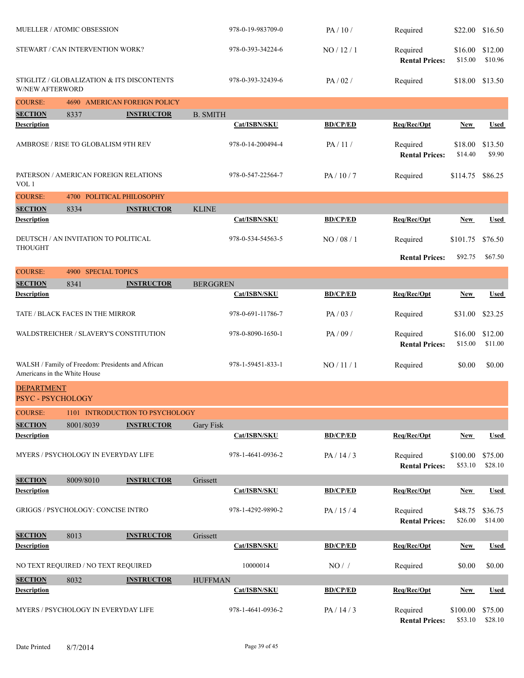| MUELLER / ATOMIC OBSESSION             |                                                   |                                            |                   | 978-0-19-983709-0 | PA/10/                            | Required                          | \$22.00             | \$16.50            |
|----------------------------------------|---------------------------------------------------|--------------------------------------------|-------------------|-------------------|-----------------------------------|-----------------------------------|---------------------|--------------------|
|                                        | STEWART / CAN INTERVENTION WORK?                  |                                            |                   | 978-0-393-34224-6 | NO / 12 / 1                       | Required<br><b>Rental Prices:</b> | \$16.00<br>\$15.00  | \$12.00<br>\$10.96 |
| <b>W/NEW AFTERWORD</b>                 |                                                   | STIGLITZ / GLOBALIZATION & ITS DISCONTENTS |                   | 978-0-393-32439-6 | PA/02/                            | Required                          | \$18.00             | \$13.50            |
| <b>COURSE:</b>                         |                                                   | 4690 AMERICAN FOREIGN POLICY               |                   |                   |                                   |                                   |                     |                    |
| <b>SECTION</b>                         | 8337                                              | <b>INSTRUCTOR</b>                          | <b>B. SMITH</b>   |                   |                                   |                                   |                     |                    |
| <b>Description</b>                     |                                                   |                                            |                   | Cat/ISBN/SKU      | <b>BD/CP/ED</b>                   | Req/Rec/Opt                       | <b>New</b>          | <b>Used</b>        |
| AMBROSE / RISE TO GLOBALISM 9TH REV    |                                                   |                                            | 978-0-14-200494-4 | PA/11/            | Required<br><b>Rental Prices:</b> | \$18.00<br>\$14.40                | \$13.50<br>\$9.90   |                    |
| VOL 1                                  | PATERSON / AMERICAN FOREIGN RELATIONS             |                                            |                   | 978-0-547-22564-7 | PA/10/7                           | Required                          | \$114.75            | \$86.25            |
| <b>COURSE:</b>                         | 4700 POLITICAL PHILOSOPHY                         |                                            |                   |                   |                                   |                                   |                     |                    |
| <b>SECTION</b>                         | 8334                                              | <b>INSTRUCTOR</b>                          | <b>KLINE</b>      |                   |                                   |                                   |                     |                    |
| Description                            |                                                   |                                            |                   | Cat/ISBN/SKU      | <b>BD/CP/ED</b>                   | Req/Rec/Opt                       | New                 | <b>Used</b>        |
| <b>THOUGHT</b>                         | DEUTSCH / AN INVITATION TO POLITICAL              |                                            |                   | 978-0-534-54563-5 | NO / 08 / 1                       | Required                          | \$101.75            | \$76.50            |
|                                        |                                                   |                                            |                   |                   |                                   | <b>Rental Prices:</b>             | \$92.75             | \$67.50            |
| <b>COURSE:</b>                         | 4900 SPECIAL TOPICS                               |                                            |                   |                   |                                   |                                   |                     |                    |
| <b>SECTION</b>                         | 8341                                              | <b>INSTRUCTOR</b>                          | <b>BERGGREN</b>   |                   |                                   |                                   |                     |                    |
| <b>Description</b>                     |                                                   |                                            |                   | Cat/ISBN/SKU      | <b>BD/CP/ED</b>                   | Req/Rec/Opt                       | <b>New</b>          | <b>Used</b>        |
| TATE / BLACK FACES IN THE MIRROR       |                                                   |                                            | 978-0-691-11786-7 | PA/03/            | Required                          | \$31.00                           | \$23.25             |                    |
| WALDSTREICHER / SLAVERY'S CONSTITUTION |                                                   |                                            | 978-0-8090-1650-1 | PA/09/            | Required<br><b>Rental Prices:</b> | \$16.00<br>\$15.00                | \$12.00<br>\$11.00  |                    |
| Americans in the White House           | WALSH / Family of Freedom: Presidents and African |                                            |                   | 978-1-59451-833-1 | NO / 11 / 1                       | Required                          | \$0.00              | \$0.00             |
| <b>DEPARTMENT</b><br>PSYC-PSYCHOLOGY   |                                                   |                                            |                   |                   |                                   |                                   |                     |                    |
| <b>COURSE:</b>                         |                                                   | 1101 INTRODUCTION TO PSYCHOLOGY            |                   |                   |                                   |                                   |                     |                    |
| <b>SECTION</b>                         | 8001/8039                                         | <b>INSTRUCTOR</b>                          | Gary Fisk         |                   |                                   |                                   |                     |                    |
| <b>Description</b>                     |                                                   |                                            |                   | Cat/ISBN/SKU      | <b>BD/CP/ED</b>                   | Req/Rec/Opt                       | <b>New</b>          | <b>Used</b>        |
|                                        | MYERS / PSYCHOLOGY IN EVERYDAY LIFE               |                                            |                   | 978-1-4641-0936-2 | PA / 14 / 3                       | Required<br><b>Rental Prices:</b> | \$100.00<br>\$53.10 | \$75.00<br>\$28.10 |
| <b>SECTION</b>                         | 8009/8010                                         | <b>INSTRUCTOR</b>                          | Grissett          |                   |                                   |                                   |                     |                    |
| <b>Description</b>                     |                                                   |                                            |                   | Cat/ISBN/SKU      | <b>BD/CP/ED</b>                   | Req/Rec/Opt                       | <b>New</b>          | <b>Used</b>        |
|                                        | <b>GRIGGS / PSYCHOLOGY: CONCISE INTRO</b>         |                                            |                   | 978-1-4292-9890-2 | PA/15/4                           | Required<br><b>Rental Prices:</b> | \$48.75<br>\$26.00  | \$36.75<br>\$14.00 |
| <b>SECTION</b>                         | 8013                                              | <b>INSTRUCTOR</b>                          | Grissett          |                   |                                   |                                   |                     |                    |
| <b>Description</b>                     |                                                   |                                            |                   | Cat/ISBN/SKU      | <b>BD/CP/ED</b>                   | Req/Rec/Opt                       | <b>New</b>          | <b>Used</b>        |
|                                        | NO TEXT REQUIRED / NO TEXT REQUIRED               |                                            |                   | 10000014          | $NO/$ /                           | Required                          | \$0.00              | \$0.00             |
| <b>SECTION</b>                         | 8032                                              | <b>INSTRUCTOR</b>                          | <b>HUFFMAN</b>    |                   |                                   |                                   |                     |                    |
| <b>Description</b>                     |                                                   |                                            |                   | Cat/ISBN/SKU      | <b>BD/CP/ED</b>                   | Req/Rec/Opt                       | <b>New</b>          | <b>Used</b>        |
|                                        | MYERS / PSYCHOLOGY IN EVERYDAY LIFE               |                                            |                   | 978-1-4641-0936-2 | PA/14/3                           | Required<br><b>Rental Prices:</b> | \$100.00<br>\$53.10 | \$75.00<br>\$28.10 |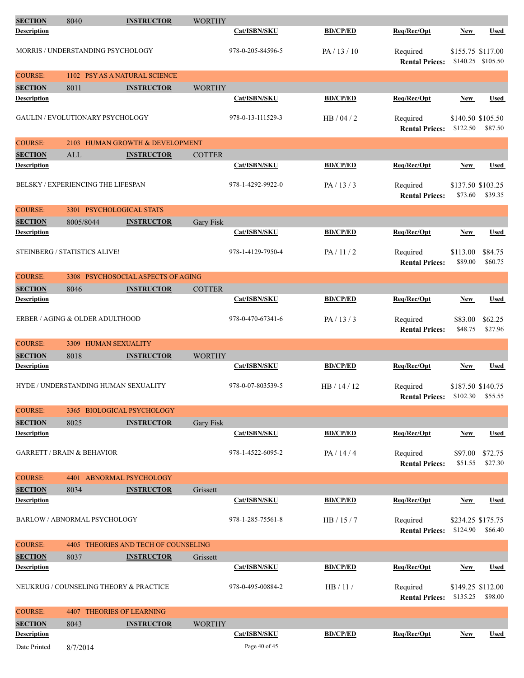| <b>SECTION</b>     | 8040                                      | <b>INSTRUCTOR</b>                           | <b>WORTHY</b> |                   |                 |                                     |                               |                    |
|--------------------|-------------------------------------------|---------------------------------------------|---------------|-------------------|-----------------|-------------------------------------|-------------------------------|--------------------|
| <b>Description</b> |                                           |                                             |               | Cat/ISBN/SKU      | <b>BD/CP/ED</b> | Req/Rec/Opt                         | <b>New</b>                    | <b>Used</b>        |
|                    | MORRIS / UNDERSTANDING PSYCHOLOGY         |                                             |               | 978-0-205-84596-5 | PA / 13 / 10    | Required<br><b>Rental Prices:</b>   | \$155.75 \$117.00             | \$140.25 \$105.50  |
| <b>COURSE:</b>     |                                           | 1102 PSY AS A NATURAL SCIENCE               |               |                   |                 |                                     |                               |                    |
| <b>SECTION</b>     | 8011                                      | <b>INSTRUCTOR</b>                           | <b>WORTHY</b> |                   |                 |                                     |                               |                    |
| <b>Description</b> |                                           |                                             |               | Cat/ISBN/SKU      | <b>BD/CP/ED</b> | Req/Rec/Opt                         | New                           | <b>Used</b>        |
|                    | <b>GAULIN / EVOLUTIONARY PSYCHOLOGY</b>   |                                             |               | 978-0-13-111529-3 | HB/04/2         | Required<br><b>Rental Prices:</b>   | \$140.50 \$105.50<br>\$122.50 | \$87.50            |
| <b>COURSE:</b>     |                                           | 2103 HUMAN GROWTH & DEVELOPMENT             |               |                   |                 |                                     |                               |                    |
| <b>SECTION</b>     | <b>ALL</b>                                | <b>INSTRUCTOR</b>                           | <b>COTTER</b> |                   |                 |                                     |                               |                    |
| <b>Description</b> |                                           |                                             |               | Cat/ISBN/SKU      | <b>BD/CP/ED</b> | Req/Rec/Opt                         | New                           | <b>Used</b>        |
|                    | <b>BELSKY / EXPERIENCING THE LIFESPAN</b> |                                             |               | 978-1-4292-9922-0 | PA/13/3         | Required<br><b>Rental Prices:</b>   | \$137.50 \$103.25<br>\$73.60  | \$39.35            |
| <b>COURSE:</b>     |                                           | 3301 PSYCHOLOGICAL STATS                    |               |                   |                 |                                     |                               |                    |
| <b>SECTION</b>     | 8005/8044                                 | <b>INSTRUCTOR</b>                           | Gary Fisk     |                   |                 |                                     |                               |                    |
| <b>Description</b> |                                           |                                             |               | Cat/ISBN/SKU      | <b>BD/CP/ED</b> | Req/Rec/Opt                         | <b>New</b>                    | <b>Used</b>        |
|                    | <b>STEINBERG / STATISTICS ALIVE!</b>      |                                             |               | 978-1-4129-7950-4 | PA/11/2         | Required<br><b>Rental Prices:</b>   | \$113.00<br>\$89.00           | \$84.75<br>\$60.75 |
| <b>COURSE:</b>     |                                           | 3308 PSYCHOSOCIAL ASPECTS OF AGING          |               |                   |                 |                                     |                               |                    |
| <b>SECTION</b>     | 8046                                      | <b>INSTRUCTOR</b>                           | <b>COTTER</b> |                   |                 |                                     |                               |                    |
| <b>Description</b> |                                           |                                             |               | Cat/ISBN/SKU      | <b>BD/CP/ED</b> | Req/Rec/Opt                         | <b>New</b>                    | <b>Used</b>        |
|                    | ERBER / AGING & OLDER ADULTHOOD           |                                             |               | 978-0-470-67341-6 | PA/13/3         | Required<br><b>Rental Prices:</b>   | \$83.00<br>\$48.75            | \$62.25<br>\$27.96 |
| <b>COURSE:</b>     | 3309 HUMAN SEXUALITY                      |                                             |               |                   |                 |                                     |                               |                    |
| <b>SECTION</b>     | 8018                                      | <b>INSTRUCTOR</b>                           | <b>WORTHY</b> |                   |                 |                                     |                               |                    |
| <b>Description</b> |                                           |                                             |               | Cat/ISBN/SKU      | <b>BD/CP/ED</b> | Req/Rec/Opt                         | <b>New</b>                    | Used               |
|                    |                                           | <b>HYDE / UNDERSTANDING HUMAN SEXUALITY</b> |               | 978-0-07-803539-5 | HB / 14 / 12    | Required<br><b>Rental Prices:</b>   | \$187.50 \$140.75<br>\$102.30 | \$55.55            |
| <b>COURSE:</b>     |                                           | 3365 BIOLOGICAL PSYCHOLOGY                  |               |                   |                 |                                     |                               |                    |
| <b>SECTION</b>     | 8025                                      | <b>INSTRUCTOR</b>                           | Gary Fisk     |                   |                 |                                     |                               |                    |
| <b>Description</b> |                                           |                                             |               | Cat/ISBN/SKU      | <b>BD/CP/ED</b> | Req/Rec/Opt                         | <b>New</b>                    | <b>Used</b>        |
|                    | <b>GARRETT / BRAIN &amp; BEHAVIOR</b>     |                                             |               | 978-1-4522-6095-2 | PA/14/4         | Required<br><b>Rental Prices:</b>   | \$97.00<br>\$51.55            | \$72.75<br>\$27.30 |
| <b>COURSE:</b>     |                                           | 4401 ABNORMAL PSYCHOLOGY                    |               |                   |                 |                                     |                               |                    |
| <b>SECTION</b>     | 8034                                      | <b>INSTRUCTOR</b>                           | Grissett      |                   |                 |                                     |                               |                    |
| <b>Description</b> |                                           |                                             |               | Cat/ISBN/SKU      | <b>BD/CP/ED</b> | Req/Rec/Opt                         | <b>New</b>                    | Used               |
|                    | BARLOW / ABNORMAL PSYCHOLOGY              |                                             |               | 978-1-285-75561-8 | HB/15/7         | Required<br><b>Rental Prices:</b>   | \$234.25 \$175.75<br>\$124.90 | \$66.40            |
| <b>COURSE:</b>     |                                           | 4405 THEORIES AND TECH OF COUNSELING        |               |                   |                 |                                     |                               |                    |
| <b>SECTION</b>     | 8037                                      | <b>INSTRUCTOR</b>                           | Grissett      |                   |                 |                                     |                               |                    |
| <b>Description</b> |                                           |                                             |               | Cat/ISBN/SKU      | <b>BD/CP/ED</b> | Req/Rec/Opt                         | New                           | Used               |
|                    |                                           | NEUKRUG / COUNSELING THEORY & PRACTICE      |               | 978-0-495-00884-2 | HB/11/          | Required<br>Rental Prices: \$135.25 | \$149.25 \$112.00             | \$98.00            |
| <b>COURSE:</b>     |                                           | 4407 THEORIES OF LEARNING                   |               |                   |                 |                                     |                               |                    |
| <b>SECTION</b>     | 8043                                      | <b>INSTRUCTOR</b>                           | <b>WORTHY</b> |                   |                 |                                     |                               |                    |
| <b>Description</b> |                                           |                                             |               | Cat/ISBN/SKU      | <b>BD/CP/ED</b> | Req/Rec/Opt                         | <b>New</b>                    | <b>Used</b>        |
| Date Printed       | 8/7/2014                                  |                                             |               | Page 40 of 45     |                 |                                     |                               |                    |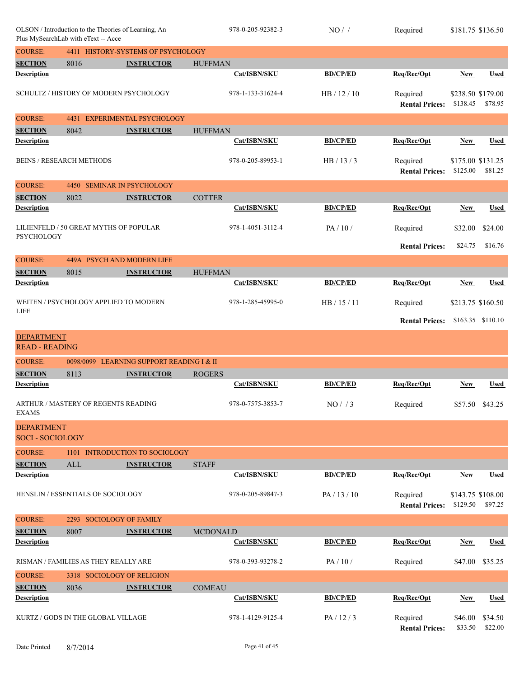| OLSON / Introduction to the Theories of Learning, An<br>Plus MySearchLab with eText -- Acce |                                               |                                           |                 | 978-0-205-92382-3 | NO/             | Required                          | \$181.75 \$136.50             |                   |
|---------------------------------------------------------------------------------------------|-----------------------------------------------|-------------------------------------------|-----------------|-------------------|-----------------|-----------------------------------|-------------------------------|-------------------|
| <b>COURSE:</b>                                                                              |                                               | 4411 HISTORY-SYSTEMS OF PSYCHOLOGY        |                 |                   |                 |                                   |                               |                   |
| <b>SECTION</b>                                                                              | 8016                                          | <b>INSTRUCTOR</b>                         | <b>HUFFMAN</b>  |                   |                 |                                   |                               |                   |
| Description                                                                                 |                                               |                                           |                 | Cat/ISBN/SKU      | <b>BD/CP/ED</b> | Req/Rec/Opt                       | <b>New</b>                    | Used              |
|                                                                                             | <b>SCHULTZ / HISTORY OF MODERN PSYCHOLOGY</b> |                                           |                 | 978-1-133-31624-4 | HB / 12 / 10    | Required<br><b>Rental Prices:</b> | \$238.50 \$179.00<br>\$138.45 | \$78.95           |
| <b>COURSE:</b>                                                                              | 4431                                          | <b>EXPERIMENTAL PSYCHOLOGY</b>            |                 |                   |                 |                                   |                               |                   |
| <b>SECTION</b>                                                                              | 8042                                          | <b>INSTRUCTOR</b>                         | <b>HUFFMAN</b>  |                   |                 |                                   |                               |                   |
| <b>Description</b>                                                                          |                                               |                                           |                 | Cat/ISBN/SKU      | <b>BD/CP/ED</b> | Req/Rec/Opt                       | New                           | <b>Used</b>       |
|                                                                                             | <b>BEINS / RESEARCH METHODS</b>               |                                           |                 | 978-0-205-89953-1 | HB/13/3         | Required<br><b>Rental Prices:</b> | \$175.00 \$131.25<br>\$125.00 | \$81.25           |
| <b>COURSE:</b>                                                                              |                                               | 4450 SEMINAR IN PSYCHOLOGY                |                 |                   |                 |                                   |                               |                   |
| <b>SECTION</b>                                                                              | 8022                                          | <b>INSTRUCTOR</b>                         | <b>COTTER</b>   |                   |                 |                                   |                               |                   |
| <b>Description</b>                                                                          |                                               |                                           |                 | Cat/ISBN/SKU      | <b>BD/CP/ED</b> | Req/Rec/Opt                       | New                           | Used              |
| <b>PSYCHOLOGY</b>                                                                           | LILIENFELD / 50 GREAT MYTHS OF POPULAR        |                                           |                 | 978-1-4051-3112-4 | PA/10/          | Required                          | \$32.00                       | \$24.00           |
|                                                                                             |                                               |                                           |                 |                   |                 | <b>Rental Prices:</b>             | \$24.75                       | \$16.76           |
| <b>COURSE:</b>                                                                              |                                               | 449A PSYCH AND MODERN LIFE                |                 |                   |                 |                                   |                               |                   |
| <b>SECTION</b>                                                                              | 8015                                          | <b>INSTRUCTOR</b>                         | <b>HUFFMAN</b>  |                   |                 |                                   |                               |                   |
| Description                                                                                 |                                               |                                           |                 | Cat/ISBN/SKU      | <b>BD/CP/ED</b> | Req/Rec/Opt                       | New                           | <b>Used</b>       |
| <b>LIFE</b>                                                                                 | WEITEN / PSYCHOLOGY APPLIED TO MODERN         |                                           |                 | 978-1-285-45995-0 | HB / 15 / 11    | Required                          | \$213.75 \$160.50             |                   |
|                                                                                             |                                               |                                           |                 |                   |                 | <b>Rental Prices:</b>             |                               | \$163.35 \$110.10 |
| <b>DEPARTMENT</b><br><b>READ - READING</b>                                                  |                                               |                                           |                 |                   |                 |                                   |                               |                   |
| <b>COURSE:</b>                                                                              |                                               | 0098/0099 LEARNING SUPPORT READING I & II |                 |                   |                 |                                   |                               |                   |
| <b>SECTION</b>                                                                              | 8113                                          | <b>INSTRUCTOR</b>                         | <b>ROGERS</b>   |                   |                 |                                   |                               |                   |
| <b>Description</b>                                                                          |                                               |                                           |                 | Cat/ISBN/SKU      | <b>BD/CP/ED</b> | Req/Rec/Opt                       | New                           | <b>Used</b>       |
| <b>EXAMS</b>                                                                                | ARTHUR / MASTERY OF REGENTS READING           |                                           |                 | 978-0-7575-3853-7 | NO/73           | Required                          |                               | \$57.50 \$43.25   |
| <b>DEPARTMENT</b><br><b>SOCI - SOCIOLOGY</b>                                                |                                               |                                           |                 |                   |                 |                                   |                               |                   |
| <b>COURSE:</b>                                                                              |                                               | 1101 INTRODUCTION TO SOCIOLOGY            |                 |                   |                 |                                   |                               |                   |
| <b>SECTION</b>                                                                              | <b>ALL</b>                                    | <b>INSTRUCTOR</b>                         | <b>STAFF</b>    |                   |                 |                                   |                               |                   |
| <b>Description</b>                                                                          |                                               |                                           |                 | Cat/ISBN/SKU      | <b>BD/CP/ED</b> | Req/Rec/Opt                       | <b>New</b>                    | <b>Used</b>       |
|                                                                                             | HENSLIN / ESSENTIALS OF SOCIOLOGY             |                                           |                 | 978-0-205-89847-3 | PA/13/10        | Required<br><b>Rental Prices:</b> | \$143.75 \$108.00<br>\$129.50 | \$97.25           |
| <b>COURSE:</b>                                                                              | 2293 SOCIOLOGY OF FAMILY                      |                                           |                 |                   |                 |                                   |                               |                   |
| <b>SECTION</b>                                                                              | 8007                                          | <b>INSTRUCTOR</b>                         | <b>MCDONALD</b> |                   |                 |                                   |                               |                   |
| <b>Description</b>                                                                          |                                               |                                           |                 | Cat/ISBN/SKU      | <b>BD/CP/ED</b> | Req/Rec/Opt                       | <b>New</b>                    | <b>Used</b>       |
|                                                                                             | RISMAN / FAMILIES AS THEY REALLY ARE          |                                           |                 | 978-0-393-93278-2 | PA/10/          | Required                          | \$47.00                       | \$35.25           |
| <b>COURSE:</b>                                                                              |                                               |                                           |                 |                   |                 |                                   |                               |                   |
|                                                                                             | 3318 SOCIOLOGY OF RELIGION                    |                                           |                 |                   |                 |                                   |                               |                   |
| <b>SECTION</b>                                                                              | 8036                                          | <b>INSTRUCTOR</b>                         | <b>COMEAU</b>   |                   |                 |                                   |                               |                   |
| <b>Description</b>                                                                          |                                               |                                           |                 | Cat/ISBN/SKU      | <b>BD/CP/ED</b> | Req/Rec/Opt                       | <b>New</b>                    | <b>Used</b>       |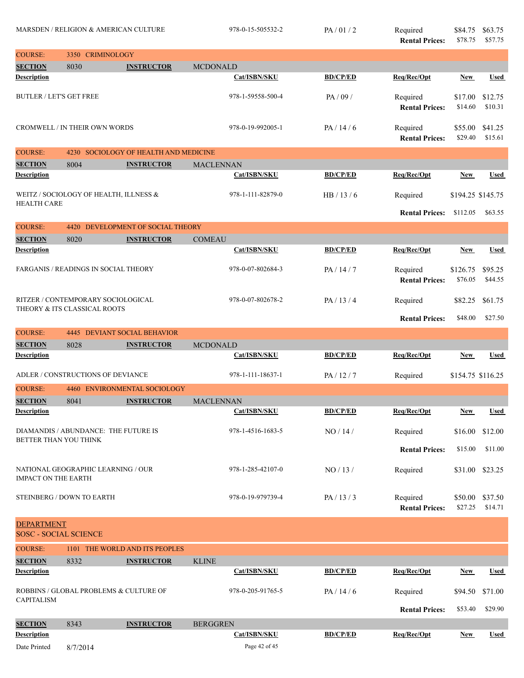| MARSDEN / RELIGION & AMERICAN CULTURE             |                                                                    | 978-0-15-505532-2                 | PA/01/2             | Required<br><b>Rental Prices:</b> | \$84.75<br>\$78.75                | \$63.75<br>\$57.75  |                    |
|---------------------------------------------------|--------------------------------------------------------------------|-----------------------------------|---------------------|-----------------------------------|-----------------------------------|---------------------|--------------------|
| <b>COURSE:</b>                                    | 3350 CRIMINOLOGY                                                   |                                   |                     |                                   |                                   |                     |                    |
| <b>SECTION</b>                                    | 8030                                                               | <b>INSTRUCTOR</b>                 | <b>MCDONALD</b>     |                                   |                                   |                     |                    |
| Description                                       |                                                                    |                                   | Cat/ISBN/SKU        | <b>BD/CP/ED</b>                   | Req/Rec/Opt                       | <b>New</b>          | Used               |
| <b>BUTLER / LET'S GET FREE</b>                    |                                                                    |                                   | 978-1-59558-500-4   | PA/09/                            | Required<br><b>Rental Prices:</b> | \$17.00<br>\$14.60  | \$12.75<br>\$10.31 |
|                                                   | <b>CROMWELL / IN THEIR OWN WORDS</b>                               |                                   | 978-0-19-992005-1   | PA/14/6                           | Required<br><b>Rental Prices:</b> | \$55.00<br>\$29.40  | \$41.25<br>\$15.61 |
| <b>COURSE:</b>                                    | 4230                                                               | SOCIOLOGY OF HEALTH AND MEDICINE  |                     |                                   |                                   |                     |                    |
| <b>SECTION</b>                                    | 8004                                                               | <b>INSTRUCTOR</b>                 | MACLENNAN           |                                   |                                   |                     |                    |
| <b>Description</b>                                |                                                                    |                                   | Cat/ISBN/SKU        | <b>BD/CP/ED</b>                   | Req/Rec/Opt                       | New                 | <b>Used</b>        |
| <b>HEALTH CARE</b>                                | WEITZ / SOCIOLOGY OF HEALTH, ILLNESS &                             |                                   | 978-1-111-82879-0   | HB/13/6                           | Required                          | \$194.25 \$145.75   |                    |
|                                                   |                                                                    |                                   |                     |                                   | <b>Rental Prices:</b>             | \$112.05            | \$63.55            |
| <b>COURSE:</b>                                    |                                                                    | 4420 DEVELOPMENT OF SOCIAL THEORY |                     |                                   |                                   |                     |                    |
| <b>SECTION</b>                                    | 8020                                                               | <b>INSTRUCTOR</b>                 | <b>COMEAU</b>       |                                   |                                   |                     |                    |
| <b>Description</b>                                |                                                                    |                                   | Cat/ISBN/SKU        | <b>BD/CP/ED</b>                   | Req/Rec/Opt                       | New                 | <b>Used</b>        |
|                                                   | FARGANIS / READINGS IN SOCIAL THEORY                               |                                   | 978-0-07-802684-3   | PA/14/7                           | Required<br><b>Rental Prices:</b> | \$126.75<br>\$76.05 | \$95.25<br>\$44.55 |
|                                                   | RITZER / CONTEMPORARY SOCIOLOGICAL<br>THEORY & ITS CLASSICAL ROOTS |                                   | 978-0-07-802678-2   | PA/13/4                           | Required                          | \$82.25             | \$61.75            |
|                                                   |                                                                    |                                   |                     |                                   | <b>Rental Prices:</b>             | \$48.00             | \$27.50            |
| <b>COURSE:</b>                                    | 4445                                                               | DEVIANT SOCIAL BEHAVIOR           |                     |                                   |                                   |                     |                    |
| <b>SECTION</b>                                    | 8028                                                               | <b>INSTRUCTOR</b>                 | <b>MCDONALD</b>     |                                   |                                   |                     |                    |
| Description                                       |                                                                    |                                   | Cat/ISBN/SKU        | <b>BD/CP/ED</b>                   | Req/Rec/Opt                       | New                 | <b>Used</b>        |
|                                                   | ADLER / CONSTRUCTIONS OF DEVIANCE                                  |                                   | 978-1-111-18637-1   | PA/12/7                           | Required                          |                     | \$154.75 \$116.25  |
| <b>COURSE:</b>                                    |                                                                    | 4460 ENVIRONMENTAL SOCIOLOGY      |                     |                                   |                                   |                     |                    |
| <b>SECTION</b>                                    | 8041                                                               | <b>INSTRUCTOR</b>                 | <b>MACLENNAN</b>    |                                   |                                   |                     |                    |
| <u>Description</u>                                |                                                                    |                                   | <u>Cat/ISBN/SKU</u> | <b>BD/CP/ED</b>                   | Req/Rec/Opt                       | <b>New</b>          | <b>Used</b>        |
| BETTER THAN YOU THINK                             | DIAMANDIS / ABUNDANCE: THE FUTURE IS                               |                                   | 978-1-4516-1683-5   | NO / 14 /                         | Required                          | \$16.00             | \$12.00            |
|                                                   |                                                                    |                                   |                     |                                   | <b>Rental Prices:</b>             | \$15.00             | \$11.00            |
| <b>IMPACT ON THE EARTH</b>                        | NATIONAL GEOGRAPHIC LEARNING / OUR                                 |                                   | 978-1-285-42107-0   | NO/13/                            | Required                          | \$31.00             | \$23.25            |
|                                                   | STEINBERG / DOWN TO EARTH                                          |                                   | 978-0-19-979739-4   | PA/13/3                           | Required<br><b>Rental Prices:</b> | \$50.00<br>\$27.25  | \$37.50<br>\$14.71 |
| <b>DEPARTMENT</b><br><b>SOSC - SOCIAL SCIENCE</b> |                                                                    |                                   |                     |                                   |                                   |                     |                    |
| <b>COURSE:</b>                                    |                                                                    | 1101 THE WORLD AND ITS PEOPLES    |                     |                                   |                                   |                     |                    |
| <b>SECTION</b>                                    | 8332                                                               | <b>INSTRUCTOR</b>                 | <b>KLINE</b>        |                                   |                                   |                     |                    |
| <b>Description</b>                                |                                                                    |                                   | Cat/ISBN/SKU        | <b>BD/CP/ED</b>                   | Req/Rec/Opt                       | <b>New</b>          | <b>Used</b>        |
|                                                   | ROBBINS / GLOBAL PROBLEMS & CULTURE OF                             |                                   | 978-0-205-91765-5   | PA/14/6                           | Required                          | \$94.50             | \$71.00            |
| <b>CAPITALISM</b>                                 |                                                                    |                                   |                     |                                   | <b>Rental Prices:</b>             | \$53.40             | \$29.90            |
| <b>SECTION</b>                                    | 8343                                                               | <b>INSTRUCTOR</b>                 | <b>BERGGREN</b>     |                                   |                                   |                     |                    |
| <b>Description</b>                                |                                                                    |                                   | Cat/ISBN/SKU        | <b>BD/CP/ED</b>                   | Req/Rec/Opt                       | <b>New</b>          | Used               |
| Date Printed                                      | 8/7/2014                                                           |                                   | Page 42 of 45       |                                   |                                   |                     |                    |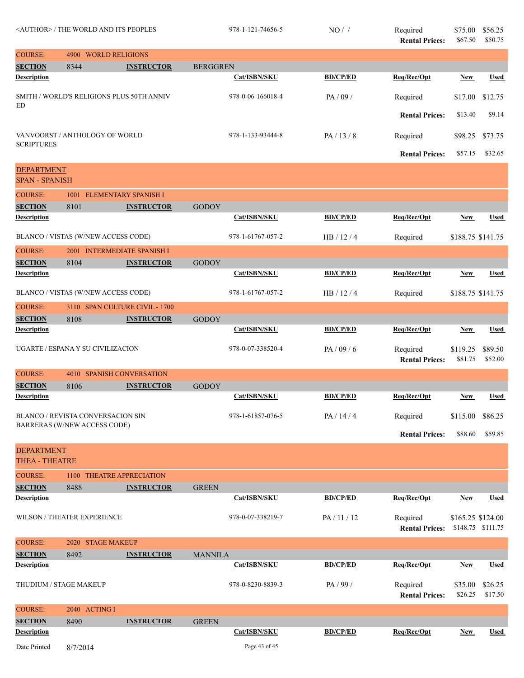| <author> / THE WORLD AND ITS PEOPLES</author> |                                                                   |                                           | 978-1-121-74656-5 | $NO/$ /           | Required<br><b>Rental Prices:</b> | \$75.00<br>\$67.50                | \$56.25<br>\$50.75  |                    |
|-----------------------------------------------|-------------------------------------------------------------------|-------------------------------------------|-------------------|-------------------|-----------------------------------|-----------------------------------|---------------------|--------------------|
| <b>COURSE:</b>                                | 4900 WORLD RELIGIONS                                              |                                           |                   |                   |                                   |                                   |                     |                    |
| <b>SECTION</b>                                | 8344                                                              | <b>INSTRUCTOR</b>                         | <b>BERGGREN</b>   |                   |                                   |                                   |                     |                    |
| <b>Description</b>                            |                                                                   |                                           |                   | Cat/ISBN/SKU      | <b>BD/CP/ED</b>                   | Req/Rec/Opt                       | <b>New</b>          | <b>Used</b>        |
| ED                                            |                                                                   | SMITH / WORLD'S RELIGIONS PLUS 50TH ANNIV |                   | 978-0-06-166018-4 | PA/09/                            | Required                          | \$17.00             | \$12.75            |
|                                               |                                                                   |                                           |                   |                   |                                   | <b>Rental Prices:</b>             | \$13.40             | \$9.14             |
| <b>SCRIPTURES</b>                             | VANVOORST / ANTHOLOGY OF WORLD                                    |                                           |                   | 978-1-133-93444-8 | PA/13/8                           | Required                          | \$98.25             | \$73.75            |
|                                               |                                                                   |                                           |                   |                   |                                   | <b>Rental Prices:</b>             | \$57.15             | \$32.65            |
| <b>DEPARTMENT</b><br><b>SPAN - SPANISH</b>    |                                                                   |                                           |                   |                   |                                   |                                   |                     |                    |
| <b>COURSE:</b>                                |                                                                   | 1001 ELEMENTARY SPANISH I                 |                   |                   |                                   |                                   |                     |                    |
| <b>SECTION</b>                                | 8101                                                              | <b>INSTRUCTOR</b>                         | <b>GODOY</b>      |                   |                                   |                                   |                     |                    |
| <b>Description</b>                            |                                                                   |                                           |                   | Cat/ISBN/SKU      | <b>BD/CP/ED</b>                   | Req/Rec/Opt                       | New                 | <b>Used</b>        |
|                                               | BLANCO / VISTAS (W/NEW ACCESS CODE)                               |                                           |                   | 978-1-61767-057-2 | HB/12/4                           | Required                          | \$188.75 \$141.75   |                    |
| <b>COURSE:</b>                                |                                                                   | 2001 INTERMEDIATE SPANISH I               |                   |                   |                                   |                                   |                     |                    |
| <b>SECTION</b>                                | 8104                                                              | <b>INSTRUCTOR</b>                         | <b>GODOY</b>      |                   |                                   |                                   |                     |                    |
| <b>Description</b>                            |                                                                   |                                           |                   | Cat/ISBN/SKU      | <b>BD/CP/ED</b>                   | Req/Rec/Opt                       | <b>New</b>          | Used               |
|                                               | BLANCO / VISTAS (W/NEW ACCESS CODE)                               |                                           |                   | 978-1-61767-057-2 | HB/12/4                           | Required                          | \$188.75 \$141.75   |                    |
| <b>COURSE:</b>                                |                                                                   | 3110 SPAN CULTURE CIVIL - 1700            |                   |                   |                                   |                                   |                     |                    |
| <b>SECTION</b>                                | 8108                                                              | <b>INSTRUCTOR</b>                         | <b>GODOY</b>      |                   |                                   |                                   |                     |                    |
| <b>Description</b>                            |                                                                   |                                           |                   | Cat/ISBN/SKU      | <b>BD/CP/ED</b>                   | Req/Rec/Opt                       | <b>New</b>          | <b>Used</b>        |
|                                               | UGARTE / ESPANA Y SU CIVILIZACION                                 |                                           |                   | 978-0-07-338520-4 | PA/09/6                           | Required<br><b>Rental Prices:</b> | \$119.25<br>\$81.75 | \$89.50<br>\$52.00 |
| <b>COURSE:</b>                                | 4010                                                              | <b>SPANISH CONVERSATION</b>               |                   |                   |                                   |                                   |                     |                    |
| <b>SECTION</b>                                | 8106                                                              | <b>INSTRUCTOR</b>                         | <b>GODOY</b>      |                   |                                   |                                   |                     |                    |
| <b>Description</b>                            |                                                                   |                                           |                   | Cat/ISBN/SKU      | <b>BD/CP/ED</b>                   | Req/Rec/Opt                       | New                 | Used               |
|                                               | BLANCO / REVISTA CONVERSACION SIN<br>BARRERAS (W/NEW ACCESS CODE) |                                           |                   | 978-1-61857-076-5 | PA / 14 / 4                       | Required                          | \$115.00            | \$86.25            |
|                                               |                                                                   |                                           |                   |                   |                                   | <b>Rental Prices:</b>             | \$88.60             | \$59.85            |
| <b>DEPARTMENT</b><br><b>THEA - THEATRE</b>    |                                                                   |                                           |                   |                   |                                   |                                   |                     |                    |
| <b>COURSE:</b>                                |                                                                   | 1100 THEATRE APPRECIATION                 |                   |                   |                                   |                                   |                     |                    |
| <b>SECTION</b>                                | 8488                                                              | <b>INSTRUCTOR</b>                         | <b>GREEN</b>      |                   |                                   |                                   |                     |                    |
| <b>Description</b>                            |                                                                   |                                           |                   | Cat/ISBN/SKU      | <b>BD/CP/ED</b>                   | Req/Rec/Opt                       | <b>New</b>          | <b>Used</b>        |
|                                               | WILSON / THEATER EXPERIENCE                                       |                                           |                   | 978-0-07-338219-7 | PA/11/12                          | Required<br><b>Rental Prices:</b> | \$165.25 \$124.00   | \$148.75 \$111.75  |
| <b>COURSE:</b>                                | 2020 STAGE MAKEUP                                                 |                                           |                   |                   |                                   |                                   |                     |                    |
| <b>SECTION</b>                                | 8492                                                              | <b>INSTRUCTOR</b>                         | <b>MANNILA</b>    |                   |                                   |                                   |                     |                    |
| <b>Description</b>                            |                                                                   |                                           |                   | Cat/ISBN/SKU      | <b>BD/CP/ED</b>                   | Req/Rec/Opt                       | New                 | <b>Used</b>        |
|                                               | THUDIUM / STAGE MAKEUP                                            |                                           |                   | 978-0-8230-8839-3 | PA/99/                            | Required<br><b>Rental Prices:</b> | \$35.00<br>\$26.25  | \$26.25<br>\$17.50 |
| <b>COURSE:</b>                                | 2040 ACTING I                                                     |                                           |                   |                   |                                   |                                   |                     |                    |
| <b>SECTION</b>                                | 8490                                                              | <b>INSTRUCTOR</b>                         | <b>GREEN</b>      |                   |                                   |                                   |                     |                    |
| <b>Description</b>                            |                                                                   |                                           |                   | Cat/ISBN/SKU      | <b>BD/CP/ED</b>                   | Req/Rec/Opt                       | <b>New</b>          | <b>Used</b>        |
| Date Printed                                  | 8/7/2014                                                          |                                           |                   | Page 43 of 45     |                                   |                                   |                     |                    |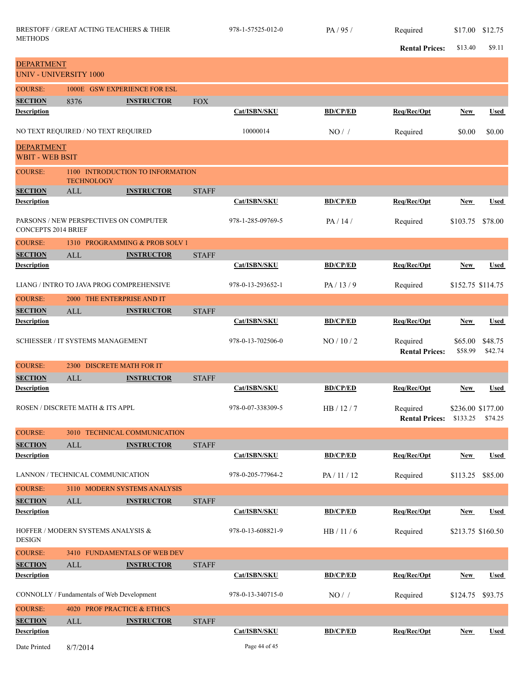|                                             |                                            |                                |              |                   |                 | <b>Rental Prices:</b>             | \$13.40                       | \$9.11             |
|---------------------------------------------|--------------------------------------------|--------------------------------|--------------|-------------------|-----------------|-----------------------------------|-------------------------------|--------------------|
| <b>DEPARTMENT</b>                           |                                            |                                |              |                   |                 |                                   |                               |                    |
| <b>UNIV - UNIVERSITY 1000</b>               |                                            |                                |              |                   |                 |                                   |                               |                    |
| <b>COURSE:</b>                              |                                            | 1000E GSW EXPERIENCE FOR ESL   |              |                   |                 |                                   |                               |                    |
| <b>SECTION</b>                              | 8376                                       | <b>INSTRUCTOR</b>              | <b>FOX</b>   |                   |                 |                                   |                               |                    |
| <b>Description</b>                          |                                            |                                |              | Cat/ISBN/SKU      | <b>BD/CP/ED</b> | Req/Rec/Opt                       | New                           | <b>Used</b>        |
|                                             | NO TEXT REQUIRED / NO TEXT REQUIRED        |                                |              | 10000014          | NO/             | Required                          | \$0.00                        | \$0.00             |
| <b>DEPARTMENT</b><br><b>WBIT - WEB BSIT</b> |                                            |                                |              |                   |                 |                                   |                               |                    |
| <b>COURSE:</b>                              | 1100<br><b>TECHNOLOGY</b>                  | INTRODUCTION TO INFORMATION    |              |                   |                 |                                   |                               |                    |
| <b>SECTION</b>                              | <b>ALL</b>                                 | <b>INSTRUCTOR</b>              | <b>STAFF</b> |                   |                 |                                   |                               |                    |
| Description                                 |                                            |                                |              | Cat/ISBN/SKU      | <b>BD/CP/ED</b> | Req/Rec/Opt                       | New                           | <b>Used</b>        |
| <b>CONCEPTS 2014 BRIEF</b>                  | PARSONS / NEW PERSPECTIVES ON COMPUTER     |                                |              | 978-1-285-09769-5 | PA / 14 /       | Required                          | \$103.75                      | \$78.00            |
| <b>COURSE:</b>                              |                                            | 1310 PROGRAMMING & PROB SOLV 1 |              |                   |                 |                                   |                               |                    |
| <b>SECTION</b>                              | <b>ALL</b>                                 | <b>INSTRUCTOR</b>              | <b>STAFF</b> |                   |                 |                                   |                               |                    |
| <b>Description</b>                          |                                            |                                |              | Cat/ISBN/SKU      | <b>BD/CP/ED</b> | Req/Rec/Opt                       | <b>New</b>                    | <b>Used</b>        |
|                                             | LIANG / INTRO TO JAVA PROG COMPREHENSIVE   |                                |              | 978-0-13-293652-1 | PA/13/9         | Required                          | \$152.75 \$114.75             |                    |
| <b>COURSE:</b>                              | 2000 THE ENTERPRISE AND IT                 |                                |              |                   |                 |                                   |                               |                    |
| <b>SECTION</b>                              | ALL                                        | <b>INSTRUCTOR</b>              | <b>STAFF</b> |                   |                 |                                   |                               |                    |
| <b>Description</b>                          |                                            |                                |              | Cat/ISBN/SKU      | <b>BD/CP/ED</b> | Req/Rec/Opt                       | <b>New</b>                    | <b>Used</b>        |
|                                             | SCHIESSER / IT SYSTEMS MANAGEMENT          |                                |              | 978-0-13-702506-0 | NO/10/2         | Required<br><b>Rental Prices:</b> | \$65.00<br>\$58.99            | \$48.75<br>\$42.74 |
| <b>COURSE:</b>                              | 2300                                       | <b>DISCRETE MATH FOR IT</b>    |              |                   |                 |                                   |                               |                    |
| <b>SECTION</b>                              | ALL                                        | <b>INSTRUCTOR</b>              | <b>STAFF</b> |                   |                 |                                   |                               |                    |
| <b>Description</b>                          |                                            |                                |              | Cat/ISBN/SKU      | <b>BD/CP/ED</b> | Req/Rec/Opt                       | New                           | <b>Used</b>        |
|                                             | ROSEN / DISCRETE MATH & ITS APPL           |                                |              | 978-0-07-338309-5 | HB/12/7         | Required<br><b>Rental Prices:</b> | \$236.00 \$177.00<br>\$133.25 | \$74.25            |
| <b>COURSE:</b>                              |                                            | 3010 TECHNICAL COMMUNICATION   |              |                   |                 |                                   |                               |                    |
| <b>SECTION</b>                              | $\mbox{ALL}$                               | <b>INSTRUCTOR</b>              | <b>STAFF</b> |                   |                 |                                   |                               |                    |
| <b>Description</b>                          |                                            |                                |              | Cat/ISBN/SKU      | <b>BD/CP/ED</b> | Req/Rec/Opt                       | <b>New</b>                    | <b>Used</b>        |
|                                             | LANNON / TECHNICAL COMMUNICATION           |                                |              | 978-0-205-77964-2 | PA/11/12        | Required                          | \$113.25                      | \$85.00            |
| <b>COURSE:</b>                              |                                            | 3110 MODERN SYSTEMS ANALYSIS   |              |                   |                 |                                   |                               |                    |
| <b>SECTION</b><br><b>Description</b>        | ALL                                        | <b>INSTRUCTOR</b>              | <b>STAFF</b> | Cat/ISBN/SKU      | <b>BD/CP/ED</b> | Req/Rec/Opt                       | <b>New</b>                    | <b>Used</b>        |
| <b>DESIGN</b>                               | HOFFER / MODERN SYSTEMS ANALYSIS &         |                                |              | 978-0-13-608821-9 | HB/11/6         | Required                          | \$213.75 \$160.50             |                    |
| <b>COURSE:</b>                              |                                            | 3410 FUNDAMENTALS OF WEB DEV   |              |                   |                 |                                   |                               |                    |
| <b>SECTION</b>                              | ALL                                        | <b>INSTRUCTOR</b>              | <b>STAFF</b> |                   |                 |                                   |                               |                    |
| <b>Description</b>                          |                                            |                                |              | Cat/ISBN/SKU      | <b>BD/CP/ED</b> | Req/Rec/Opt                       | <b>New</b>                    | <b>Used</b>        |
|                                             | CONNOLLY / Fundamentals of Web Development |                                |              | 978-0-13-340715-0 | $NO/$ /         | Required                          | \$124.75                      | \$93.75            |
| <b>COURSE:</b>                              | 4020 PROF PRACTICE & ETHICS                |                                |              |                   |                 |                                   |                               |                    |
| <b>SECTION</b><br><b>Description</b>        | ALL                                        | <b>INSTRUCTOR</b>              | <b>STAFF</b> | Cat/ISBN/SKU      | <b>BD/CP/ED</b> | Req/Rec/Opt                       | <b>New</b>                    | <b>Used</b>        |
| Date Printed                                | 8/7/2014                                   |                                |              | Page 44 of 45     |                 |                                   |                               |                    |